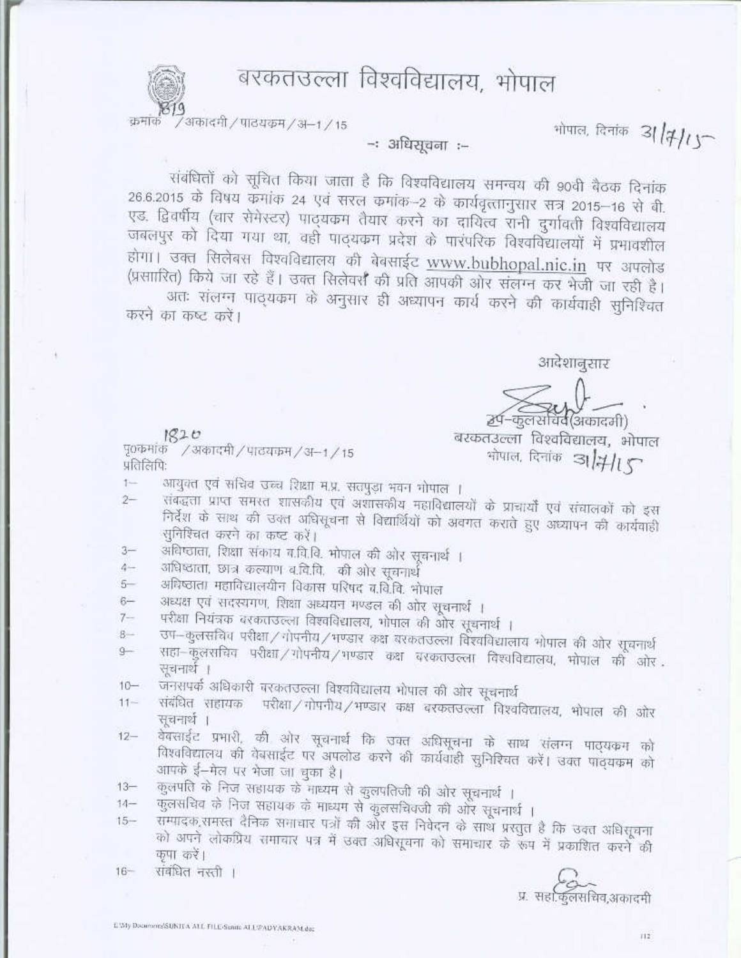बरकतउल्ला विश्वविद्यालय, भोपाल



क्रमार्क / अकादमी / पाठयक्रम / अ-1 / 15

भोपाल, दिनांक 3/ (4/1)

-: अधिसूचना :-

संबंधितों को सूचित किया जाता है कि विश्वविद्यालय समन्वय की 90वी बैठक दिनांक 26.6.2015 के विषय कमांक 24 एवं सरल कमांक-2 के कार्यवृत्तानुसार सत्र 2015-16 से बी. एड. द्विवर्षीय (चार सेमेस्टर) पाठ्यक्रम तैयार करने का दायित्व रानी दुर्गावती विश्वविद्यालय जबलपुर को दिया गया था, वही पाद्यकम प्रदेश के पारंपरिक विश्वविद्यालयों में प्रभावशील होगा। उक्त सिलेबस विश्वविद्यालय की बेबसाईट www.bubhopal.nic.in पर अपलोड (प्रसारित) किये जा रहे हैं। उक्त सिलेवर्स की प्रति आपकी ओर संलग्न कर भेजी जा रही है।

अतः संलग्न पाठ्यक्रम के अनुसार ही अध्यापन कार्य करने की कार्यवाही सुनिश्चित करने का कष्ट करें।

आदेशानुसार

५–कुलसचिव(अकादमी)

बरकतउल्ला विश्वविद्यालय, भोपाल भोपाल, दिनांक अ#15

 $1820$ 

पु०कमांक /अकादमी/पाठयक्रम/अ-1/15 प्रतिलिपिः

- आयुक्त एवं सचिव उच्च शिक्षा म.प्र. सतपुड़ा भवन भोपाल ।  $1 -$
- संबद्धता प्राप्त समस्त शासकीय एवं अशासकीय महाविद्यालयों के प्राचार्यों एवं संचालकों को इस  $2 -$ निर्देश के साथ की उक्त अधिसूचना से विद्यार्थियों को अवगत कराते हुए अध्यापन की कार्यवाही सुनिश्चित करने का कष्ट करें।
- अधिष्ठाता, शिक्षा संकाय ब.वि.वि. भोपाल की ओर सूचनार्थ ।  $3 -$
- अधिष्ठाता, छात्र कल्याण ब.वि.वि. की ओर सूचनार्थ  $4-$
- अधिष्ठाता महाविद्यालयीन विकास परिषद व.वि.वि. भोपाल  $5 -$
- अध्यक्ष एवं सदस्यगण, शिक्षा अध्ययन मण्डल की ओर सूचनार्थ ।  $6 -$
- परीक्षा नियंत्रक बरकतउल्ला विश्वविद्यालय, भोपाल की ओर सूचनार्थ ।  $7 -$
- उप-कुलसचिव परीक्षा/गोपनीय/भण्डार कक्ष बरकतउल्ला विश्वविद्यालाय भोपाल की ओर सूचनार्थ  $B -$
- सहा-कुलसचिव परीक्षा/गोपनीय/भण्डार कक्ष बरकतउल्ला विश्वविद्यालय, भोपाल की ओर  $9-$ सूचनार्थ ।
- जनसपर्क अधिकारी बरकतउल्ला विश्वविद्यालय भोपाल की ओर सूचनार्थ  $10 -$
- परीक्षा / गोपनीय / भण्डार कक्ष बरकतउल्ला विश्वविद्यालय, भोपाल की ओर  $11 -$ संबंधित सहायक सूचनार्थ ।
- वेबसाईट प्रभारी, की ओर सूचनार्थ कि उक्त अधिसूचना के साथ संलग्न पाठ्यकम को  $12 -$ विश्वविद्यालय की वेबसाईट पर अपलोड करने की कार्यवाही सुनिश्चित करें। उक्त पाठ्यक्रम को आपके ई-मेल पर भेजा जा चुका है।
- कुलपति के निज सहायक के माध्यम से कुलपतिजी की ओर सूचनार्थ ।  $13 -$
- कुलसचिव के निज सहायक के माध्यम से कुलसचिवजी की ओर सूचनार्थ ।  $14 -$

सम्पादक,समस्त दैनिक समाचार पत्रों की ओर इस निवेदन के साथ प्रस्तुत है कि उक्त अधिसूचना  $15 -$ को अपने लोकप्रिय समाचार पत्र में उक्त अधिराूचना को समाचार के रूप में प्रकाशित करने की कपा करें।

 $16 -$ संबंधित नस्ती ।

प्र. सहा.कुलसचिव,अकादमी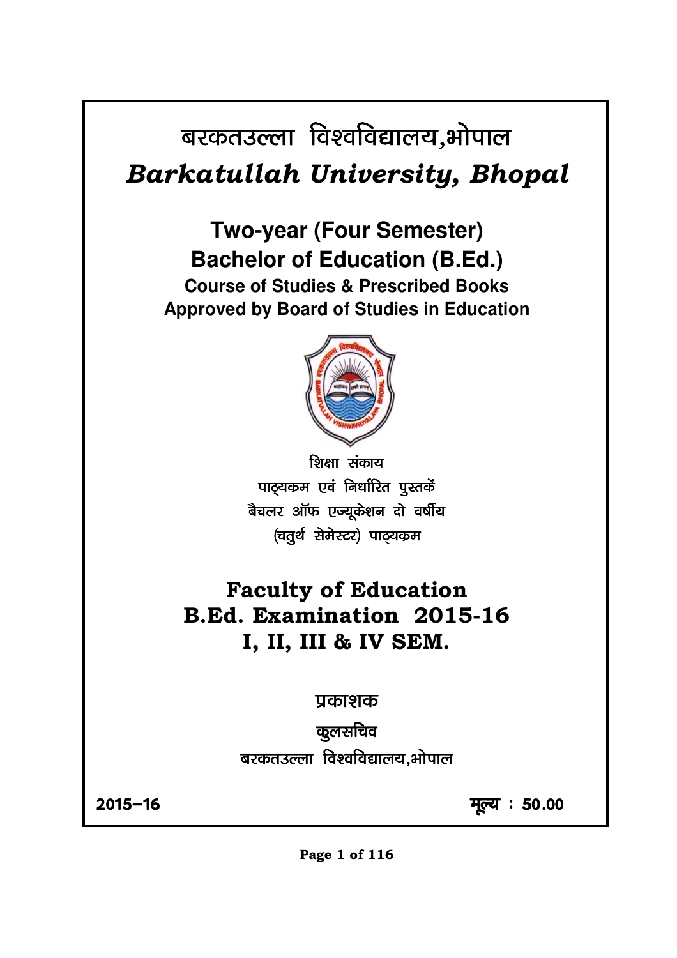# बरकतउल्ला विश्वविद्यालय,भोपाल **Barkatullah University, Bhopal**

**Two-year (Four Semester) Bachelor of Education (B.Ed.) Course of Studies & Prescribed Books Approved by Board of Studies in Education** 



शिक्षा संकाय पाठ्यक्रम एवं निर्धारित पुस्तकें बैचलर ऑफ एज्यूकेशन दो वर्षीय (चतुर्थ सेमेस्टर) पाठ्यकम

**Faculty of Education B.Ed. Examination 2015-16** I, II, III & IV SEM.

### प्रकाशक

कुलसचिव बरकतउल्ला विश्वविद्यालय,भोपाल

 $2015 - 16$ 

मूल्य: 50.00

Page 1 of 116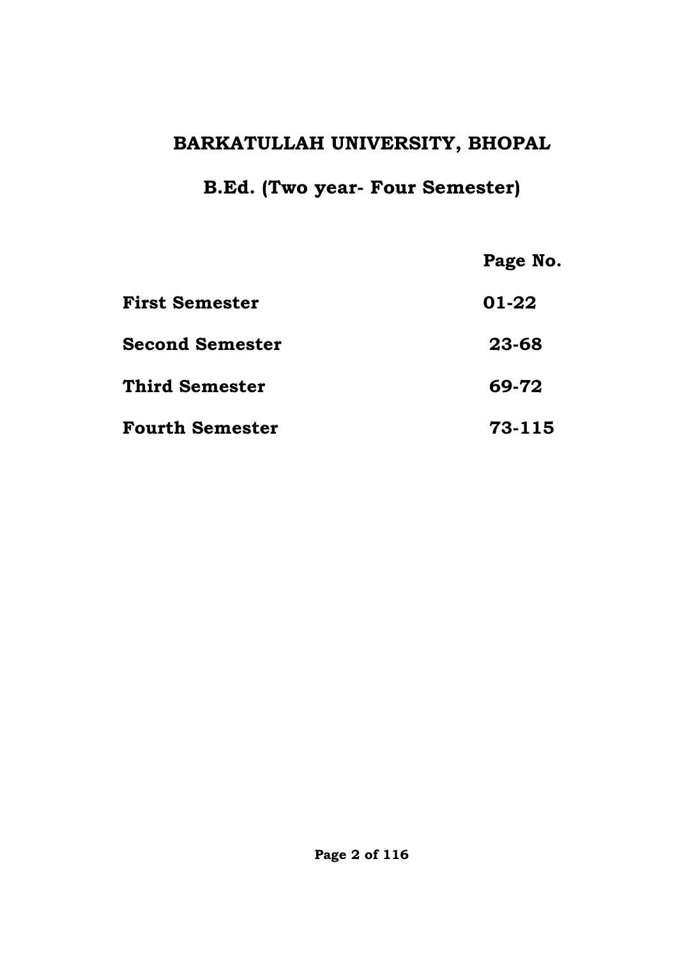## BARKATULLAH UNIVERSITY, BHOPAL

## **B.Ed.** (Two year- Four Semester)

|                        | Page No. |  |  |  |
|------------------------|----------|--|--|--|
| <b>First Semester</b>  | $01-22$  |  |  |  |
| <b>Second Semester</b> | 23-68    |  |  |  |
| <b>Third Semester</b>  | 69-72    |  |  |  |
| <b>Fourth Semester</b> | 73-115   |  |  |  |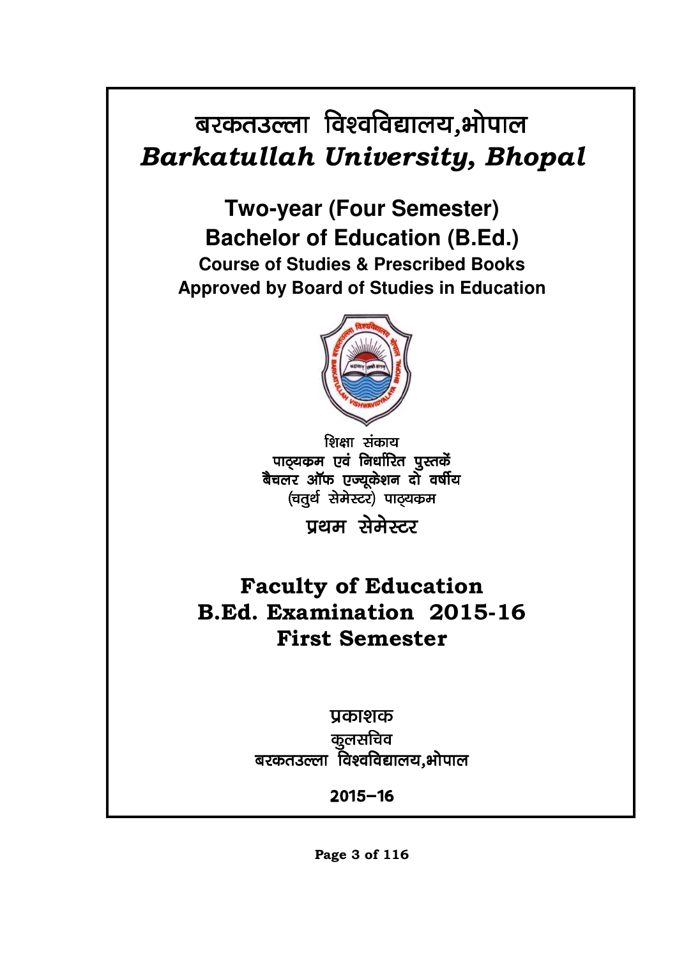# बरकतउल्ला विश्वविद्यालय,भोपाल **Barkatullah University, Bhopal**

**Two-year (Four Semester) Bachelor of Education (B.Ed.) Course of Studies & Prescribed Books Approved by Board of Studies in Education** 



शिक्षा संकाय पाठ्यक्रम एवं निर्धारित पुस्तकें बैचलर ऑफ एज्यूकेशन दो वर्षीय (चतुर्थ सेमेस्टर) पाठ्यक्रम

पथम सेमेस्टर

## **Faculty of Education B.Ed. Examination 2015-16 First Semester**

प्रकाशक

कलसचिव बरकतउल्ला विश्वविद्यालय,भोपाल

 $2015 - 16$ 

Page 3 of 116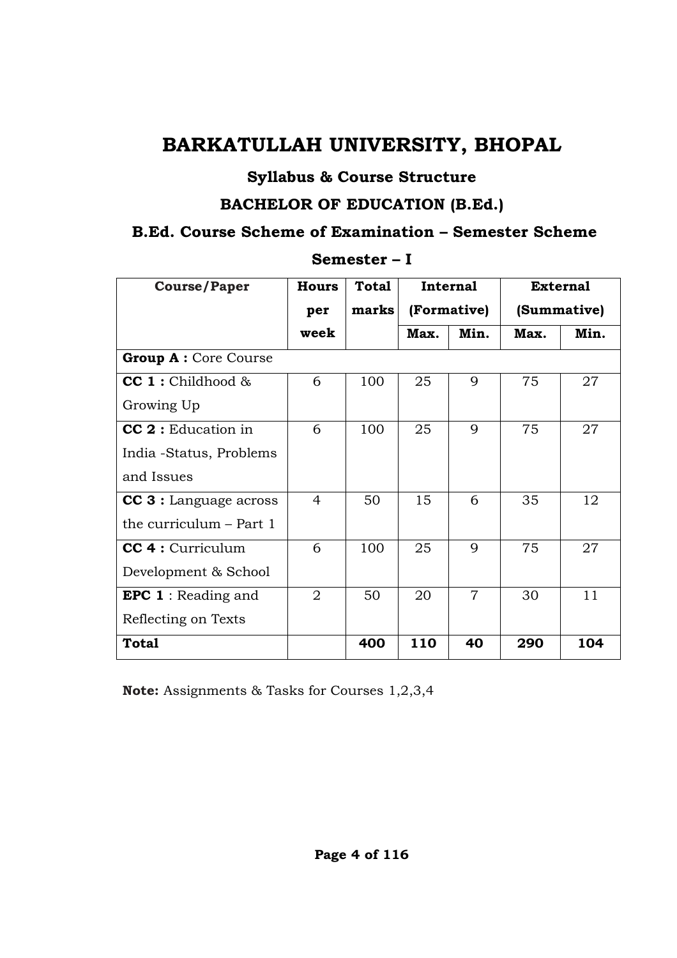## BARKATULLAH UNIVERSITY, BHOPAL

### **Syllabus & Course Structure**

### **BACHELOR OF EDUCATION (B.Ed.)**

### B.Ed. Course Scheme of Examination - Semester Scheme

| <b>Course/Paper</b>           | <b>Hours</b>   | <b>Total</b> | <b>Internal</b> |                | <b>External</b> |      |  |
|-------------------------------|----------------|--------------|-----------------|----------------|-----------------|------|--|
|                               | per            | marks        | (Formative)     |                | (Summative)     |      |  |
|                               | week           |              | Max.            | Min.           | Max.            | Min. |  |
| <b>Group A: Core Course</b>   |                |              |                 |                |                 |      |  |
| $CC 1:$ Childhood $\&$        | 6              | 100          | 25              | 9              | 75              | 27   |  |
| Growing Up                    |                |              |                 |                |                 |      |  |
| <b>CC 2</b> : Education in    | 6              | 100          | 25              | $\mathbf Q$    | 75              | 27   |  |
| India -Status, Problems       |                |              |                 |                |                 |      |  |
| and Issues                    |                |              |                 |                |                 |      |  |
| <b>CC 3</b> : Language across | 4              | 50           | 15              | 6              | 35              | 12   |  |
| the curriculum - Part 1       |                |              |                 |                |                 |      |  |
| CC 4 : Curriculum             | 6              | 100          | 25              | 9              | 75              | 27   |  |
| Development & School          |                |              |                 |                |                 |      |  |
| <b>EPC 1</b> : Reading and    | $\overline{2}$ | 50           | 20              | $\overline{7}$ | 30              | 11   |  |
| Reflecting on Texts           |                |              |                 |                |                 |      |  |
| <b>Total</b>                  |                | 400          | 110             | 40             | 290             | 104  |  |

### Semester-I

**Note:** Assignments & Tasks for Courses 1,2,3,4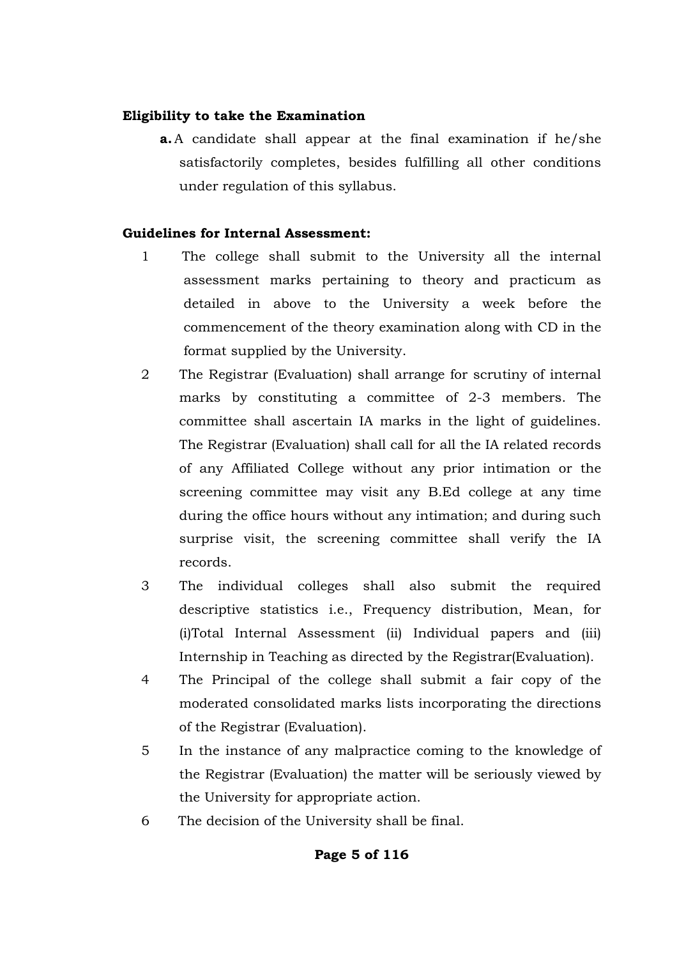#### Eligibility to take the Examination

**a.** A candidate shall appear at the final examination if he/she satisfactorily completes, besides fulfilling all other conditions under regulation of this syllabus.

#### **Guidelines for Internal Assessment:**

- $\mathbf{1}$ The college shall submit to the University all the internal assessment marks pertaining to theory and practicum as detailed in above to the University a week before the commencement of the theory examination along with CD in the format supplied by the University.
- $\overline{2}$ The Registrar (Evaluation) shall arrange for scrutiny of internal marks by constituting a committee of 2-3 members. The committee shall ascertain IA marks in the light of guidelines. The Registrar (Evaluation) shall call for all the IA related records of any Affiliated College without any prior intimation or the screening committee may visit any B.Ed college at any time during the office hours without any intimation; and during such surprise visit, the screening committee shall verify the IA records.
- 3 The individual colleges shall also submit the required descriptive statistics i.e., Frequency distribution, Mean, for (i)Total Internal Assessment (ii) Individual papers and (iii) Internship in Teaching as directed by the Registrar (Evaluation).
- $\overline{4}$ The Principal of the college shall submit a fair copy of the moderated consolidated marks lists incorporating the directions of the Registrar (Evaluation).
- $\overline{5}$ In the instance of any malpractice coming to the knowledge of the Registrar (Evaluation) the matter will be seriously viewed by the University for appropriate action.
- 6 The decision of the University shall be final.

#### Page 5 of 116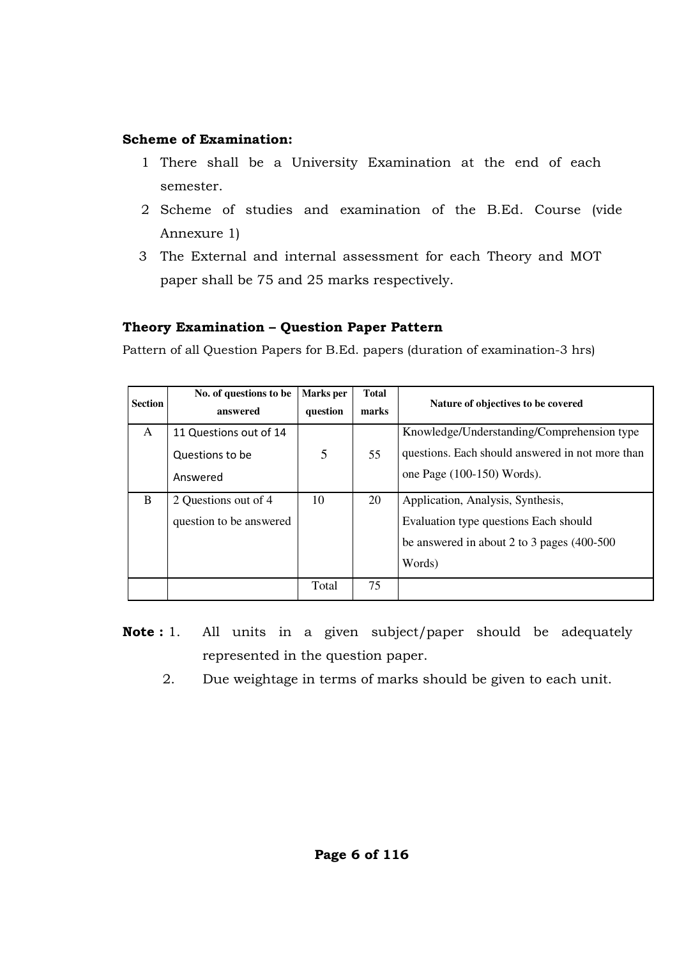#### **Scheme of Examination:**

- 1 There shall be a University Examination at the end of each semester.
- 2 Scheme of studies and examination of the B.Ed. Course (vide Annexure 1)
- 3 The External and internal assessment for each Theory and MOT paper shall be 75 and 25 marks respectively.

#### Theory Examination – Question Paper Pattern

Pattern of all Question Papers for B.Ed. papers (duration of examination-3 hrs)

| <b>Section</b> | No. of questions to be<br>answered | Marks per<br>question | <b>Total</b><br>marks | Nature of objectives to be covered               |
|----------------|------------------------------------|-----------------------|-----------------------|--------------------------------------------------|
| $\mathsf{A}$   | 11 Questions out of 14             |                       |                       | Knowledge/Understanding/Comprehension type       |
|                | Questions to be                    | 5                     | 55                    | questions. Each should answered in not more than |
|                | Answered                           |                       |                       | one Page (100-150) Words).                       |
| <sub>B</sub>   | 2 Questions out of 4               | 10                    | 20                    | Application, Analysis, Synthesis,                |
|                | question to be answered            |                       |                       | Evaluation type questions Each should            |
|                |                                    |                       |                       | be answered in about 2 to 3 pages $(400-500)$    |
|                |                                    |                       |                       | Words)                                           |
|                |                                    | Total                 | 75                    |                                                  |

- **Note** : 1. l units in a given subject/paper should be adequately represented in the question paper.
	- 2. Due weightage in terms of marks should be given to each unit.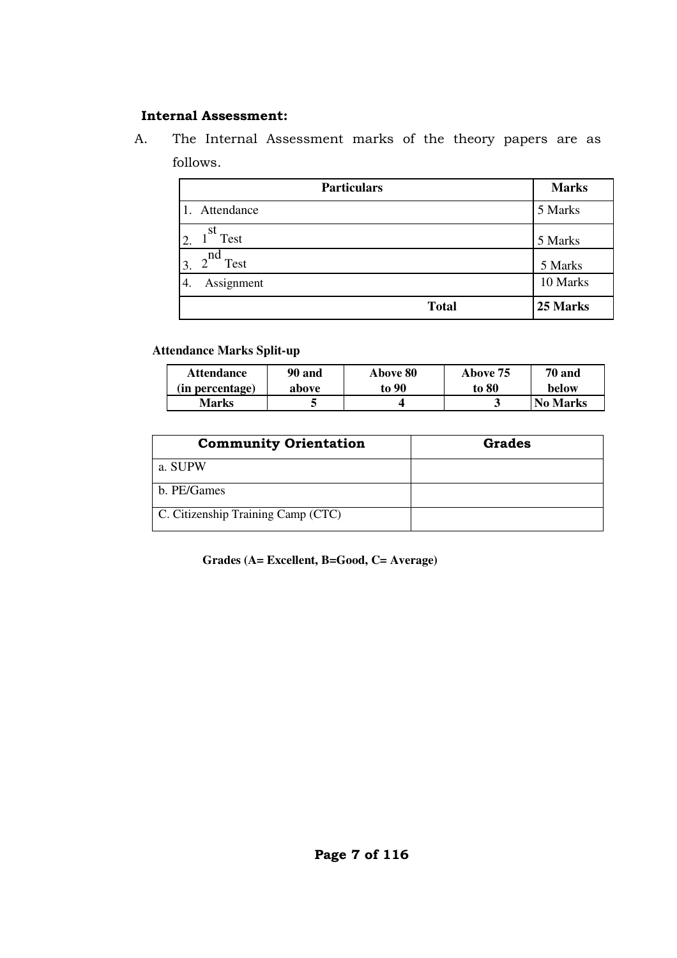#### Internal Assessment:

A. The Internal Assessment marks of the theory papers are as follows.

|                  | <b>Particulars</b> | <b>Marks</b> |
|------------------|--------------------|--------------|
| Attendance       |                    | 5 Marks      |
| st<br>Test<br>2. |                    | 5 Marks      |
| nd<br>Test<br>3. |                    | 5 Marks      |
| Assignment<br>4. |                    | 10 Marks     |
|                  | <b>Total</b>       | 25 Marks     |

**Attendance Marks Split-up**

| Attendance      | 90 and | <b>Above 80</b> | Above 75 | <b>70 and</b>   |
|-----------------|--------|-----------------|----------|-----------------|
| (in percentage) | above  | to 90           | to 80    | below           |
| Marks           |        |                 |          | <b>No Marks</b> |

| <b>Community Orientation</b>       | <b>Grades</b> |
|------------------------------------|---------------|
| a. SUPW                            |               |
| b. PE/Games                        |               |
| C. Citizenship Training Camp (CTC) |               |

 **Grades (A= Excellent, B=Good, C= Average)**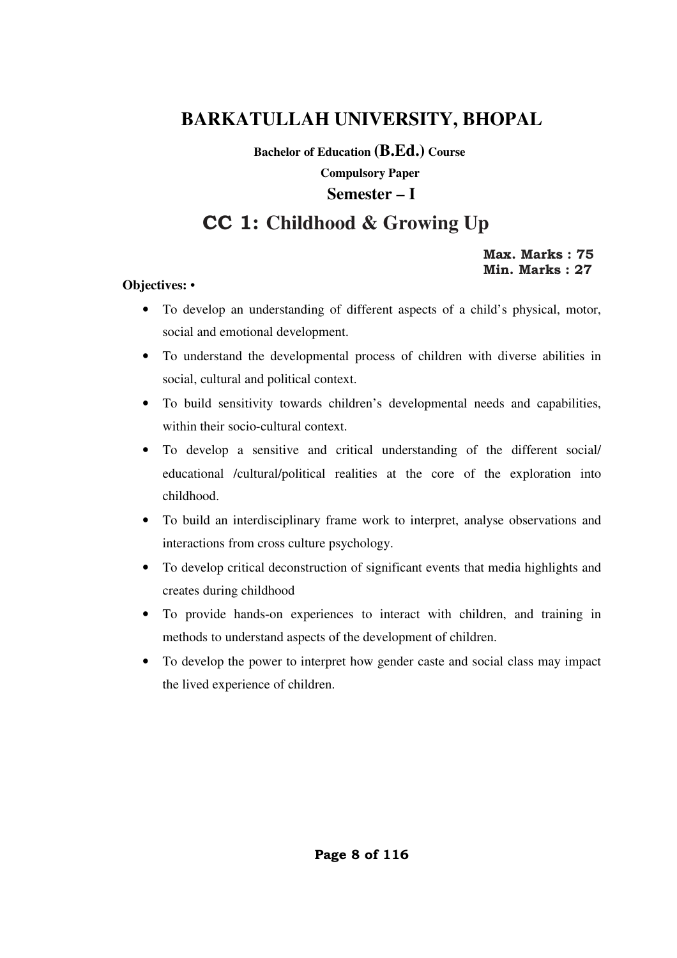### **BARKATULLAH UNIVERSITY, BHOPAL**

**Bachelor of Education (B.Ed.) Course**

**Compulsory Paper Semester – I**

## **88 CC 1: Childhood & Growing Up**

**Max. Marks : 75 Min. Marks : 27** 

#### **Objectives:** •

- To develop an understanding of different aspects of a child's physical, motor, social and emotional development.
- To understand the developmental process of children with diverse abilities in social, cultural and political context.
- To build sensitivity towards children's developmental needs and capabilities, within their socio-cultural context.
- To develop a sensitive and critical understanding of the different social/ educational /cultural/political realities at the core of the exploration into childhood.
- To build an interdisciplinary frame work to interpret, analyse observations and interactions from cross culture psychology.
- To develop critical deconstruction of significant events that media highlights and creates during childhood
- To provide hands-on experiences to interact with children, and training in methods to understand aspects of the development of children.
- To develop the power to interpret how gender caste and social class may impact the lived experience of children.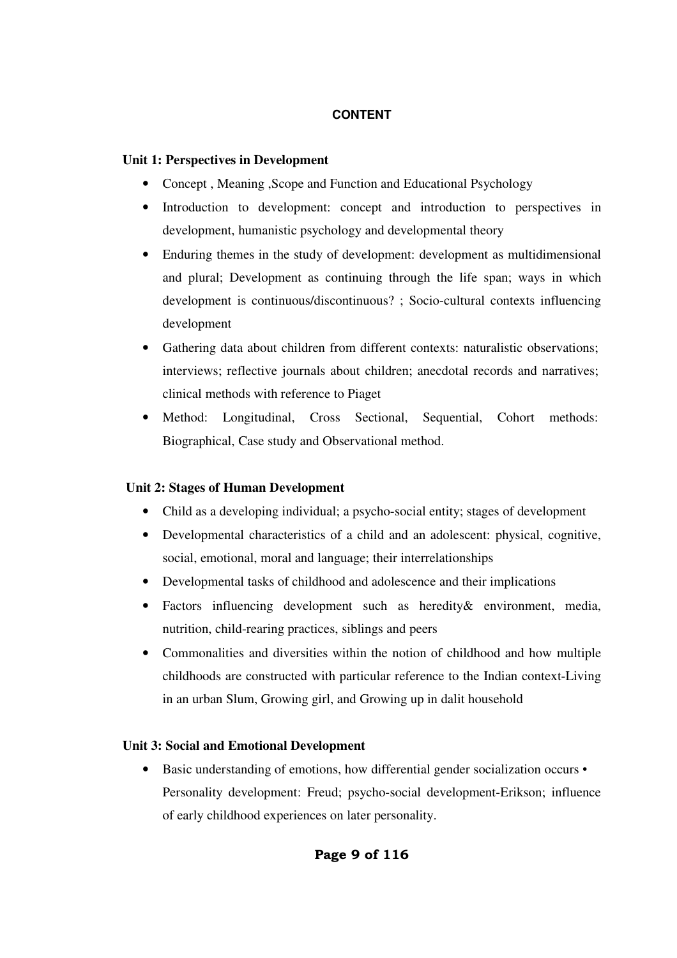#### **CONTENT**

#### **Unit 1: Perspectives in Development**

- Concept , Meaning ,Scope and Function and Educational Psychology
- Introduction to development: concept and introduction to perspectives in development, humanistic psychology and developmental theory
- Enduring themes in the study of development: development as multidimensional and plural; Development as continuing through the life span; ways in which development is continuous/discontinuous? ; Socio-cultural contexts influencing development
- Gathering data about children from different contexts: naturalistic observations; interviews; reflective journals about children; anecdotal records and narratives; clinical methods with reference to Piaget
- Method: Longitudinal, Cross Sectional, Sequential, Cohort methods: Biographical, Case study and Observational method.

#### **Unit 2: Stages of Human Development**

- Child as a developing individual; a psycho-social entity; stages of development
- Developmental characteristics of a child and an adolescent: physical, cognitive, social, emotional, moral and language; their interrelationships
- Developmental tasks of childhood and adolescence and their implications
- Factors influencing development such as heredity& environment, media, nutrition, child-rearing practices, siblings and peers
- Commonalities and diversities within the notion of childhood and how multiple childhoods are constructed with particular reference to the Indian context-Living in an urban Slum, Growing girl, and Growing up in dalit household

#### **Unit 3: Social and Emotional Development**

• Basic understanding of emotions, how differential gender socialization occurs • Personality development: Freud; psycho-social development-Erikson; influence of early childhood experiences on later personality.

#### **Page 9 of 116**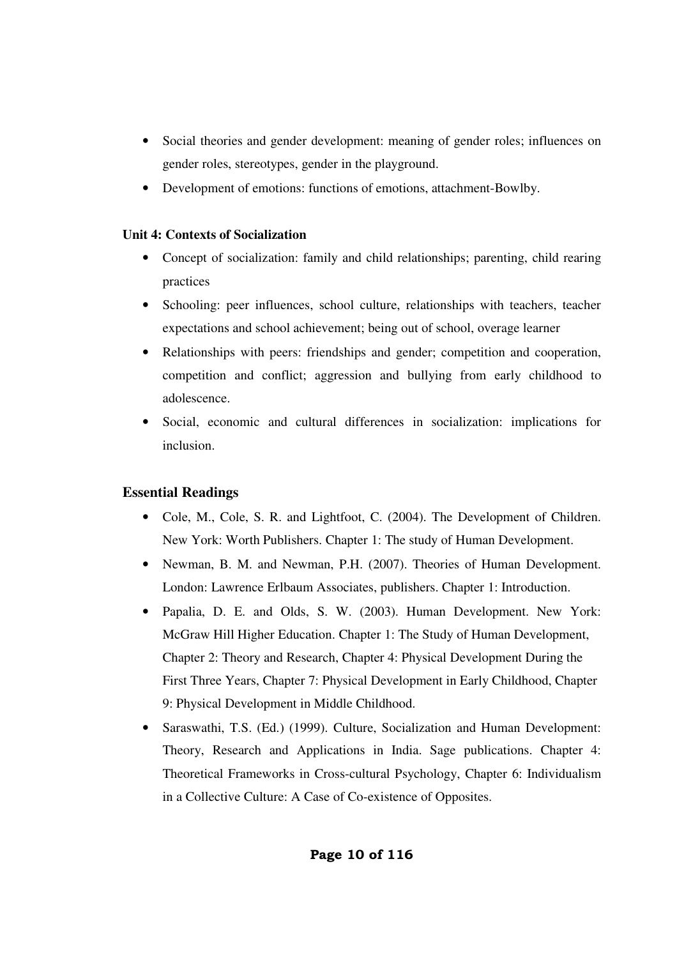- Social theories and gender development: meaning of gender roles; influences on gender roles, stereotypes, gender in the playground.
- Development of emotions: functions of emotions, attachment-Bowlby.

#### **Unit 4: Contexts of Socialization**

- Concept of socialization: family and child relationships; parenting, child rearing practices
- Schooling: peer influences, school culture, relationships with teachers, teacher expectations and school achievement; being out of school, overage learner
- Relationships with peers: friendships and gender; competition and cooperation, competition and conflict; aggression and bullying from early childhood to adolescence.
- Social, economic and cultural differences in socialization: implications for inclusion.

#### **Essential Readings**

- Cole, M., Cole, S. R. and Lightfoot, C. (2004). The Development of Children. New York: Worth Publishers. Chapter 1: The study of Human Development.
- Newman, B. M. and Newman, P.H. (2007). Theories of Human Development. London: Lawrence Erlbaum Associates, publishers. Chapter 1: Introduction.
- Papalia, D. E. and Olds, S. W. (2003). Human Development. New York: McGraw Hill Higher Education. Chapter 1: The Study of Human Development, Chapter 2: Theory and Research, Chapter 4: Physical Development During the First Three Years, Chapter 7: Physical Development in Early Childhood, Chapter 9: Physical Development in Middle Childhood.
- Saraswathi, T.S. (Ed.) (1999). Culture, Socialization and Human Development: Theory, Research and Applications in India. Sage publications. Chapter 4: Theoretical Frameworks in Cross-cultural Psychology, Chapter 6: Individualism in a Collective Culture: A Case of Co-existence of Opposites.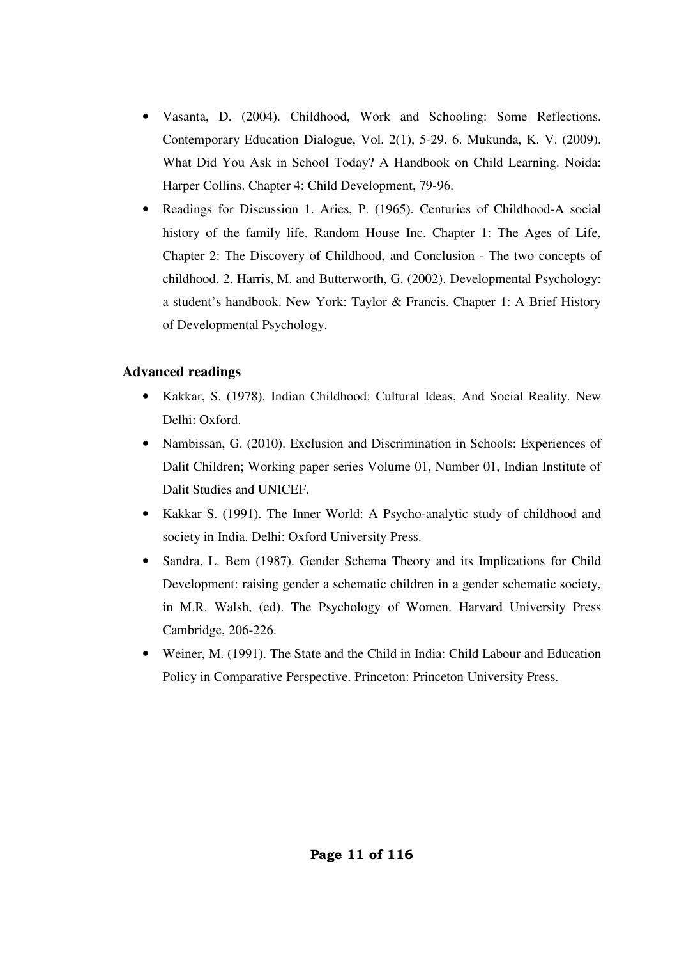- Vasanta, D. (2004). Childhood, Work and Schooling: Some Reflections. Contemporary Education Dialogue, Vol. 2(1), 5-29. 6. Mukunda, K. V. (2009). What Did You Ask in School Today? A Handbook on Child Learning. Noida: Harper Collins. Chapter 4: Child Development, 79-96.
- Readings for Discussion 1. Aries, P. (1965). Centuries of Childhood-A social history of the family life. Random House Inc. Chapter 1: The Ages of Life, Chapter 2: The Discovery of Childhood, and Conclusion - The two concepts of childhood. 2. Harris, M. and Butterworth, G. (2002). Developmental Psychology: a student's handbook. New York: Taylor & Francis. Chapter 1: A Brief History of Developmental Psychology.

#### **Advanced readings**

- Kakkar, S. (1978). Indian Childhood: Cultural Ideas, And Social Reality. New Delhi: Oxford.
- Nambissan, G. (2010). Exclusion and Discrimination in Schools: Experiences of Dalit Children; Working paper series Volume 01, Number 01, Indian Institute of Dalit Studies and UNICEF.
- Kakkar S. (1991). The Inner World: A Psycho-analytic study of childhood and society in India. Delhi: Oxford University Press.
- Sandra, L. Bem (1987). Gender Schema Theory and its Implications for Child Development: raising gender a schematic children in a gender schematic society, in M.R. Walsh, (ed). The Psychology of Women. Harvard University Press Cambridge, 206-226.
- Weiner, M. (1991). The State and the Child in India: Child Labour and Education Policy in Comparative Perspective. Princeton: Princeton University Press.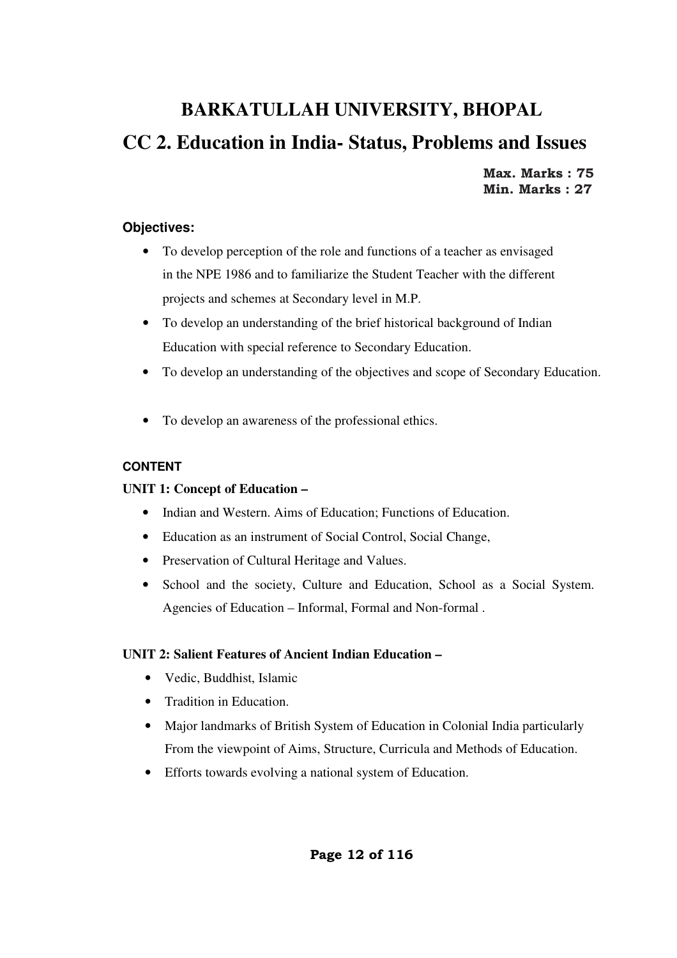## **BARKATULLAH UNIVERSITY, BHOPAL CC 2. Education in India- Status, Problems and Issues Max. Marks : 75 Min. Marks : 27**

#### **Objectives:**

- To develop perception of the role and functions of a teacher as envisaged in the NPE 1986 and to familiarize the Student Teacher with the different projects and schemes at Secondary level in M.P.
- To develop an understanding of the brief historical background of Indian Education with special reference to Secondary Education.
- To develop an understanding of the objectives and scope of Secondary Education.
- To develop an awareness of the professional ethics.

#### **CONTENT**

#### **UNIT 1: Concept of Education –**

- Indian and Western. Aims of Education: Functions of Education.
- Education as an instrument of Social Control, Social Change,
- Preservation of Cultural Heritage and Values.
- School and the society, Culture and Education, School as a Social System. Agencies of Education – Informal, Formal and Non-formal .

#### **UNIT 2: Salient Features of Ancient Indian Education –**

- Vedic, Buddhist, Islamic
- Tradition in Education.
- Major landmarks of British System of Education in Colonial India particularly From the viewpoint of Aims, Structure, Curricula and Methods of Education.
- Efforts towards evolving a national system of Education.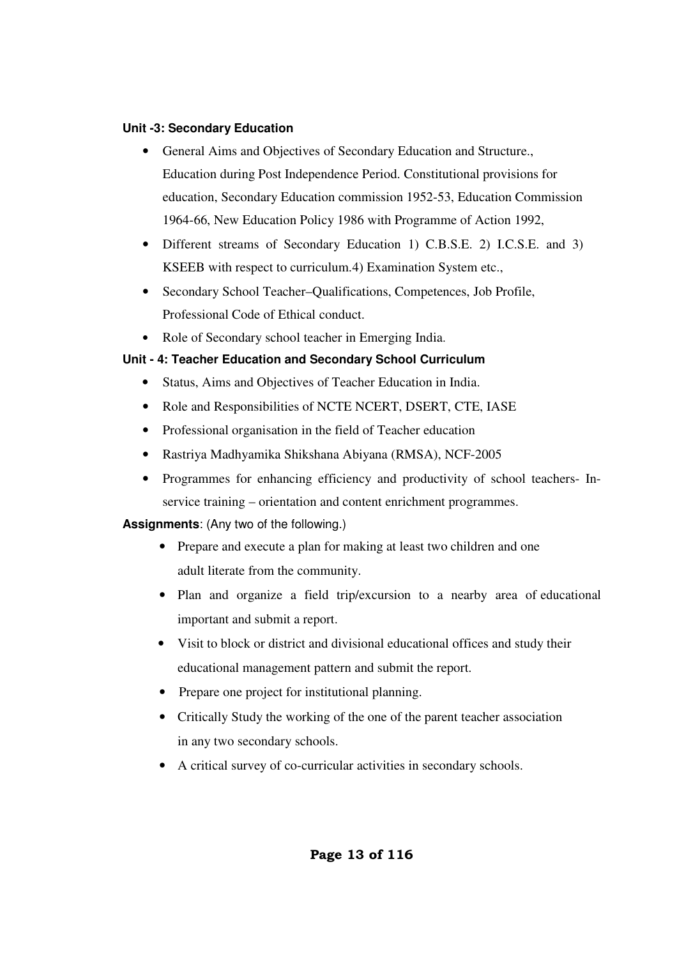#### **Unit -3: Secondary Education**

- General Aims and Objectives of Secondary Education and Structure., Education during Post Independence Period. Constitutional provisions for education, Secondary Education commission 1952-53, Education Commission 1964-66, New Education Policy 1986 with Programme of Action 1992,
- Different streams of Secondary Education 1) C.B.S.E. 2) I.C.S.E. and 3) KSEEB with respect to curriculum.4) Examination System etc.,
- Secondary School Teacher–Qualifications, Competences, Job Profile, Professional Code of Ethical conduct.
- Role of Secondary school teacher in Emerging India.

#### **Unit - 4: Teacher Education and Secondary School Curriculum**

- Status, Aims and Objectives of Teacher Education in India.
- Role and Responsibilities of NCTE NCERT, DSERT, CTE, IASE
- Professional organisation in the field of Teacher education
- Rastriya Madhyamika Shikshana Abiyana (RMSA), NCF-2005
- Programmes for enhancing efficiency and productivity of school teachers- Inservice training – orientation and content enrichment programmes.

**Assignments**: (Any two of the following.)

- Prepare and execute a plan for making at least two children and one adult literate from the community.
- Plan and organize a field trip/excursion to a nearby area of educational important and submit a report.
- Visit to block or district and divisional educational offices and study their educational management pattern and submit the report.
- Prepare one project for institutional planning.
- Critically Study the working of the one of the parent teacher association in any two secondary schools.
- A critical survey of co-curricular activities in secondary schools.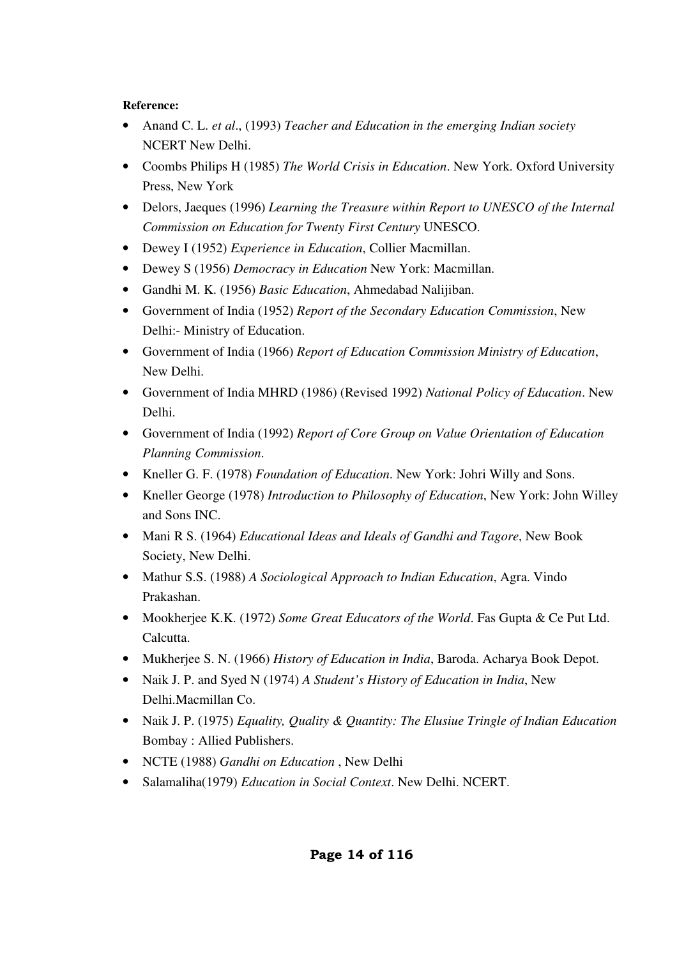#### **Reference:**

- Anand C. L. *et al*., (1993) *Teacher and Education in the emerging Indian society* NCERT New Delhi.
- Coombs Philips H (1985) *The World Crisis in Education*. New York. Oxford University Press, New York
- Delors, Jaeques (1996) *Learning the Treasure within Report to UNESCO of the Internal Commission on Education for Twenty First Century* UNESCO.
- Dewey I (1952) *Experience in Education*, Collier Macmillan.
- Dewey S (1956) *Democracy in Education* New York: Macmillan.
- Gandhi M. K. (1956) *Basic Education*, Ahmedabad Nalijiban.
- Government of India (1952) *Report of the Secondary Education Commission*, New Delhi:- Ministry of Education.
- Government of India (1966) *Report of Education Commission Ministry of Education*, New Delhi.
- Government of India MHRD (1986) (Revised 1992) *National Policy of Education*. New Delhi.
- Government of India (1992) *Report of Core Group on Value Orientation of Education Planning Commission*.
- Kneller G. F. (1978) *Foundation of Education*. New York: Johri Willy and Sons.
- Kneller George (1978) *Introduction to Philosophy of Education*, New York: John Willey and Sons INC.
- Mani R S. (1964) *Educational Ideas and Ideals of Gandhi and Tagore*, New Book Society, New Delhi.
- Mathur S.S. (1988) *A Sociological Approach to Indian Education*, Agra. Vindo Prakashan.
- Mookherjee K.K. (1972) *Some Great Educators of the World*. Fas Gupta & Ce Put Ltd. Calcutta.
- Mukherjee S. N. (1966) *History of Education in India*, Baroda. Acharya Book Depot.
- Naik J. P. and Syed N (1974) *A Student's History of Education in India*, New Delhi.Macmillan Co.
- Naik J. P. (1975) *Equality, Quality & Quantity: The Elusiue Tringle of Indian Education*  Bombay : Allied Publishers.
- NCTE (1988) *Gandhi on Education* , New Delhi
- Salamaliha(1979) *Education in Social Context*. New Delhi. NCERT.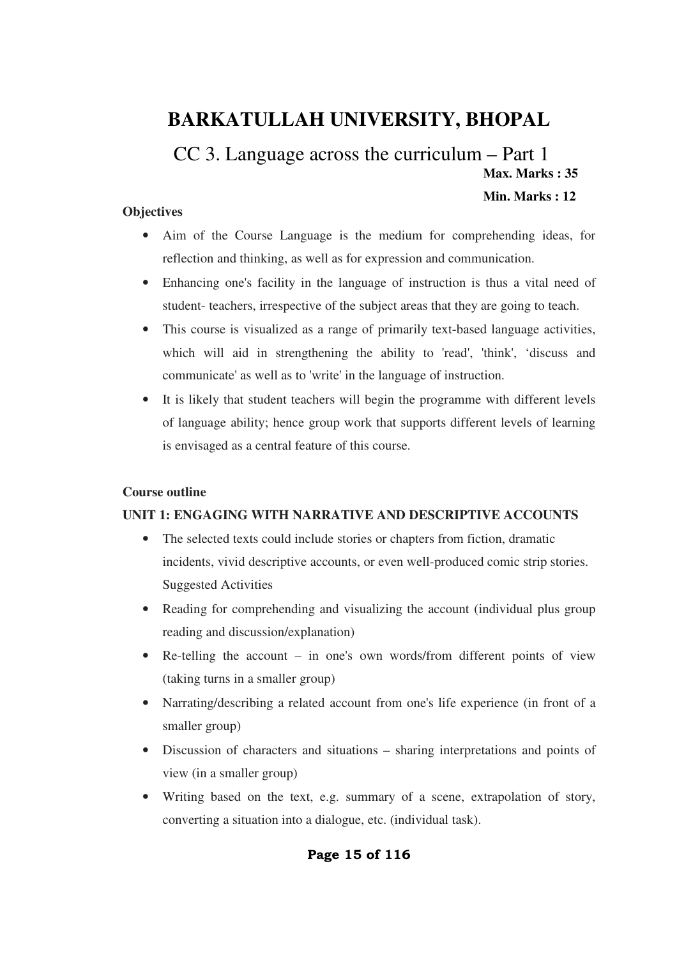### **BARKATULLAH UNIVERSITY, BHOPAL**

### CC 3. Language across the curriculum – Part 1 **Max. Marks : 35 Min. Marks : 12**

#### **Objectives**

- Aim of the Course Language is the medium for comprehending ideas, for reflection and thinking, as well as for expression and communication.
- Enhancing one's facility in the language of instruction is thus a vital need of student- teachers, irrespective of the subject areas that they are going to teach.
- This course is visualized as a range of primarily text-based language activities, which will aid in strengthening the ability to 'read', 'think', 'discuss and communicate' as well as to 'write' in the language of instruction.
- It is likely that student teachers will begin the programme with different levels of language ability; hence group work that supports different levels of learning is envisaged as a central feature of this course.

#### **Course outline**

#### **UNIT 1: ENGAGING WITH NARRATIVE AND DESCRIPTIVE ACCOUNTS**

- The selected texts could include stories or chapters from fiction, dramatic incidents, vivid descriptive accounts, or even well-produced comic strip stories. Suggested Activities
- Reading for comprehending and visualizing the account (individual plus group reading and discussion/explanation)
- Re-telling the account in one's own words/from different points of view (taking turns in a smaller group)
- Narrating/describing a related account from one's life experience (in front of a smaller group)
- Discussion of characters and situations sharing interpretations and points of view (in a smaller group)
- Writing based on the text, e.g. summary of a scene, extrapolation of story, converting a situation into a dialogue, etc. (individual task).

#### **Page 15 of 116**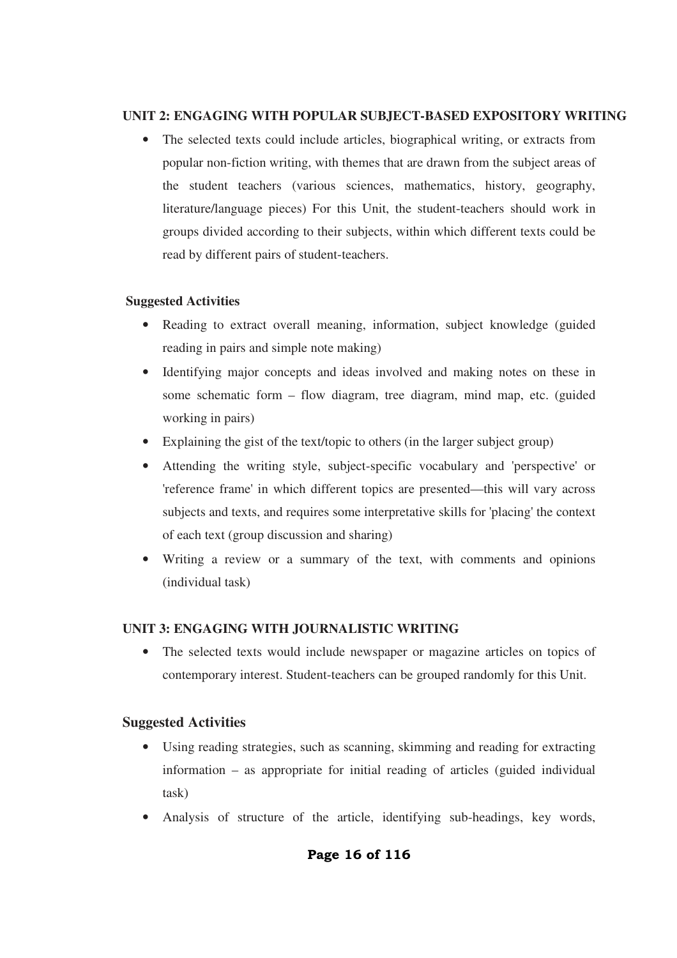#### **UNIT 2: ENGAGING WITH POPULAR SUBJECT-BASED EXPOSITORY WRITING**

• The selected texts could include articles, biographical writing, or extracts from popular non-fiction writing, with themes that are drawn from the subject areas of the student teachers (various sciences, mathematics, history, geography, literature/language pieces) For this Unit, the student-teachers should work in groups divided according to their subjects, within which different texts could be read by different pairs of student-teachers.

#### **Suggested Activities**

- Reading to extract overall meaning, information, subject knowledge (guided reading in pairs and simple note making)
- Identifying major concepts and ideas involved and making notes on these in some schematic form – flow diagram, tree diagram, mind map, etc. (guided working in pairs)
- Explaining the gist of the text/topic to others (in the larger subject group)
- Attending the writing style, subject-specific vocabulary and 'perspective' or 'reference frame' in which different topics are presented—this will vary across subjects and texts, and requires some interpretative skills for 'placing' the context of each text (group discussion and sharing)
- Writing a review or a summary of the text, with comments and opinions (individual task)

#### **UNIT 3: ENGAGING WITH JOURNALISTIC WRITING**

• The selected texts would include newspaper or magazine articles on topics of contemporary interest. Student-teachers can be grouped randomly for this Unit.

#### **Suggested Activities**

- Using reading strategies, such as scanning, skimming and reading for extracting information – as appropriate for initial reading of articles (guided individual task)
- Analysis of structure of the article, identifying sub-headings, key words,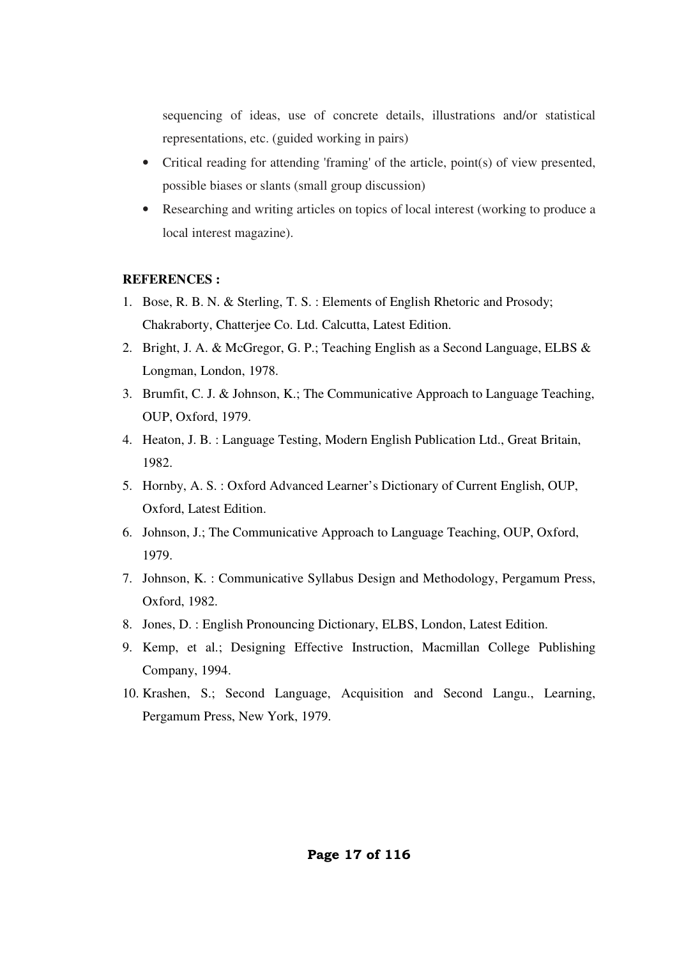sequencing of ideas, use of concrete details, illustrations and/or statistical representations, etc. (guided working in pairs)

- Critical reading for attending 'framing' of the article, point(s) of view presented, possible biases or slants (small group discussion)
- Researching and writing articles on topics of local interest (working to produce a local interest magazine).

#### **REFERENCES :**

- 1. Bose, R. B. N. & Sterling, T. S. : Elements of English Rhetoric and Prosody; Chakraborty, Chatterjee Co. Ltd. Calcutta, Latest Edition.
- 2. Bright, J. A. & McGregor, G. P.; Teaching English as a Second Language, ELBS & Longman, London, 1978.
- 3. Brumfit, C. J. & Johnson, K.; The Communicative Approach to Language Teaching, OUP, Oxford, 1979.
- 4. Heaton, J. B. : Language Testing, Modern English Publication Ltd., Great Britain, 1982.
- 5. Hornby, A. S. : Oxford Advanced Learner's Dictionary of Current English, OUP, Oxford, Latest Edition.
- 6. Johnson, J.; The Communicative Approach to Language Teaching, OUP, Oxford, 1979.
- 7. Johnson, K. : Communicative Syllabus Design and Methodology, Pergamum Press, Oxford, 1982.
- 8. Jones, D. : English Pronouncing Dictionary, ELBS, London, Latest Edition.
- 9. Kemp, et al.; Designing Effective Instruction, Macmillan College Publishing Company, 1994.
- 10. Krashen, S.; Second Language, Acquisition and Second Langu., Learning, Pergamum Press, New York, 1979.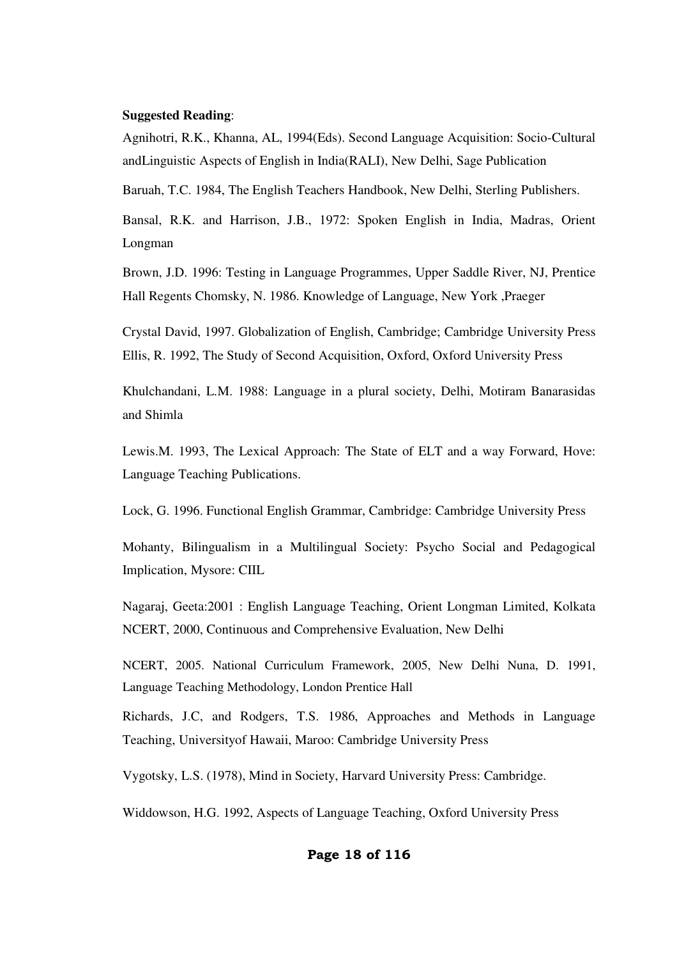#### **Suggested Reading**:

Agnihotri, R.K., Khanna, AL, 1994(Eds). Second Language Acquisition: Socio-Cultural andLinguistic Aspects of English in India(RALI), New Delhi, Sage Publication

Baruah, T.C. 1984, The English Teachers Handbook, New Delhi, Sterling Publishers.

Bansal, R.K. and Harrison, J.B., 1972: Spoken English in India, Madras, Orient Longman

Brown, J.D. 1996: Testing in Language Programmes, Upper Saddle River, NJ, Prentice Hall Regents Chomsky, N. 1986. Knowledge of Language, New York ,Praeger

Crystal David, 1997. Globalization of English, Cambridge; Cambridge University Press Ellis, R. 1992, The Study of Second Acquisition, Oxford, Oxford University Press

Khulchandani, L.M. 1988: Language in a plural society, Delhi, Motiram Banarasidas and Shimla

Lewis.M. 1993, The Lexical Approach: The State of ELT and a way Forward, Hove: Language Teaching Publications.

Lock, G. 1996. Functional English Grammar, Cambridge: Cambridge University Press

Mohanty, Bilingualism in a Multilingual Society: Psycho Social and Pedagogical Implication, Mysore: CIIL

Nagaraj, Geeta:2001 : English Language Teaching, Orient Longman Limited, Kolkata NCERT, 2000, Continuous and Comprehensive Evaluation, New Delhi

NCERT, 2005. National Curriculum Framework, 2005, New Delhi Nuna, D. 1991, Language Teaching Methodology, London Prentice Hall

Richards, J.C, and Rodgers, T.S. 1986, Approaches and Methods in Language Teaching, Universityof Hawaii, Maroo: Cambridge University Press

Vygotsky, L.S. (1978), Mind in Society, Harvard University Press: Cambridge.

Widdowson, H.G. 1992, Aspects of Language Teaching, Oxford University Press

#### **Page 18 of 116**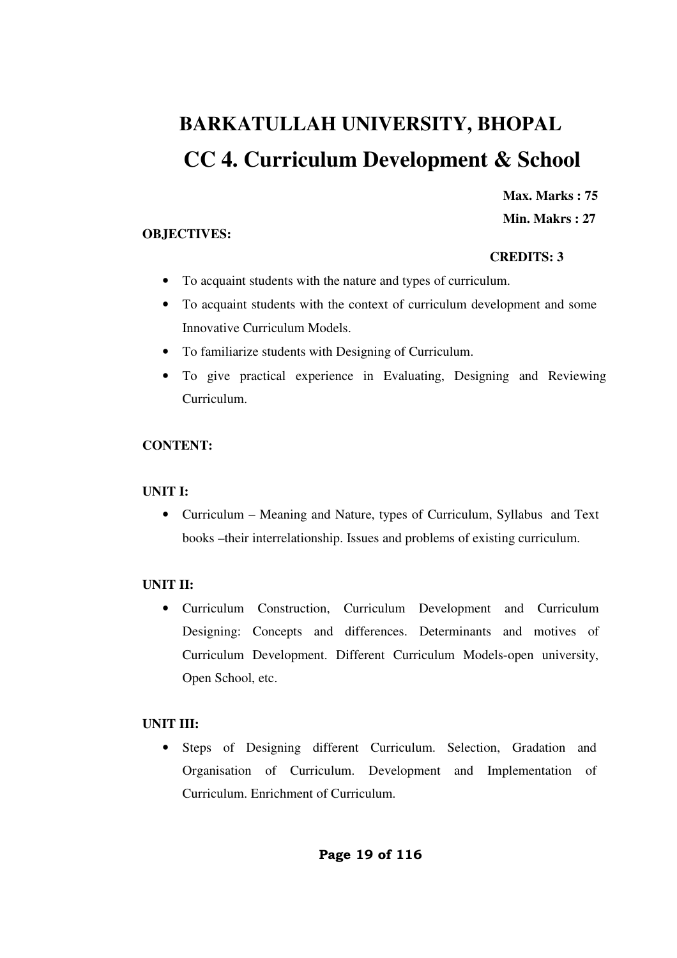# **BARKATULLAH UNIVERSITY, BHOPAL CC 4. Curriculum Development & School**

**Max. Marks : 75** 

**Min. Makrs : 27** 

#### **OBJECTIVES:**

#### **CREDITS: 3**

- To acquaint students with the nature and types of curriculum.
- To acquaint students with the context of curriculum development and some Innovative Curriculum Models.
- To familiarize students with Designing of Curriculum.
- To give practical experience in Evaluating, Designing and Reviewing Curriculum.

#### **CONTENT:**

#### **UNIT I:**

• Curriculum – Meaning and Nature, types of Curriculum, Syllabus and Text books –their interrelationship. Issues and problems of existing curriculum.

#### **UNIT II:**

• Curriculum Construction, Curriculum Development and Curriculum Designing: Concepts and differences. Determinants and motives of Curriculum Development. Different Curriculum Models-open university, Open School, etc.

#### **UNIT III:**

• Steps of Designing different Curriculum. Selection, Gradation and Organisation of Curriculum. Development and Implementation of Curriculum. Enrichment of Curriculum.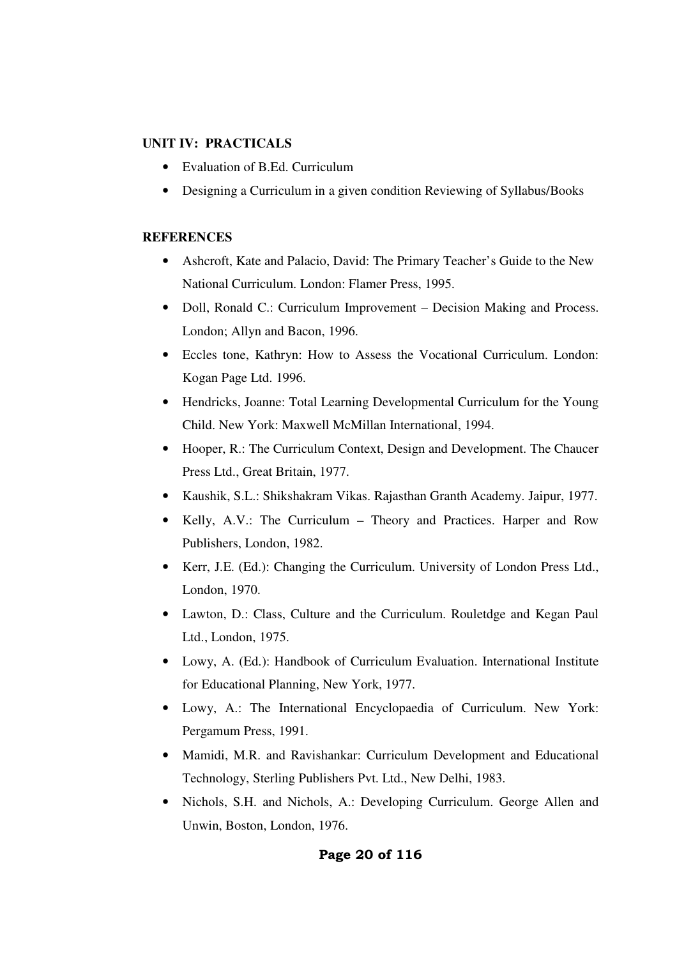#### **UNIT IV: PRACTICALS**

- Evaluation of B.Ed. Curriculum
- Designing a Curriculum in a given condition Reviewing of Syllabus/Books

#### **REFERENCES**

- Ashcroft, Kate and Palacio, David: The Primary Teacher's Guide to the New National Curriculum. London: Flamer Press, 1995.
- Doll, Ronald C.: Curriculum Improvement Decision Making and Process. London; Allyn and Bacon, 1996.
- Eccles tone, Kathryn: How to Assess the Vocational Curriculum. London: Kogan Page Ltd. 1996.
- Hendricks, Joanne: Total Learning Developmental Curriculum for the Young Child. New York: Maxwell McMillan International, 1994.
- Hooper, R.: The Curriculum Context, Design and Development. The Chaucer Press Ltd., Great Britain, 1977.
- Kaushik, S.L.: Shikshakram Vikas. Rajasthan Granth Academy. Jaipur, 1977.
- Kelly, A.V.: The Curriculum Theory and Practices. Harper and Row Publishers, London, 1982.
- Kerr, J.E. (Ed.): Changing the Curriculum. University of London Press Ltd., London, 1970.
- Lawton, D.: Class, Culture and the Curriculum. Rouletdge and Kegan Paul Ltd., London, 1975.
- Lowy, A. (Ed.): Handbook of Curriculum Evaluation. International Institute for Educational Planning, New York, 1977.
- Lowy, A.: The International Encyclopaedia of Curriculum. New York: Pergamum Press, 1991.
- Mamidi, M.R. and Ravishankar: Curriculum Development and Educational Technology, Sterling Publishers Pvt. Ltd., New Delhi, 1983.
- Nichols, S.H. and Nichols, A.: Developing Curriculum. George Allen and Unwin, Boston, London, 1976.

#### **Page 20 of 116**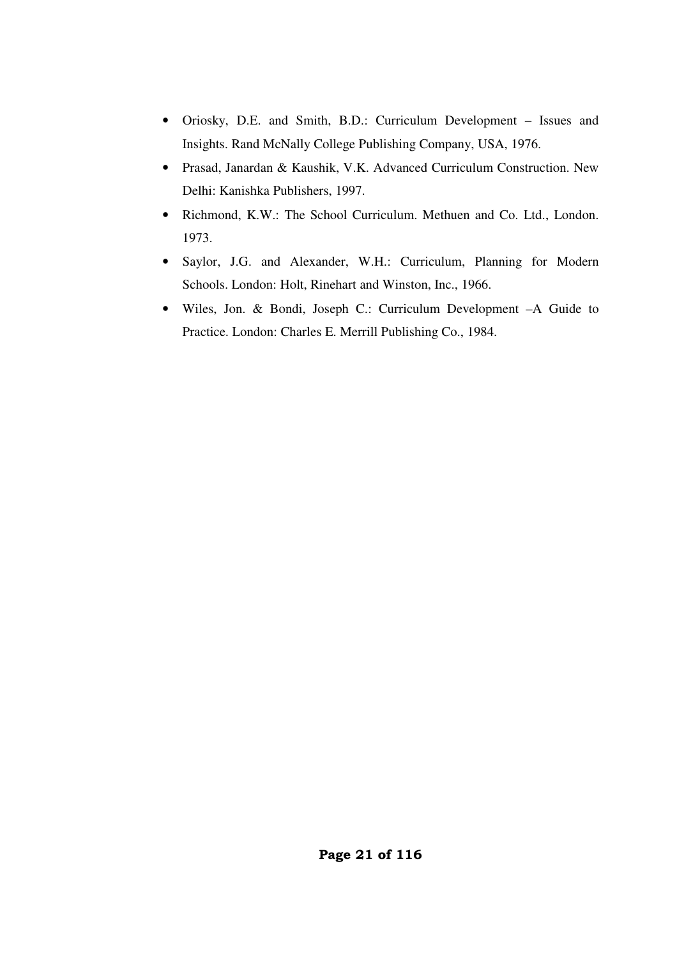- Oriosky, D.E. and Smith, B.D.: Curriculum Development Issues and Insights. Rand McNally College Publishing Company, USA, 1976.
- Prasad, Janardan & Kaushik, V.K. Advanced Curriculum Construction. New Delhi: Kanishka Publishers, 1997.
- Richmond, K.W.: The School Curriculum. Methuen and Co. Ltd., London. 1973.
- Saylor, J.G. and Alexander, W.H.: Curriculum, Planning for Modern Schools. London: Holt, Rinehart and Winston, Inc., 1966.
- Wiles, Jon. & Bondi, Joseph C.: Curriculum Development –A Guide to Practice. London: Charles E. Merrill Publishing Co., 1984.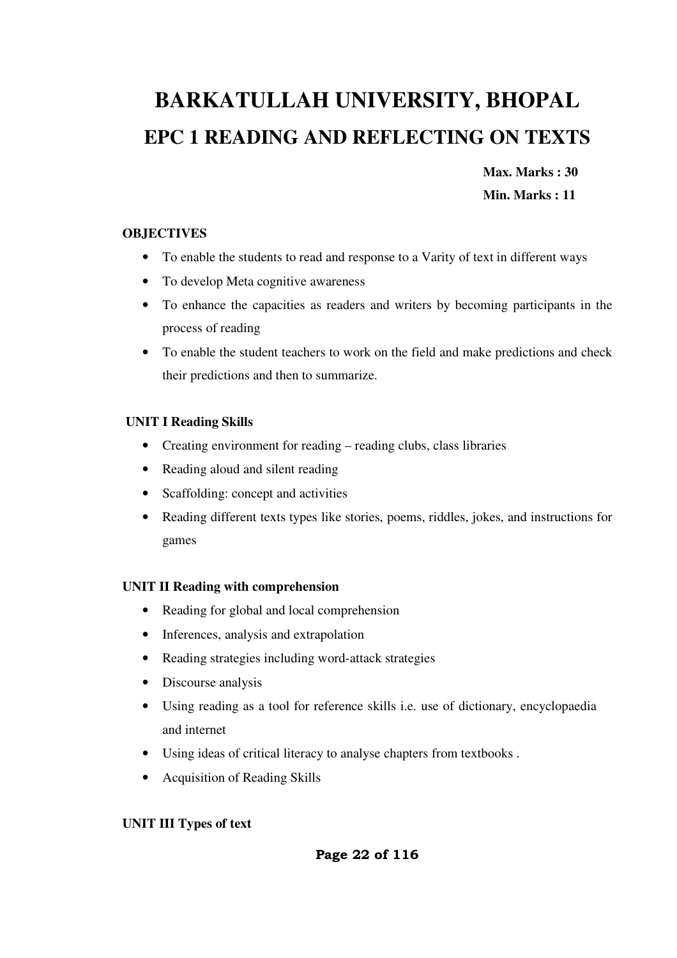# **BARKATULLAH UNIVERSITY, BHOPAL EPC 1 READING AND REFLECTING ON TEXTS**

**Max. Marks : 30** 

**Min. Marks : 11** 

#### **OBJECTIVES**

- To enable the students to read and response to a Varity of text in different ways
- To develop Meta cognitive awareness
- To enhance the capacities as readers and writers by becoming participants in the process of reading
- To enable the student teachers to work on the field and make predictions and check their predictions and then to summarize.

#### **UNIT I Reading Skills**

- Creating environment for reading reading clubs, class libraries
- Reading aloud and silent reading
- Scaffolding: concept and activities
- Reading different texts types like stories, poems, riddles, jokes, and instructions for games

#### **UNIT II Reading with comprehension**

- Reading for global and local comprehension
- Inferences, analysis and extrapolation
- Reading strategies including word-attack strategies
- Discourse analysis
- Using reading as a tool for reference skills i.e. use of dictionary, encyclopaedia and internet
- Using ideas of critical literacy to analyse chapters from textbooks .
- Acquisition of Reading Skills

#### **UNIT III Types of text**

#### **Page 22 of 116**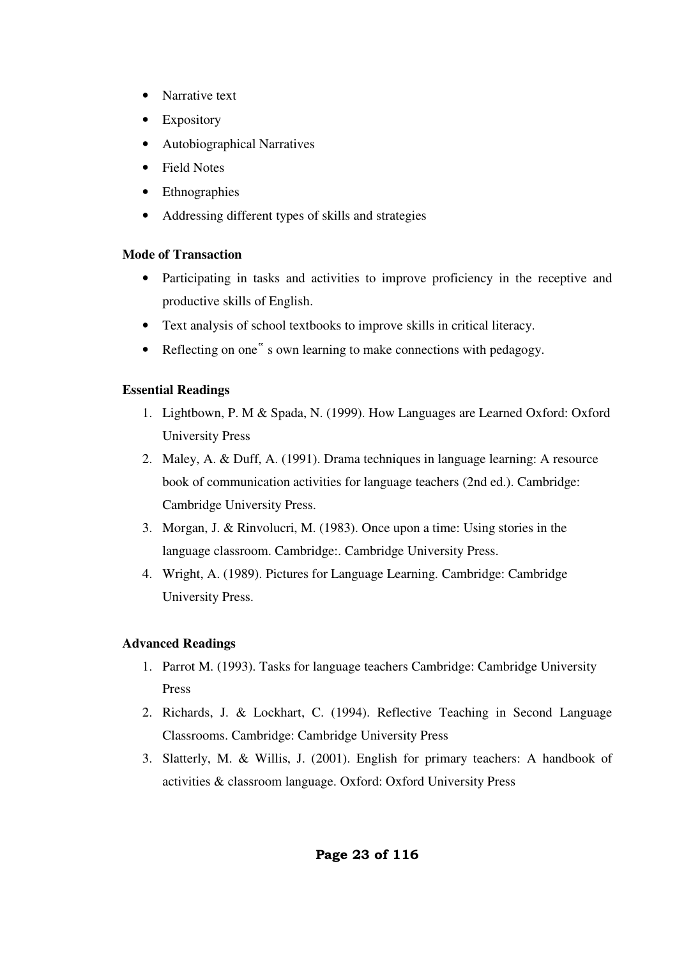- Narrative text
- Expository
- Autobiographical Narratives
- Field Notes
- **Ethnographies**
- Addressing different types of skills and strategies

#### **Mode of Transaction**

- Participating in tasks and activities to improve proficiency in the receptive and productive skills of English.
- Text analysis of school textbooks to improve skills in critical literacy.
- Reflecting on one" s own learning to make connections with pedagogy.

#### **Essential Readings**

- 1. Lightbown, P. M & Spada, N. (1999). How Languages are Learned Oxford: Oxford University Press
- 2. Maley, A. & Duff, A. (1991). Drama techniques in language learning: A resource book of communication activities for language teachers (2nd ed.). Cambridge: Cambridge University Press.
- 3. Morgan, J. & Rinvolucri, M. (1983). Once upon a time: Using stories in the language classroom. Cambridge:. Cambridge University Press.
- 4. Wright, A. (1989). Pictures for Language Learning. Cambridge: Cambridge University Press.

#### **Advanced Readings**

- 1. Parrot M. (1993). Tasks for language teachers Cambridge: Cambridge University Press
- 2. Richards, J. & Lockhart, C. (1994). Reflective Teaching in Second Language Classrooms. Cambridge: Cambridge University Press
- 3. Slatterly, M. & Willis, J. (2001). English for primary teachers: A handbook of activities & classroom language. Oxford: Oxford University Press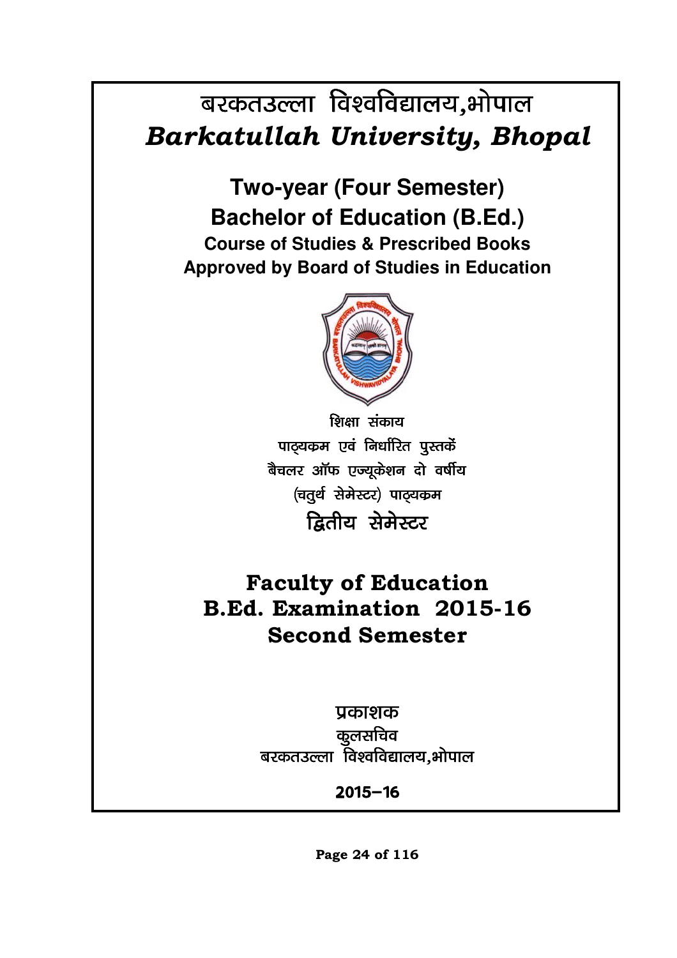# बरकतउल्ला विश्वविद्यालय,भोपाल **Barkatullah University, Bhopal**

## **Two-year (Four Semester) Bachelor of Education (B.Ed.) Course of Studies & Prescribed Books Approved by Board of Studies in Education**



शिक्षा संकाय पाढ़्यक्रम एवं निर्धारित पुस्तकें बैचलर ऑफ एज्यूकेशन दो वर्षीय (चतुर्थ सेमेस्टर) पाठ्यकम द्वितीय सेमेस्टर

# **Faculty of Education B.Ed. Examination 2015-16 Second Semester**

### प्रकाशक

कूलसचिव बरकतउल्ला विश्वविद्यालय,भोपाल

 $2015 - 16$ 

Page 24 of 116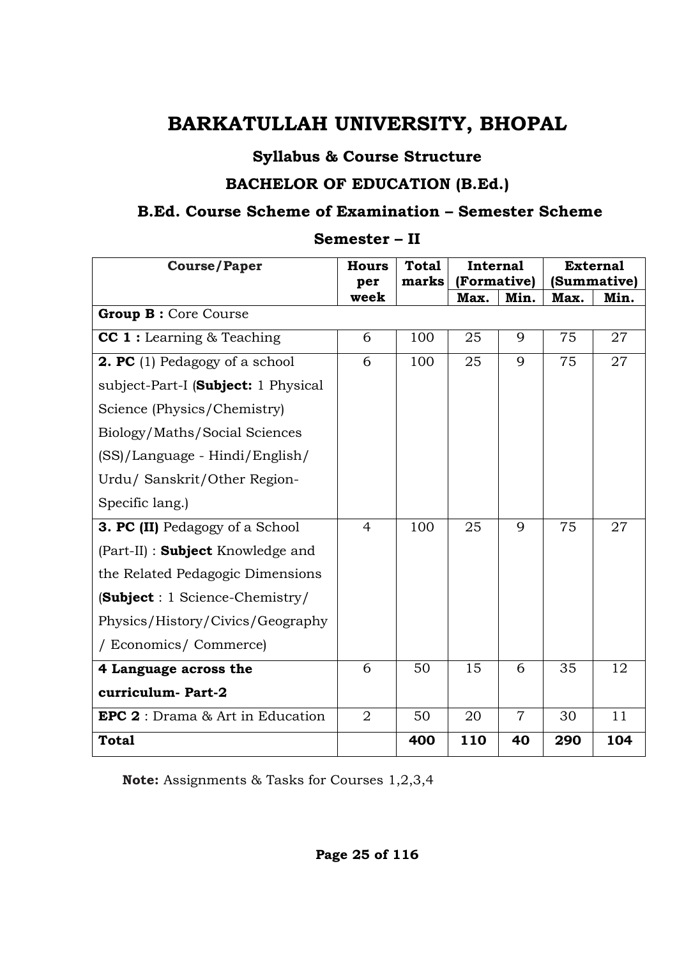## BARKATULLAH UNIVERSITY, BHOPAL

**Syllabus & Course Structure** 

### **BACHELOR OF EDUCATION (B.Ed.)**

### B.Ed. Course Scheme of Examination - Semester Scheme

| <b>Course/Paper</b>                        | <b>Hours</b><br>per | <b>Total</b><br>marks | <b>Internal</b><br>(Formative) |                | <b>External</b><br>(Summative) |      |
|--------------------------------------------|---------------------|-----------------------|--------------------------------|----------------|--------------------------------|------|
|                                            | week                |                       | Max.                           | Min.           | Max.                           | Min. |
| <b>Group B: Core Course</b>                |                     |                       |                                |                |                                |      |
| <b>CC 1</b> : Learning $\&$ Teaching       | 6                   | 100                   | 25                             | 9              | 75                             | 27   |
| <b>2. PC</b> (1) Pedagogy of a school      | 6                   | 100                   | 25                             | 9              | 75                             | 27   |
| subject-Part-I (Subject: 1 Physical        |                     |                       |                                |                |                                |      |
| Science (Physics/Chemistry)                |                     |                       |                                |                |                                |      |
| Biology/Maths/Social Sciences              |                     |                       |                                |                |                                |      |
| (SS)/Language - Hindi/English/             |                     |                       |                                |                |                                |      |
| Urdu/ Sanskrit/Other Region-               |                     |                       |                                |                |                                |      |
| Specific lang.)                            |                     |                       |                                |                |                                |      |
| 3. PC (II) Pedagogy of a School            | $\overline{4}$      | 100                   | 25                             | 9              | 75                             | 27   |
| (Part-II) : Subject Knowledge and          |                     |                       |                                |                |                                |      |
| the Related Pedagogic Dimensions           |                     |                       |                                |                |                                |      |
| $(Subject : 1 Science-Chemistry/$          |                     |                       |                                |                |                                |      |
| Physics/History/Civics/Geography           |                     |                       |                                |                |                                |      |
| / Economics/ Commerce)                     |                     |                       |                                |                |                                |      |
| 4 Language across the                      | 6                   | 50                    | 15                             | 6              | 35                             | 12   |
| curriculum-Part-2                          |                     |                       |                                |                |                                |      |
| <b>EPC 2</b> : Drama $\&$ Art in Education | 2                   | 50                    | 20                             | $\overline{7}$ | 30                             | 11   |
| <b>Total</b>                               |                     | 400                   | 110                            | 40             | 290                            | 104  |

#### Semester - II

Note: Assignments & Tasks for Courses 1,2,3,4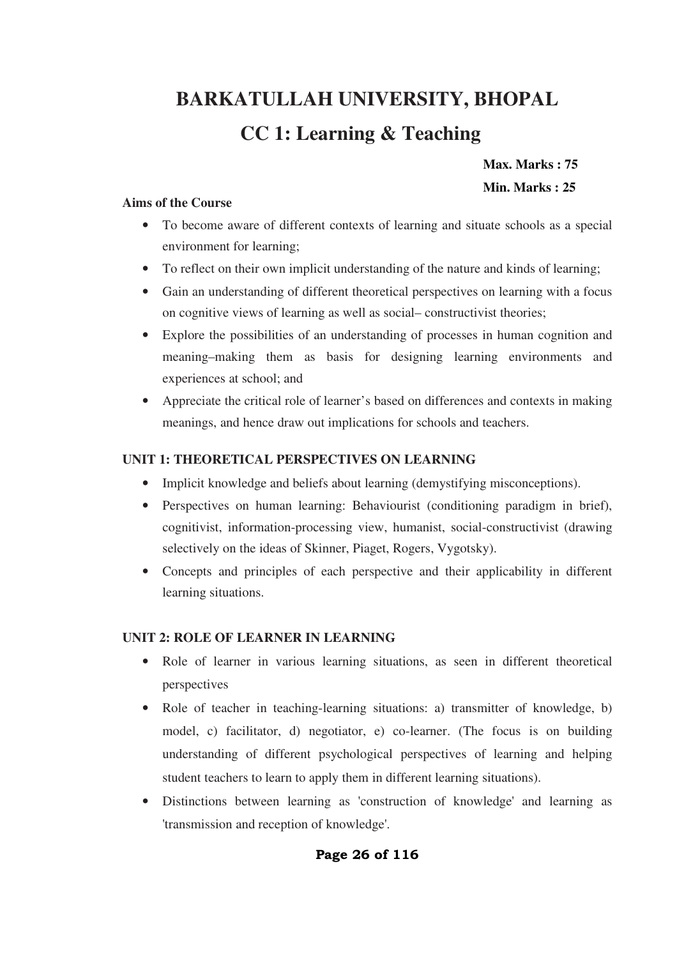# **BARKATULLAH UNIVERSITY, BHOPAL CC 1: Learning & Teaching**

**Max. Marks : 75 Min. Marks : 25** 

#### **Aims of the Course**

- To become aware of different contexts of learning and situate schools as a special environment for learning;
- To reflect on their own implicit understanding of the nature and kinds of learning;
- Gain an understanding of different theoretical perspectives on learning with a focus on cognitive views of learning as well as social– constructivist theories;
- Explore the possibilities of an understanding of processes in human cognition and meaning–making them as basis for designing learning environments and experiences at school; and
- Appreciate the critical role of learner's based on differences and contexts in making meanings, and hence draw out implications for schools and teachers.

#### **UNIT 1: THEORETICAL PERSPECTIVES ON LEARNING**

- Implicit knowledge and beliefs about learning (demystifying misconceptions).
- Perspectives on human learning: Behaviourist (conditioning paradigm in brief), cognitivist, information-processing view, humanist, social-constructivist (drawing selectively on the ideas of Skinner, Piaget, Rogers, Vygotsky).
- Concepts and principles of each perspective and their applicability in different learning situations.

#### **UNIT 2: ROLE OF LEARNER IN LEARNING**

- Role of learner in various learning situations, as seen in different theoretical perspectives
- Role of teacher in teaching-learning situations: a) transmitter of knowledge, b) model, c) facilitator, d) negotiator, e) co-learner. (The focus is on building understanding of different psychological perspectives of learning and helping student teachers to learn to apply them in different learning situations).
- Distinctions between learning as 'construction of knowledge' and learning as 'transmission and reception of knowledge'.

#### **Page 26 of 116**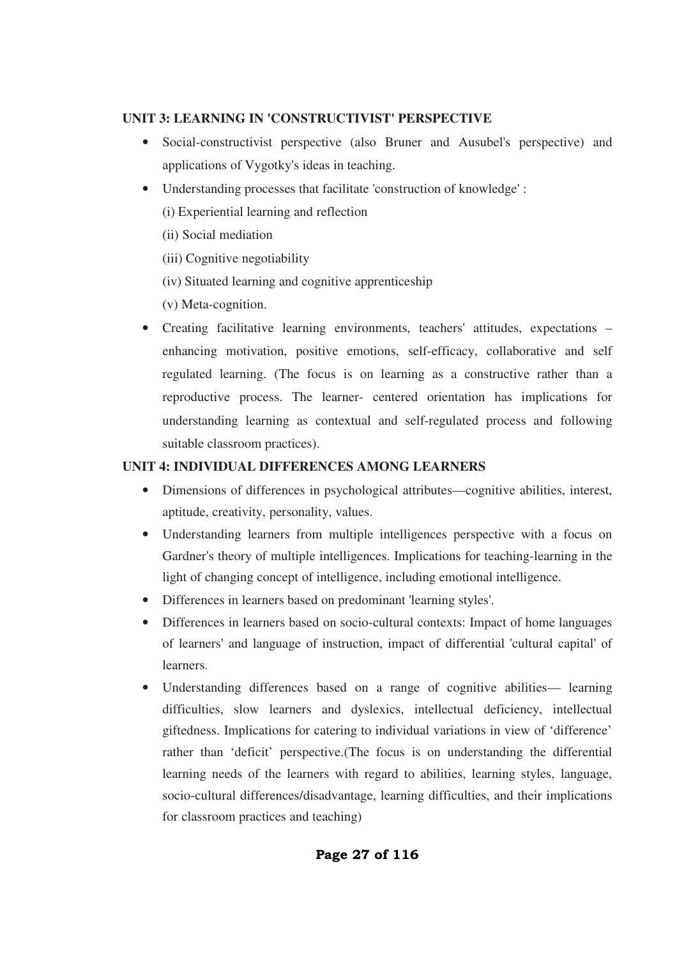#### **UNIT 3: LEARNING IN 'CONSTRUCTIVIST' PERSPECTIVE**

- Social-constructivist perspective (also Bruner and Ausubel's perspective) and applications of Vygotky's ideas in teaching.
- Understanding processes that facilitate 'construction of knowledge' :
	- (i) Experiential learning and reflection
	- (ii) Social mediation
	- (iii) Cognitive negotiability
	- (iv) Situated learning and cognitive apprenticeship
	- (v) Meta-cognition.
- Creating facilitative learning environments, teachers' attitudes, expectations enhancing motivation, positive emotions, self-efficacy, collaborative and self regulated learning. (The focus is on learning as a constructive rather than a reproductive process. The learner- centered orientation has implications for understanding learning as contextual and self-regulated process and following suitable classroom practices).

#### **UNIT 4: INDIVIDUAL DIFFERENCES AMONG LEARNERS**

- Dimensions of differences in psychological attributes—cognitive abilities, interest, aptitude, creativity, personality, values.
- Understanding learners from multiple intelligences perspective with a focus on Gardner's theory of multiple intelligences. Implications for teaching-learning in the light of changing concept of intelligence, including emotional intelligence.
- Differences in learners based on predominant 'learning styles'.
- Differences in learners based on socio-cultural contexts: Impact of home languages of learners' and language of instruction, impact of differential 'cultural capital' of learners.
- Understanding differences based on a range of cognitive abilities— learning difficulties, slow learners and dyslexics, intellectual deficiency, intellectual giftedness. Implications for catering to individual variations in view of 'difference' rather than 'deficit' perspective.(The focus is on understanding the differential learning needs of the learners with regard to abilities, learning styles, language, socio-cultural differences/disadvantage, learning difficulties, and their implications for classroom practices and teaching)

#### **Page 27 of 116**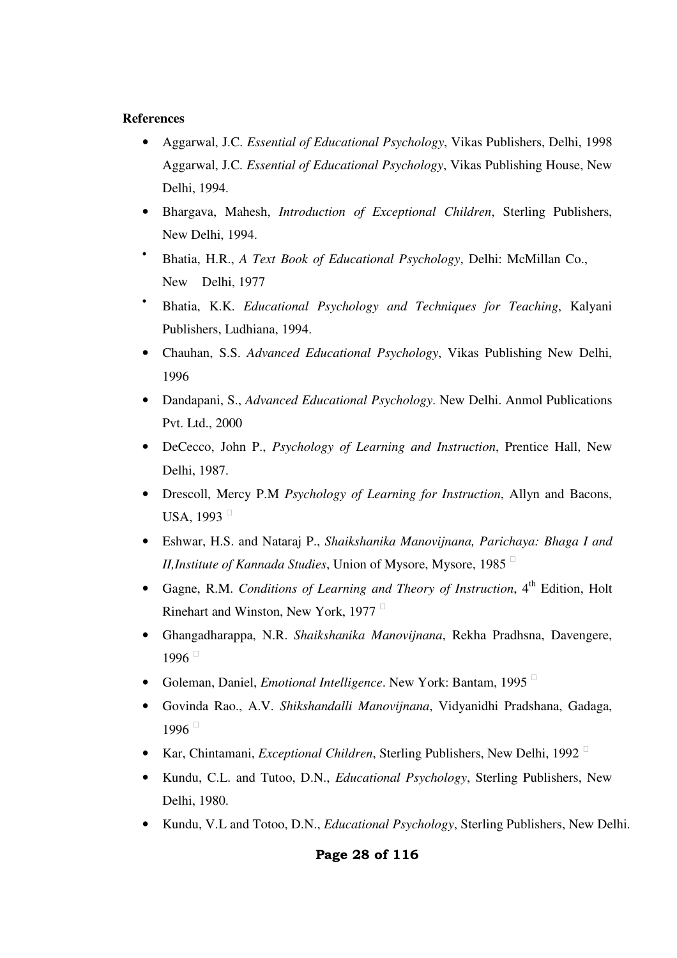#### **References**

- Aggarwal, J.C. *Essential of Educational Psychology*, Vikas Publishers, Delhi, 1998 Aggarwal, J.C. *Essential of Educational Psychology*, Vikas Publishing House, New Delhi, 1994.
- Bhargava, Mahesh, *Introduction of Exceptional Children*, Sterling Publishers, New Delhi, 1994.
- Bhatia, H.R., *A Text Book of Educational Psychology*, Delhi: McMillan Co., New Delhi, 1977
- Bhatia, K.K. *Educational Psychology and Techniques for Teaching*, Kalyani Publishers, Ludhiana, 1994.
- Chauhan, S.S. *Advanced Educational Psychology*, Vikas Publishing New Delhi, 1996
- Dandapani, S., *Advanced Educational Psychology*. New Delhi. Anmol Publications Pvt. Ltd., 2000
- DeCecco, John P., *Psychology of Learning and Instruction*, Prentice Hall, New Delhi, 1987.
- Drescoll, Mercy P.M *Psychology of Learning for Instruction*, Allyn and Bacons, USA, 1993
- Eshwar, H.S. and Nataraj P., *Shaikshanika Manovijnana, Parichaya: Bhaga I and II,Institute of Kannada Studies*, Union of Mysore, Mysore, 1985
- Gagne, R.M. *Conditions of Learning and Theory of Instruction*, 4<sup>th</sup> Edition. Holt Rinehart and Winston, New York, 1977
- Ghangadharappa, N.R. *Shaikshanika Manovijnana*, Rekha Pradhsna, Davengere, 1996
- Goleman, Daniel, *Emotional Intelligence*. New York: Bantam, 1995
- Govinda Rao., A.V. *Shikshandalli Manovijnana*, Vidyanidhi Pradshana, Gadaga, 1996
- Kar, Chintamani, *Exceptional Children*, Sterling Publishers, New Delhi, 1992
- Kundu, C.L. and Tutoo, D.N., *Educational Psychology*, Sterling Publishers, New Delhi, 1980.
- Kundu, V.L and Totoo, D.N., *Educational Psychology*, Sterling Publishers, New Delhi.

#### **Page 28 of 116**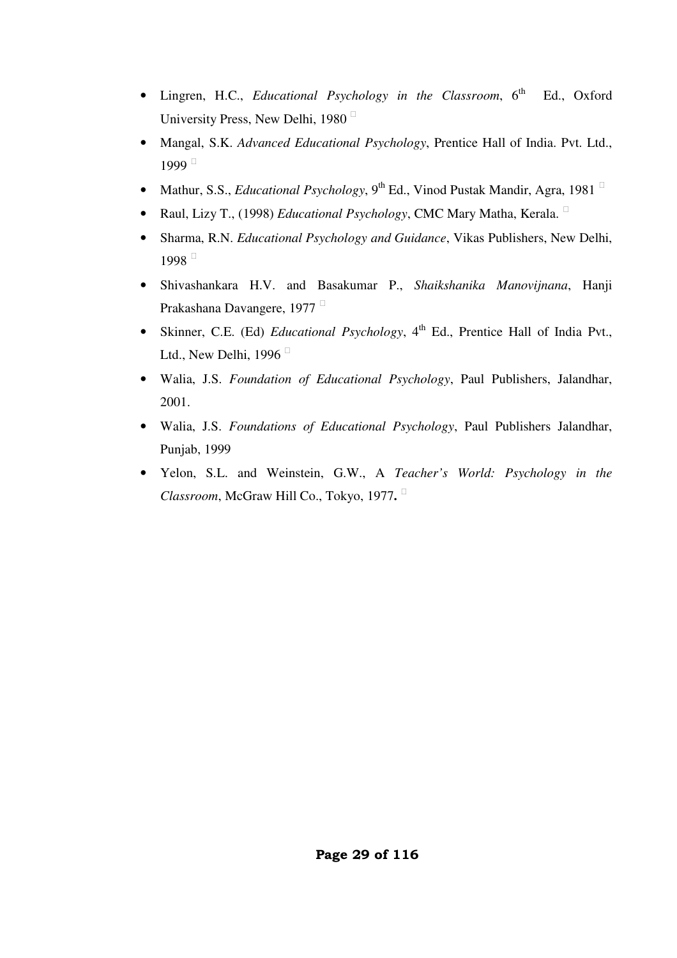- Lingren, H.C., *Educational Psychology in the Classroom*, 6<sup>th</sup> Ed., Oxford University Press, New Delhi, 1980
- Mangal, S.K. *Advanced Educational Psychology*, Prentice Hall of India. Pvt. Ltd., 1999
- Mathur, S.S., *Educational Psychology*, 9<sup>th</sup> Ed., Vinod Pustak Mandir, Agra, 1981
- Raul, Lizy T., (1998) *Educational Psychology*, CMC Mary Matha, Kerala.
- Sharma, R.N. *Educational Psychology and Guidance*, Vikas Publishers, New Delhi, 1998
- Shivashankara H.V. and Basakumar P., *Shaikshanika Manovijnana*, Hanji Prakashana Davangere, 1977
- Skinner, C.E. (Ed) *Educational Psychology*, 4<sup>th</sup> Ed., Prentice Hall of India Pvt., Ltd., New Delhi, 1996
- Walia, J.S. *Foundation of Educational Psychology*, Paul Publishers, Jalandhar, 2001.
- Walia, J.S. *Foundations of Educational Psychology*, Paul Publishers Jalandhar, Punjab, 1999
- Yelon, S.L. and Weinstein, G.W., A *Teacher's World: Psychology in the Classroom*, McGraw Hill Co., Tokyo, 1977**.**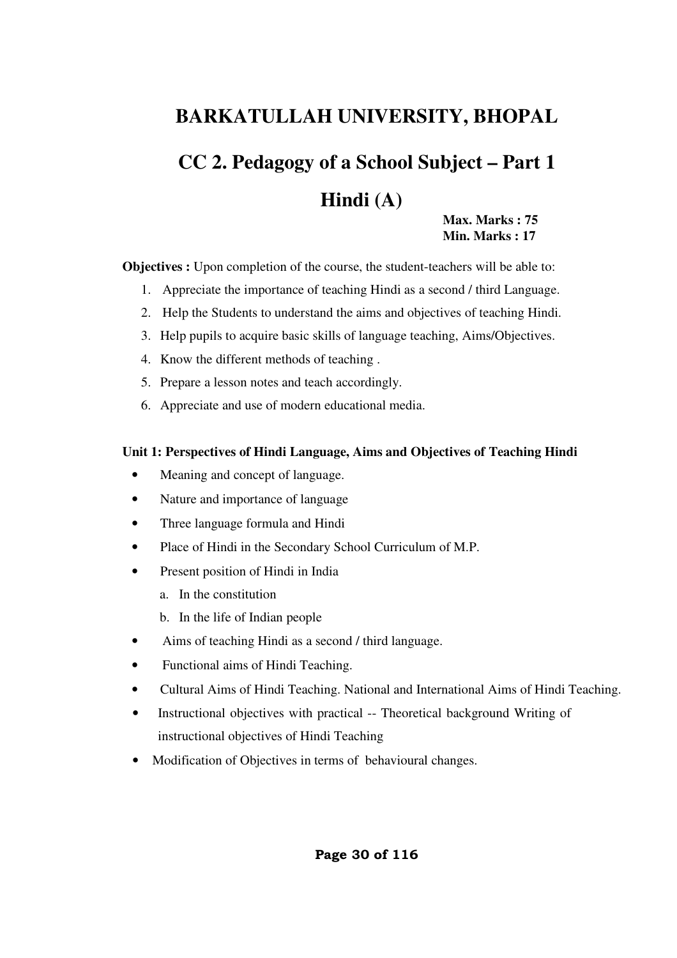## **BARKATULLAH UNIVERSITY, BHOPAL**

# **CC 2. Pedagogy of a School Subject – Part 1**

### **Hindi (A)**

**Max. Marks : 75 Min. Marks : 17** 

**Objectives :** Upon completion of the course, the student-teachers will be able to:

- 1. Appreciate the importance of teaching Hindi as a second / third Language.
- 2. Help the Students to understand the aims and objectives of teaching Hindi.
- 3. Help pupils to acquire basic skills of language teaching, Aims/Objectives.
- 4. Know the different methods of teaching .
- 5. Prepare a lesson notes and teach accordingly.
- 6. Appreciate and use of modern educational media.

#### **Unit 1: Perspectives of Hindi Language, Aims and Objectives of Teaching Hindi**

- Meaning and concept of language.
- Nature and importance of language
- Three language formula and Hindi
- Place of Hindi in the Secondary School Curriculum of M.P.
- Present position of Hindi in India
	- a. In the constitution
	- b. In the life of Indian people
- Aims of teaching Hindi as a second / third language.
- Functional aims of Hindi Teaching.
- Cultural Aims of Hindi Teaching. National and International Aims of Hindi Teaching.
- Instructional objectives with practical -- Theoretical background Writing of instructional objectives of Hindi Teaching
- Modification of Objectives in terms of behavioural changes.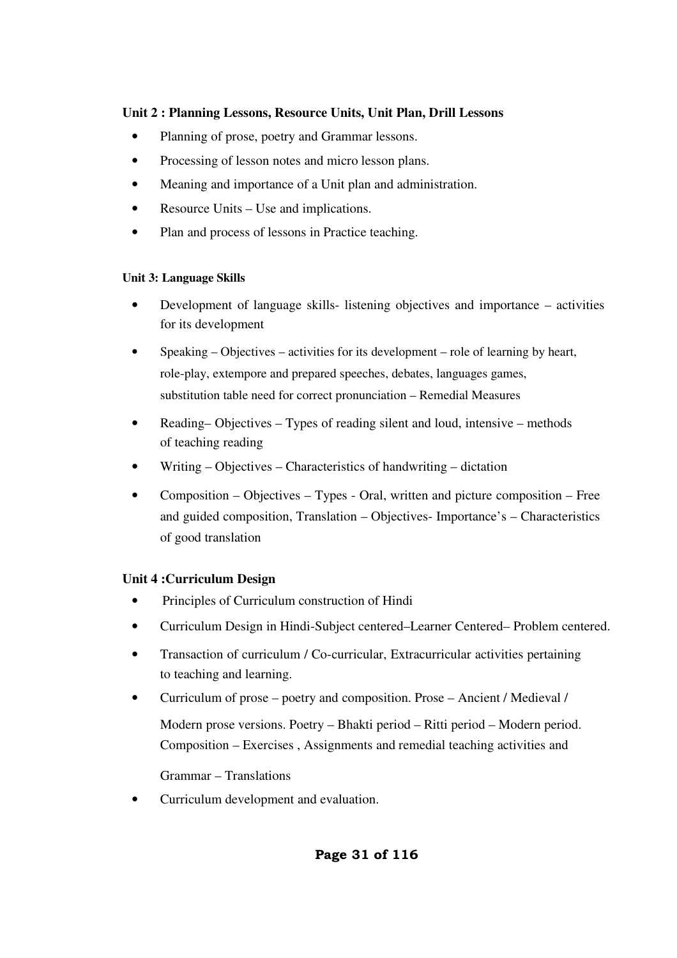#### **Unit 2 : Planning Lessons, Resource Units, Unit Plan, Drill Lessons**

- Planning of prose, poetry and Grammar lessons.
- Processing of lesson notes and micro lesson plans.
- Meaning and importance of a Unit plan and administration.
- Resource Units Use and implications.
- Plan and process of lessons in Practice teaching.

#### **Unit 3: Language Skills**

- Development of language skills- listening objectives and importance activities for its development
- Speaking Objectives activities for its development role of learning by heart, role-play, extempore and prepared speeches, debates, languages games, substitution table need for correct pronunciation – Remedial Measures
- Reading–Objectives Types of reading silent and loud, intensive methods of teaching reading
- Writing Objectives Characteristics of handwriting dictation
- Composition Objectives Types Oral, written and picture composition Free and guided composition, Translation – Objectives- Importance's – Characteristics of good translation

#### **Unit 4 :Curriculum Design**

- Principles of Curriculum construction of Hindi
- Curriculum Design in Hindi-Subject centered–Learner Centered– Problem centered.
- Transaction of curriculum / Co-curricular, Extracurricular activities pertaining to teaching and learning.
- Curriculum of prose poetry and composition. Prose Ancient / Medieval /

Modern prose versions. Poetry – Bhakti period – Ritti period – Modern period. Composition – Exercises , Assignments and remedial teaching activities and

Grammar – Translations

• Curriculum development and evaluation.

#### **Page 31 of 116**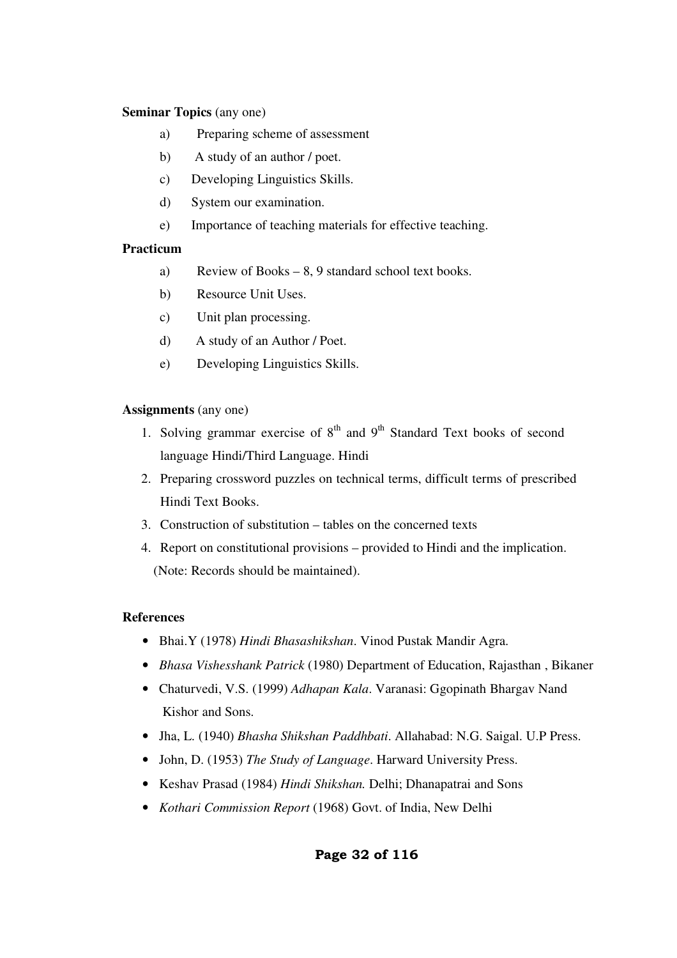#### **Seminar Topics** (any one)

- a) Preparing scheme of assessment
- b) A study of an author / poet.
- c) Developing Linguistics Skills.
- d) System our examination.
- e) Importance of teaching materials for effective teaching.

#### **Practicum**

- a) Review of Books 8, 9 standard school text books.
- b) Resource Unit Uses.
- c) Unit plan processing.
- d) A study of an Author / Poet.
- e) Developing Linguistics Skills.

#### **Assignments** (any one)

- 1. Solving grammar exercise of  $8<sup>th</sup>$  and  $9<sup>th</sup>$  Standard Text books of second language Hindi/Third Language. Hindi
- 2. Preparing crossword puzzles on technical terms, difficult terms of prescribed Hindi Text Books.
- 3. Construction of substitution tables on the concerned texts
- 4. Report on constitutional provisions provided to Hindi and the implication. (Note: Records should be maintained).

#### **References**

- Bhai.Y (1978) *Hindi Bhasashikshan*. Vinod Pustak Mandir Agra.
- *Bhasa Vishesshank Patrick* (1980) Department of Education, Rajasthan , Bikaner
- Chaturvedi, V.S. (1999) *Adhapan Kala*. Varanasi: Ggopinath Bhargav Nand Kishor and Sons.
- Jha, L. (1940) *Bhasha Shikshan Paddhbati*. Allahabad: N.G. Saigal. U.P Press.
- John, D. (1953) *The Study of Language*. Harward University Press.
- Keshav Prasad (1984) *Hindi Shikshan.* Delhi; Dhanapatrai and Sons
- *Kothari Commission Report* (1968) Govt. of India, New Delhi

#### **Page 32 of 116**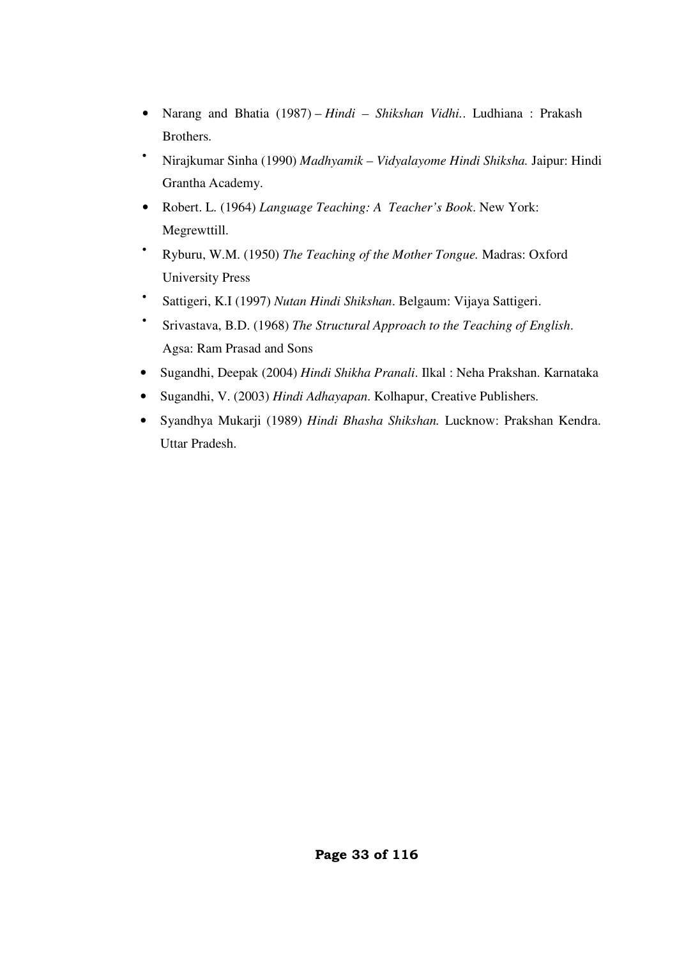- Narang and Bhatia (1987) *Hindi – Shikshan Vidhi.*. Ludhiana : Prakash Brothers.
- Nirajkumar Sinha (1990) *Madhyamik – Vidyalayome Hindi Shiksha.* Jaipur: Hindi Grantha Academy.
- Robert. L. (1964) *Language Teaching: A Teacher's Book*. New York: Megrewttill.
- Ryburu, W.M. (1950) *The Teaching of the Mother Tongue.* Madras: Oxford University Press
- Sattigeri, K.I (1997) *Nutan Hindi Shikshan*. Belgaum: Vijaya Sattigeri.
- Srivastava, B.D. (1968) *The Structural Approach to the Teaching of English*. Agsa: Ram Prasad and Sons
- Sugandhi, Deepak (2004) *Hindi Shikha Pranali*. Ilkal : Neha Prakshan. Karnataka
- Sugandhi, V. (2003) *Hindi Adhayapan*. Kolhapur, Creative Publishers.
- Syandhya Mukarji (1989) *Hindi Bhasha Shikshan.* Lucknow: Prakshan Kendra. Uttar Pradesh.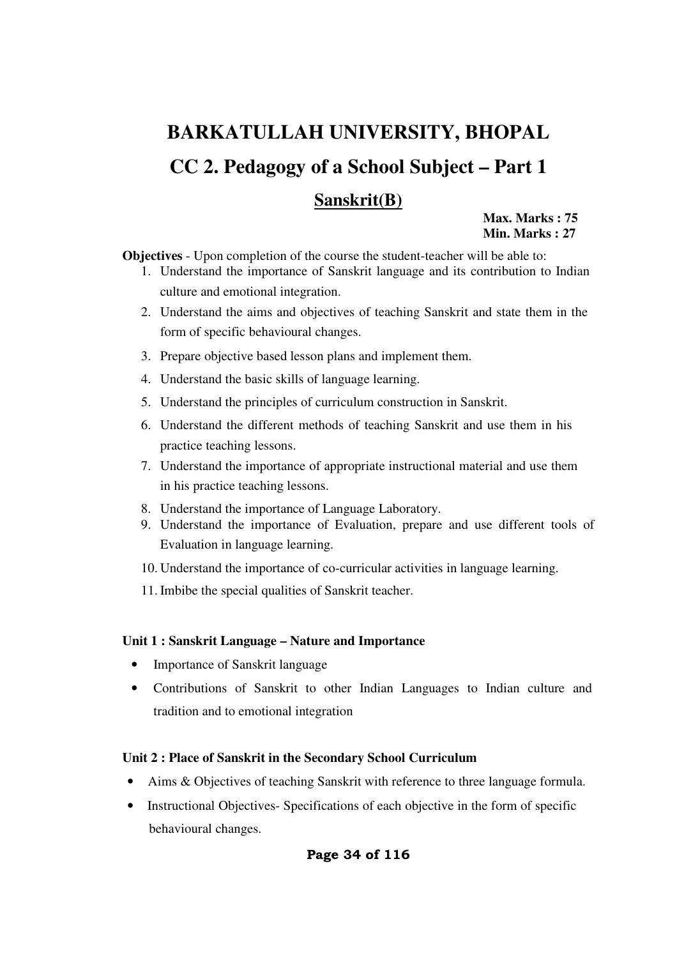# **BARKATULLAH UNIVERSITY, BHOPAL CC 2. Pedagogy of a School Subject – Part 1**

### **Sanskrit(B)**

**Max. Marks : 75 Min. Marks : 27** 

**Objectives** - Upon completion of the course the student-teacher will be able to:

- 1. Understand the importance of Sanskrit language and its contribution to Indian culture and emotional integration.
- 2. Understand the aims and objectives of teaching Sanskrit and state them in the form of specific behavioural changes.
- 3. Prepare objective based lesson plans and implement them.
- 4. Understand the basic skills of language learning.
- 5. Understand the principles of curriculum construction in Sanskrit.
- 6. Understand the different methods of teaching Sanskrit and use them in his practice teaching lessons.
- 7. Understand the importance of appropriate instructional material and use them in his practice teaching lessons.
- 8. Understand the importance of Language Laboratory.
- 9. Understand the importance of Evaluation, prepare and use different tools of Evaluation in language learning.
- 10. Understand the importance of co-curricular activities in language learning.
- 11. Imbibe the special qualities of Sanskrit teacher.

#### **Unit 1 : Sanskrit Language – Nature and Importance**

- Importance of Sanskrit language
- Contributions of Sanskrit to other Indian Languages to Indian culture and tradition and to emotional integration

#### **Unit 2 : Place of Sanskrit in the Secondary School Curriculum**

- Aims & Objectives of teaching Sanskrit with reference to three language formula.
- Instructional Objectives- Specifications of each objective in the form of specific behavioural changes.

#### **Page 34 of 116**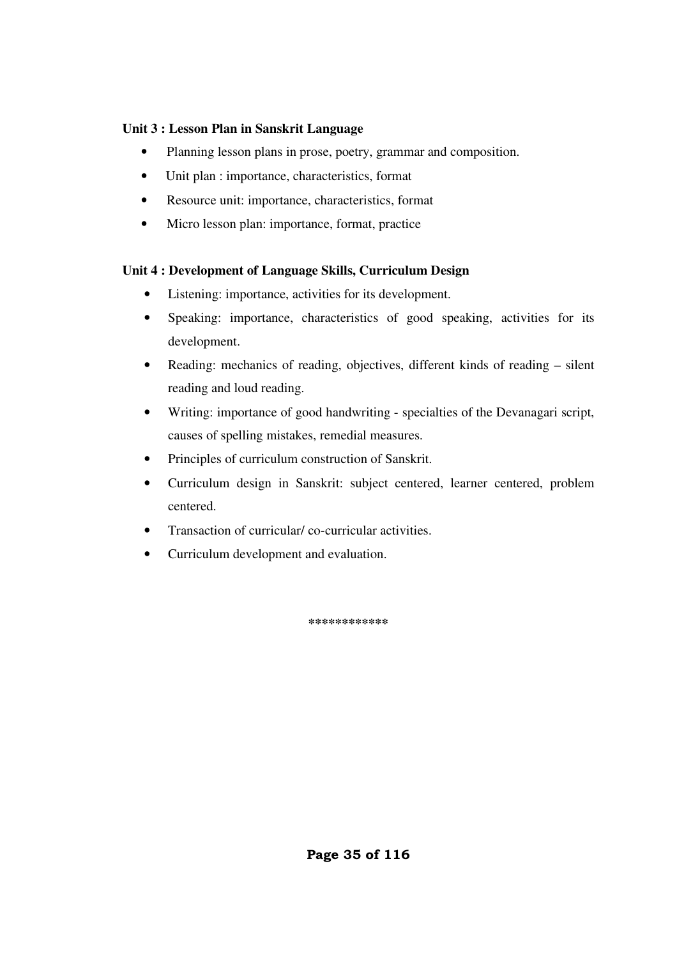#### **Unit 3 : Lesson Plan in Sanskrit Language**

- Planning lesson plans in prose, poetry, grammar and composition.
- Unit plan : importance, characteristics, format
- Resource unit: importance, characteristics, format
- Micro lesson plan: importance, format, practice

#### **Unit 4 : Development of Language Skills, Curriculum Design**

- Listening: importance, activities for its development.
- Speaking: importance, characteristics of good speaking, activities for its development.
- Reading: mechanics of reading, objectives, different kinds of reading silent reading and loud reading.
- Writing: importance of good handwriting specialties of the Devanagari script, causes of spelling mistakes, remedial measures.
- Principles of curriculum construction of Sanskrit.
- Curriculum design in Sanskrit: subject centered, learner centered, problem centered.
- Transaction of curricular/ co-curricular activities.
- Curriculum development and evaluation.

**\*\*\*\*\*\*\*\*\*\*\*\***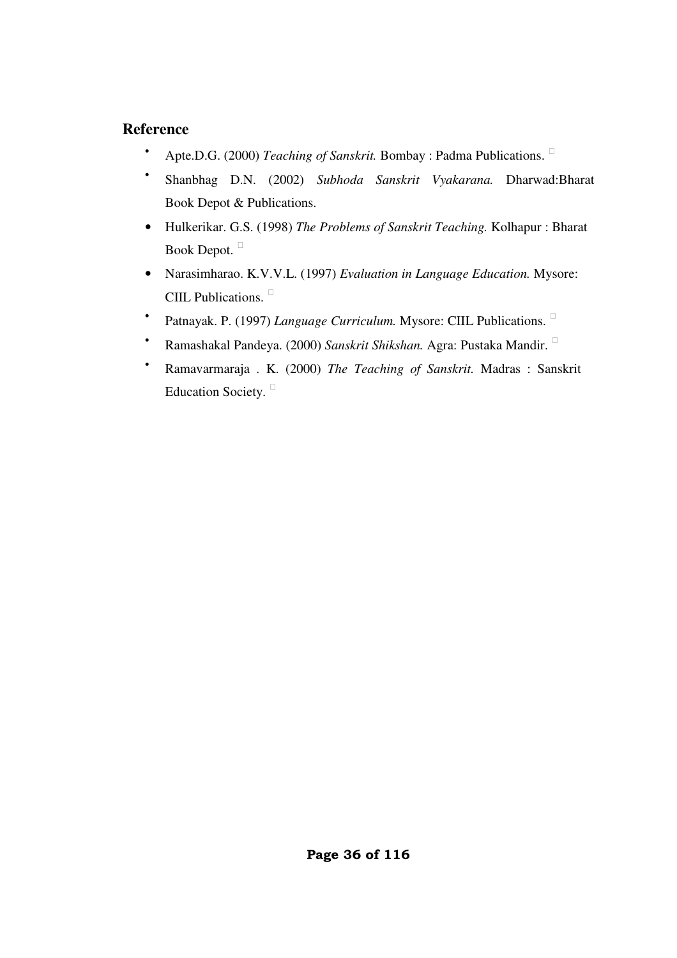# **Reference**

- Apte.D.G. (2000) *Teaching of Sanskrit.* Bombay : Padma Publications.
- Shanbhag D.N. (2002) *Subhoda Sanskrit Vyakarana.* Dharwad:Bharat Book Depot & Publications.
- Hulkerikar. G.S. (1998) *The Problems of Sanskrit Teaching.* Kolhapur : Bharat Book Depot.
- Narasimharao. K.V.V.L. (1997) *Evaluation in Language Education.* Mysore: CIIL Publications.
- Patnayak. P. (1997) *Language Curriculum.* Mysore: CIIL Publications.
- Ramashakal Pandeya. (2000) *Sanskrit Shikshan.* Agra: Pustaka Mandir.
- Ramavarmaraja . K. (2000) *The Teaching of Sanskrit.* Madras : Sanskrit Education Society.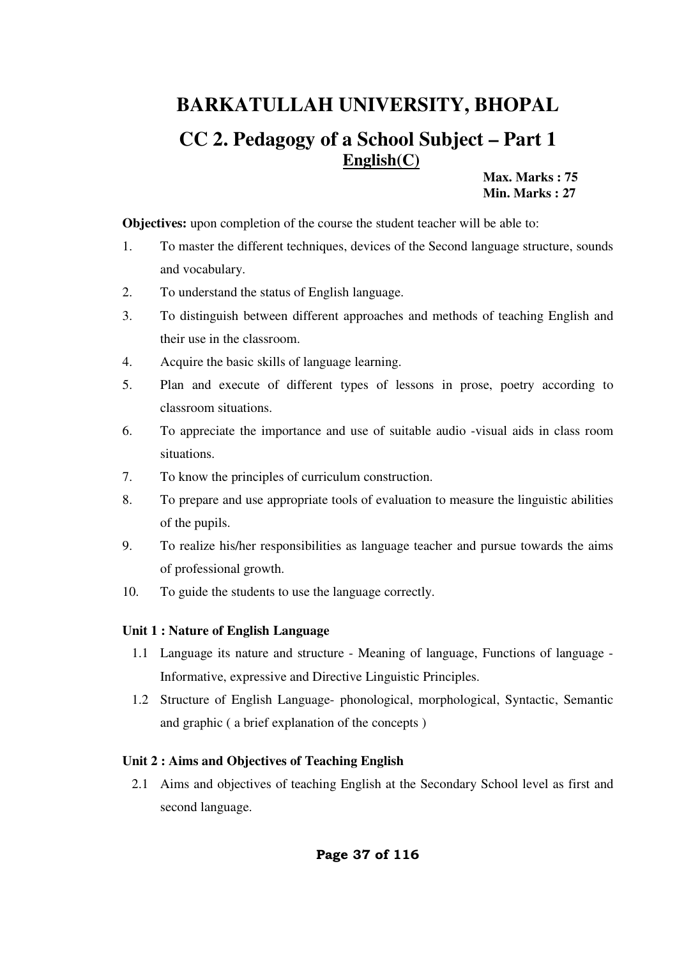# **BARKATULLAH UNIVERSITY, BHOPAL CC 2. Pedagogy of a School Subject – Part 1 English(C)**

**Max. Marks : 75 Min. Marks : 27** 

**Objectives:** upon completion of the course the student teacher will be able to:

- 1. To master the different techniques, devices of the Second language structure, sounds and vocabulary.
- 2. To understand the status of English language.
- 3. To distinguish between different approaches and methods of teaching English and their use in the classroom.
- 4. Acquire the basic skills of language learning.
- 5. Plan and execute of different types of lessons in prose, poetry according to classroom situations.
- 6. To appreciate the importance and use of suitable audio -visual aids in class room situations.
- 7. To know the principles of curriculum construction.
- 8. To prepare and use appropriate tools of evaluation to measure the linguistic abilities of the pupils.
- 9. To realize his/her responsibilities as language teacher and pursue towards the aims of professional growth.
- 10. To guide the students to use the language correctly.

## **Unit 1 : Nature of English Language**

- 1.1 Language its nature and structure Meaning of language, Functions of language Informative, expressive and Directive Linguistic Principles.
- 1.2 Structure of English Language- phonological, morphological, Syntactic, Semantic and graphic ( a brief explanation of the concepts )

## **Unit 2 : Aims and Objectives of Teaching English**

2.1 Aims and objectives of teaching English at the Secondary School level as first and second language.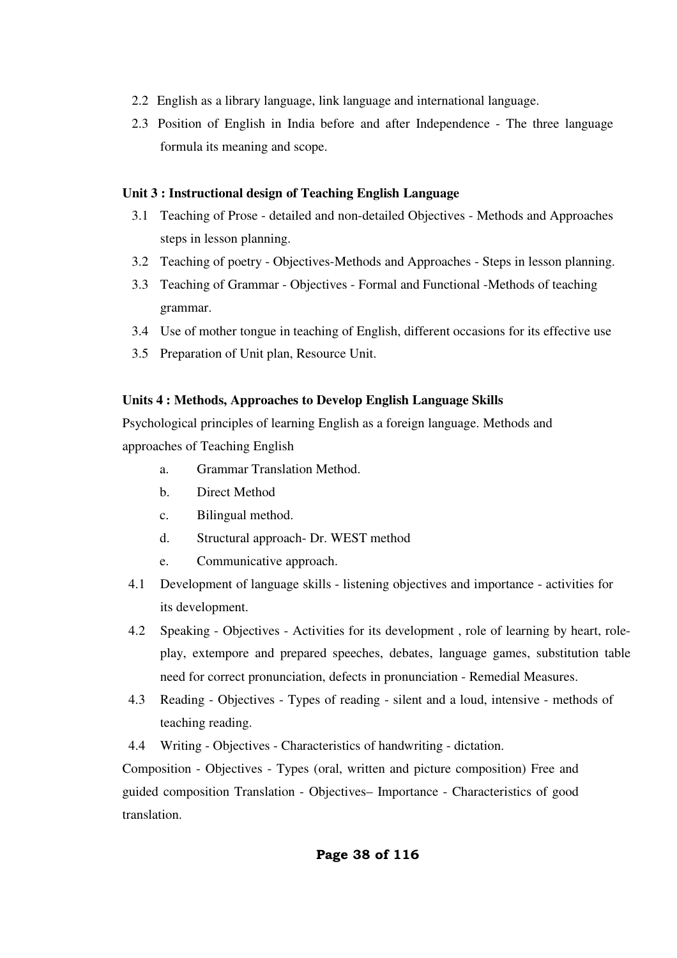- 2.2 English as a library language, link language and international language.
- 2.3 Position of English in India before and after Independence The three language formula its meaning and scope.

### **Unit 3 : Instructional design of Teaching English Language**

- 3.1 Teaching of Prose detailed and non-detailed Objectives Methods and Approaches steps in lesson planning.
- 3.2 Teaching of poetry Objectives-Methods and Approaches Steps in lesson planning.
- 3.3 Teaching of Grammar Objectives Formal and Functional -Methods of teaching grammar.
- 3.4 Use of mother tongue in teaching of English, different occasions for its effective use
- 3.5 Preparation of Unit plan, Resource Unit.

### **Units 4 : Methods, Approaches to Develop English Language Skills**

Psychological principles of learning English as a foreign language. Methods and approaches of Teaching English

- a. Grammar Translation Method.
- b. Direct Method
- c. Bilingual method.
- d. Structural approach- Dr. WEST method
- e. Communicative approach.
- 4.1 Development of language skills listening objectives and importance activities for its development.
- 4.2 Speaking Objectives Activities for its development , role of learning by heart, roleplay, extempore and prepared speeches, debates, language games, substitution table need for correct pronunciation, defects in pronunciation - Remedial Measures.
- 4.3 Reading Objectives Types of reading silent and a loud, intensive methods of teaching reading.
- 4.4 Writing Objectives Characteristics of handwriting dictation.

Composition - Objectives - Types (oral, written and picture composition) Free and guided composition Translation - Objectives– Importance - Characteristics of good translation.

## **Page 38 of 116**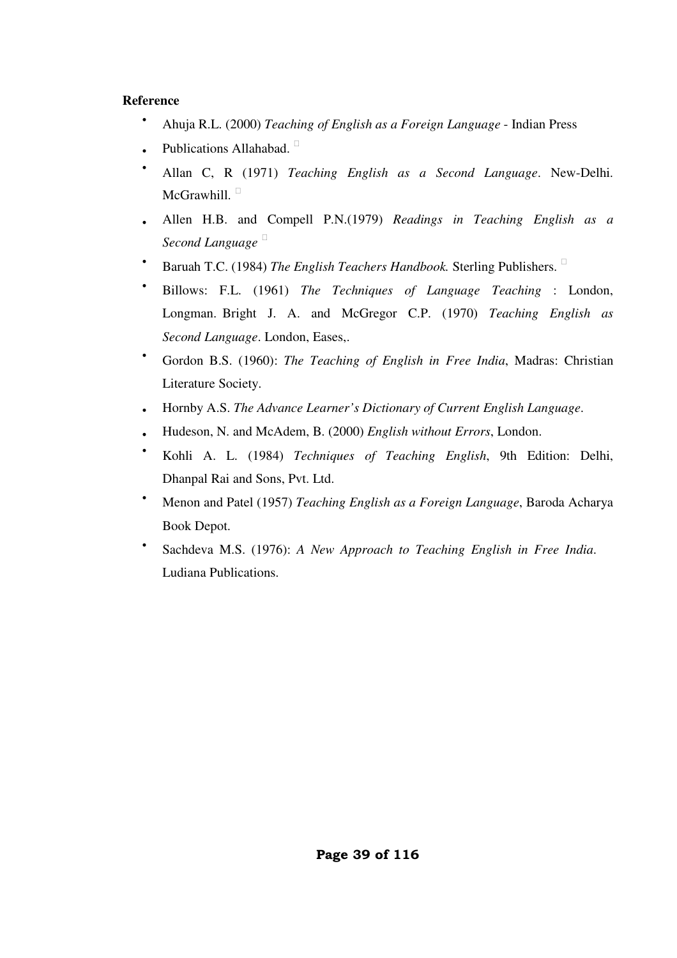# **Reference**

- Ahuja R.L. (2000) *Teaching of English as a Foreign Language* Indian Press
- Publications Allahabad.
- Allan C, R (1971) *Teaching English as a Second Language*. New-Delhi. McGrawhill.
- Allen H.B. and Compell P.N.(1979) *Readings in Teaching English as a Second Language*
- Baruah T.C. (1984) *The English Teachers Handbook.* Sterling Publishers.
- Billows: F.L. (1961) *The Techniques of Language Teaching* : London, Longman. Bright J. A. and McGregor C.P. (1970) *Teaching English as Second Language*. London, Eases,.
- Gordon B.S. (1960): *The Teaching of English in Free India*, Madras: Christian Literature Society.
- Hornby A.S. *The Advance Learner's Dictionary of Current English Language*.
- Hudeson, N. and McAdem, B. (2000) *English without Errors*, London.
- Kohli A. L. (1984) *Techniques of Teaching English*, 9th Edition: Delhi, Dhanpal Rai and Sons, Pvt. Ltd.
- Menon and Patel (1957) *Teaching English as a Foreign Language*, Baroda Acharya Book Depot.
- Sachdeva M.S. (1976): *A New Approach to Teaching English in Free India*. Ludiana Publications.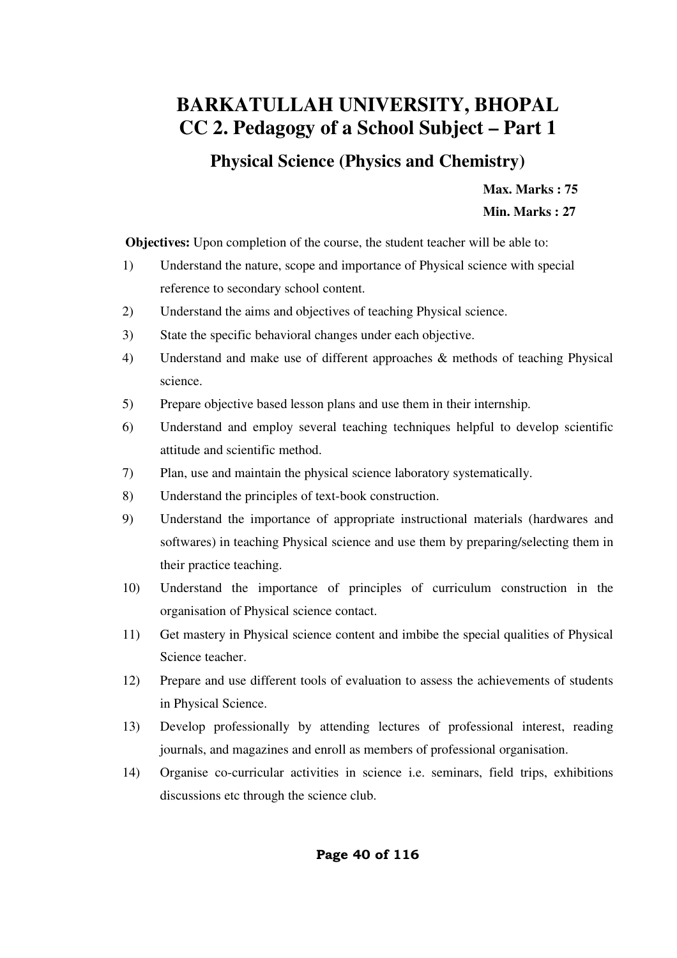# **BARKATULLAH UNIVERSITY, BHOPAL CC 2. Pedagogy of a School Subject – Part 1**

# **Physical Science (Physics and Chemistry)**

**Max. Marks : 75 Min. Marks : 27** 

**Objectives:** Upon completion of the course, the student teacher will be able to:

- 1) Understand the nature, scope and importance of Physical science with special reference to secondary school content.
- 2) Understand the aims and objectives of teaching Physical science.
- 3) State the specific behavioral changes under each objective.
- 4) Understand and make use of different approaches & methods of teaching Physical science.
- 5) Prepare objective based lesson plans and use them in their internship.
- 6) Understand and employ several teaching techniques helpful to develop scientific attitude and scientific method.
- 7) Plan, use and maintain the physical science laboratory systematically.
- 8) Understand the principles of text-book construction.
- 9) Understand the importance of appropriate instructional materials (hardwares and softwares) in teaching Physical science and use them by preparing/selecting them in their practice teaching.
- 10) Understand the importance of principles of curriculum construction in the organisation of Physical science contact.
- 11) Get mastery in Physical science content and imbibe the special qualities of Physical Science teacher.
- 12) Prepare and use different tools of evaluation to assess the achievements of students in Physical Science.
- 13) Develop professionally by attending lectures of professional interest, reading journals, and magazines and enroll as members of professional organisation.
- 14) Organise co-curricular activities in science i.e. seminars, field trips, exhibitions discussions etc through the science club.

# **Page 40 of 116**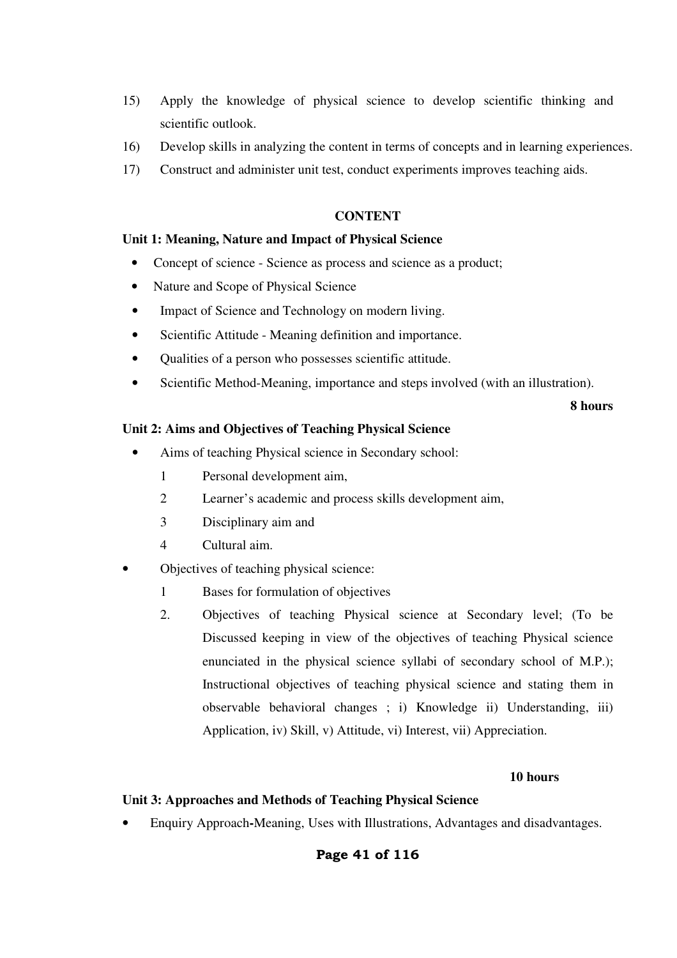- 15) Apply the knowledge of physical science to develop scientific thinking and scientific outlook.
- 16) Develop skills in analyzing the content in terms of concepts and in learning experiences.
- 17) Construct and administer unit test, conduct experiments improves teaching aids.

### **CONTENT**

#### **Unit 1: Meaning, Nature and Impact of Physical Science**

- Concept of science Science as process and science as a product;
- Nature and Scope of Physical Science
- Impact of Science and Technology on modern living.
- Scientific Attitude Meaning definition and importance.
- Qualities of a person who possesses scientific attitude.
- Scientific Method-Meaning, importance and steps involved (with an illustration).

#### **8 hours**

## **Unit 2: Aims and Objectives of Teaching Physical Science**

- Aims of teaching Physical science in Secondary school:
	- 1 Personal development aim,
	- 2 Learner's academic and process skills development aim,
	- 3 Disciplinary aim and
	- 4 Cultural aim.
- Objectives of teaching physical science:
	- 1 Bases for formulation of objectives
	- 2. Objectives of teaching Physical science at Secondary level; (To be Discussed keeping in view of the objectives of teaching Physical science enunciated in the physical science syllabi of secondary school of M.P.); Instructional objectives of teaching physical science and stating them in observable behavioral changes ; i) Knowledge ii) Understanding, iii) Application, iv) Skill, v) Attitude, vi) Interest, vii) Appreciation.

#### **10 hours**

## **Unit 3: Approaches and Methods of Teaching Physical Science**

• Enquiry Approach**-**Meaning, Uses with Illustrations, Advantages and disadvantages.

# **Page 41 of 116**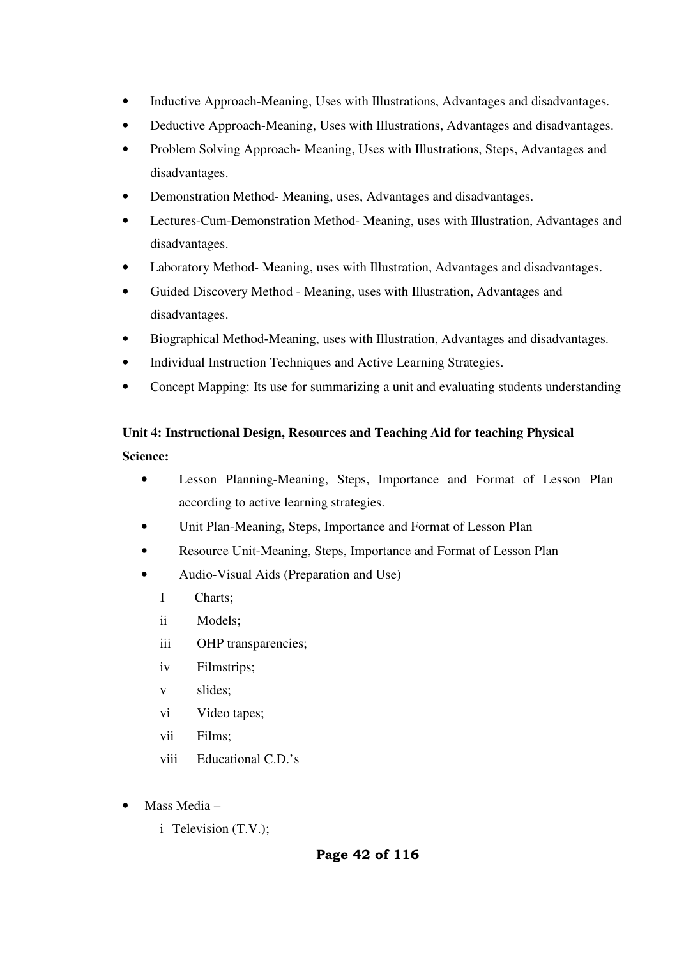- Inductive Approach-Meaning, Uses with Illustrations, Advantages and disadvantages.
- Deductive Approach-Meaning, Uses with Illustrations, Advantages and disadvantages.
- Problem Solving Approach- Meaning, Uses with Illustrations, Steps, Advantages and disadvantages.
- Demonstration Method- Meaning, uses, Advantages and disadvantages.
- Lectures-Cum-Demonstration Method- Meaning, uses with Illustration, Advantages and disadvantages.
- Laboratory Method- Meaning, uses with Illustration, Advantages and disadvantages.
- Guided Discovery Method Meaning, uses with Illustration, Advantages and disadvantages.
- Biographical Method**-**Meaning, uses with Illustration, Advantages and disadvantages.
- Individual Instruction Techniques and Active Learning Strategies.
- Concept Mapping: Its use for summarizing a unit and evaluating students understanding

# **Unit 4: Instructional Design, Resources and Teaching Aid for teaching Physical Science:**

- Lesson Planning-Meaning, Steps, Importance and Format of Lesson Plan according to active learning strategies.
- Unit Plan-Meaning, Steps, Importance and Format of Lesson Plan
- Resource Unit-Meaning, Steps, Importance and Format of Lesson Plan
- Audio-Visual Aids (Preparation and Use)
	- I Charts;
	- ii Models;
	- iii OHP transparencies;
	- iv Filmstrips;
	- v slides;
	- vi Video tapes;
	- vii Films;
	- viii Educational C.D.'s
- Mass Media
	- i Television (T.V.);

## Page 42 of 116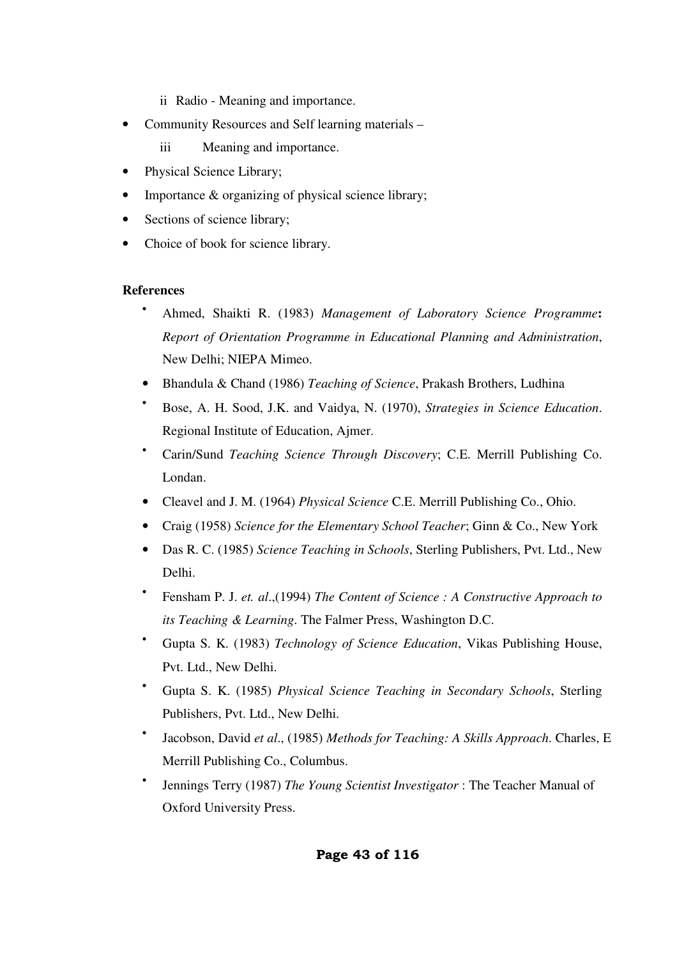ii Radio - Meaning and importance.

• Community Resources and Self learning materials –

iii Meaning and importance.

- Physical Science Library;
- Importance  $\&$  organizing of physical science library;
- Sections of science library;
- Choice of book for science library.

# **References**

- Ahmed, Shaikti R. (1983) *Management of Laboratory Science Programme***:** *Report of Orientation Programme in Educational Planning and Administration*, New Delhi; NIEPA Mimeo.
- Bhandula & Chand (1986) *Teaching of Science*, Prakash Brothers, Ludhina
- Bose, A. H. Sood, J.K. and Vaidya, N. (1970), *Strategies in Science Education*. Regional Institute of Education, Ajmer.
- Carin/Sund *Teaching Science Through Discovery*; C.E. Merrill Publishing Co. Londan.
- Cleavel and J. M. (1964) *Physical Science* C.E. Merrill Publishing Co., Ohio.
- Craig (1958) *Science for the Elementary School Teacher*; Ginn & Co., New York
- Das R. C. (1985) *Science Teaching in Schools*, Sterling Publishers, Pvt. Ltd., New Delhi.
- Fensham P. J. *et. al*.,(1994) *The Content of Science : A Constructive Approach to its Teaching & Learning*. The Falmer Press, Washington D.C.
- Gupta S. K. (1983) *Technology of Science Education*, Vikas Publishing House, Pvt. Ltd., New Delhi.
- Gupta S. K. (1985) *Physical Science Teaching in Secondary Schools*, Sterling Publishers, Pvt. Ltd., New Delhi.
- Jacobson, David *et al*., (1985) *Methods for Teaching: A Skills Approach*. Charles, E Merrill Publishing Co., Columbus.
- Jennings Terry (1987) *The Young Scientist Investigator* : The Teacher Manual of Oxford University Press.

# Page 43 of 116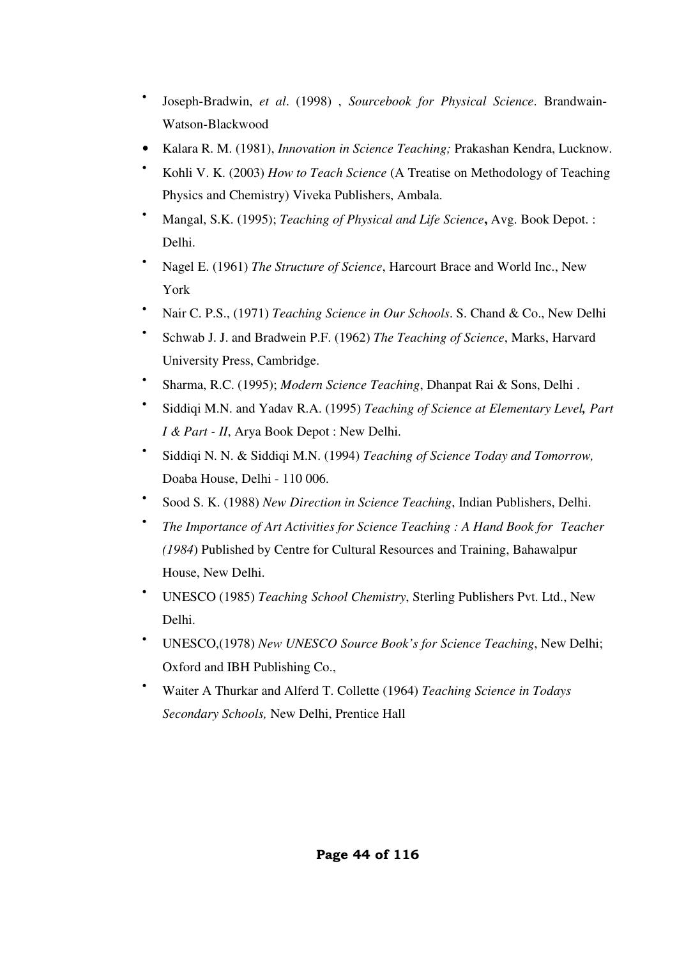- Joseph-Bradwin, *et al*. (1998) , *Sourcebook for Physical Science*. Brandwain-Watson-Blackwood
- Kalara R. M. (1981), *Innovation in Science Teaching;* Prakashan Kendra, Lucknow.
- Kohli V. K. (2003) *How to Teach Science* (A Treatise on Methodology of Teaching Physics and Chemistry) Viveka Publishers, Ambala.
- Mangal, S.K. (1995); *Teaching of Physical and Life Science***,** Avg. Book Depot. : Delhi.
- Nagel E. (1961) *The Structure of Science*, Harcourt Brace and World Inc., New York
- Nair C. P.S., (1971) *Teaching Science in Our Schools*. S. Chand & Co., New Delhi
- Schwab J. J. and Bradwein P.F. (1962) *The Teaching of Science*, Marks, Harvard University Press, Cambridge.
- Sharma, R.C. (1995); *Modern Science Teaching*, Dhanpat Rai & Sons, Delhi .
- Siddiqi M.N. and Yadav R.A. (1995) *Teaching of Science at Elementary Level, Part I & Part - II*, Arya Book Depot : New Delhi.
- Siddiqi N. N. & Siddiqi M.N. (1994) *Teaching of Science Today and Tomorrow,*  Doaba House, Delhi - 110 006.
- Sood S. K. (1988) *New Direction in Science Teaching*, Indian Publishers, Delhi.
- *The Importance of Art Activities for Science Teaching : A Hand Book for Teacher (1984*) Published by Centre for Cultural Resources and Training, Bahawalpur House, New Delhi.
- UNESCO (1985) *Teaching School Chemistry*, Sterling Publishers Pvt. Ltd., New Delhi.
- UNESCO,(1978) *New UNESCO Source Book's for Science Teaching*, New Delhi; Oxford and IBH Publishing Co.,
- Waiter A Thurkar and Alferd T. Collette (1964) *Teaching Science in Todays Secondary Schools,* New Delhi, Prentice Hall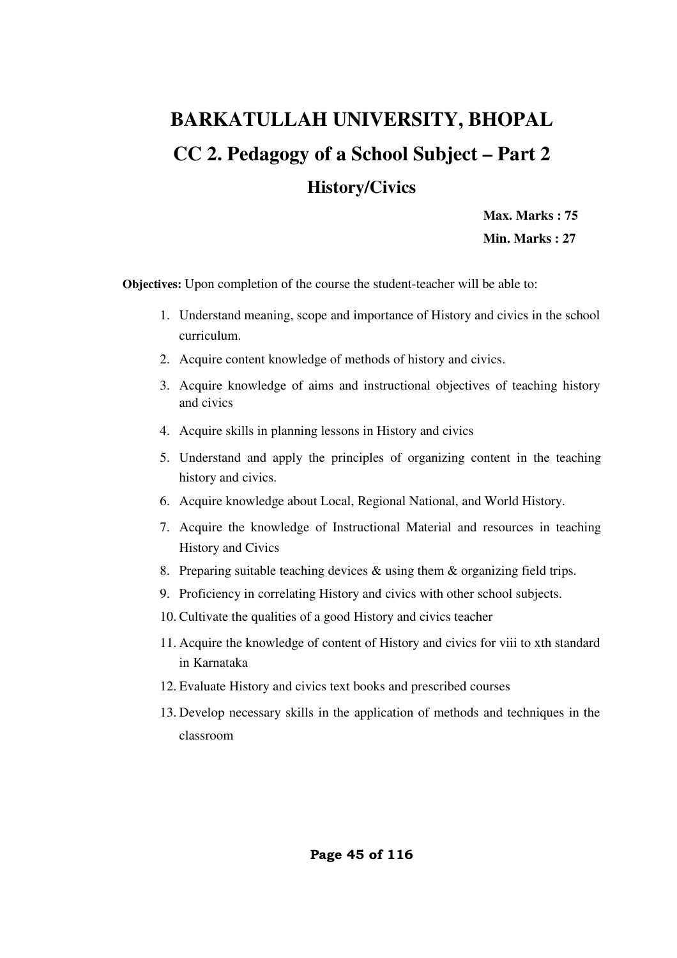# **BARKATULLAH UNIVERSITY, BHOPAL CC 2. Pedagogy of a School Subject – Part 2 History/Civics**

**Max. Marks : 75 Min. Marks : 27** 

**Objectives:** Upon completion of the course the student-teacher will be able to:

- 1. Understand meaning, scope and importance of History and civics in the school curriculum.
- 2. Acquire content knowledge of methods of history and civics.
- 3. Acquire knowledge of aims and instructional objectives of teaching history and civics
- 4. Acquire skills in planning lessons in History and civics
- 5. Understand and apply the principles of organizing content in the teaching history and civics.
- 6. Acquire knowledge about Local, Regional National, and World History.
- 7. Acquire the knowledge of Instructional Material and resources in teaching History and Civics
- 8. Preparing suitable teaching devices & using them & organizing field trips.
- 9. Proficiency in correlating History and civics with other school subjects.
- 10. Cultivate the qualities of a good History and civics teacher
- 11. Acquire the knowledge of content of History and civics for viii to xth standard in Karnataka
- 12. Evaluate History and civics text books and prescribed courses
- 13. Develop necessary skills in the application of methods and techniques in the classroom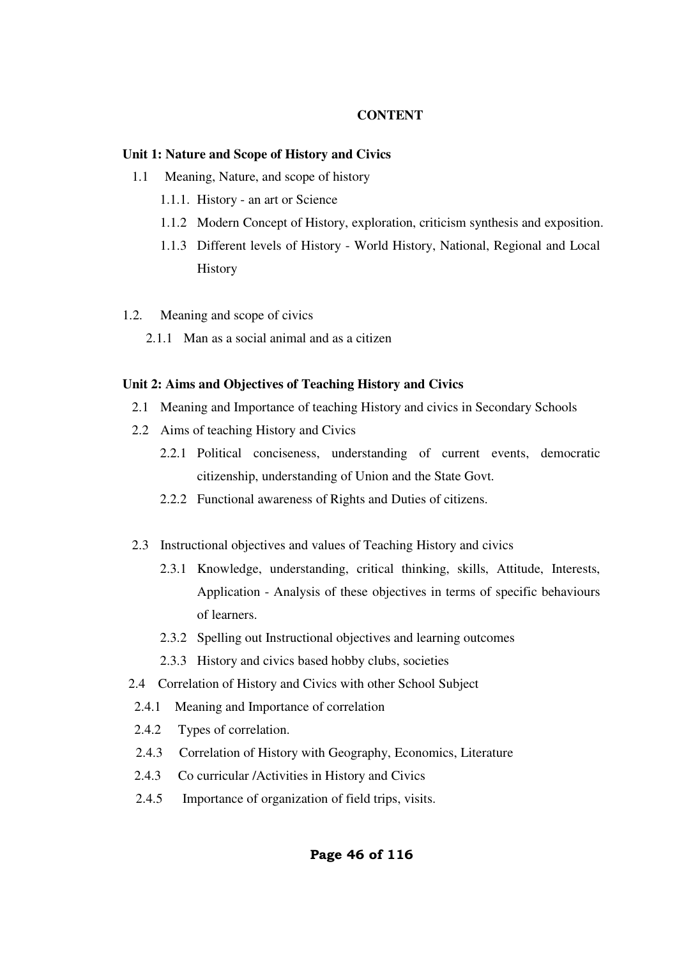#### **CONTENT**

#### **Unit 1: Nature and Scope of History and Civics**

- 1.1 Meaning, Nature, and scope of history
	- 1.1.1. History an art or Science
	- 1.1.2 Modern Concept of History, exploration, criticism synthesis and exposition.
	- 1.1.3 Different levels of History World History, National, Regional and Local History
- 1.2. Meaning and scope of civics
	- 2.1.1 Man as a social animal and as a citizen

#### **Unit 2: Aims and Objectives of Teaching History and Civics**

- 2.1 Meaning and Importance of teaching History and civics in Secondary Schools
- 2.2 Aims of teaching History and Civics
	- 2.2.1 Political conciseness, understanding of current events, democratic citizenship, understanding of Union and the State Govt.
	- 2.2.2 Functional awareness of Rights and Duties of citizens.
- 2.3 Instructional objectives and values of Teaching History and civics
	- 2.3.1 Knowledge, understanding, critical thinking, skills, Attitude, Interests, Application - Analysis of these objectives in terms of specific behaviours of learners.
	- 2.3.2 Spelling out Instructional objectives and learning outcomes
	- 2.3.3 History and civics based hobby clubs, societies
- 2.4 Correlation of History and Civics with other School Subject
- 2.4.1 Meaning and Importance of correlation
- 2.4.2 Types of correlation.
- 2.4.3 Correlation of History with Geography, Economics, Literature
- 2.4.3 Co curricular /Activities in History and Civics
- 2.4.5 Importance of organization of field trips, visits.

#### **Page 46 of 116**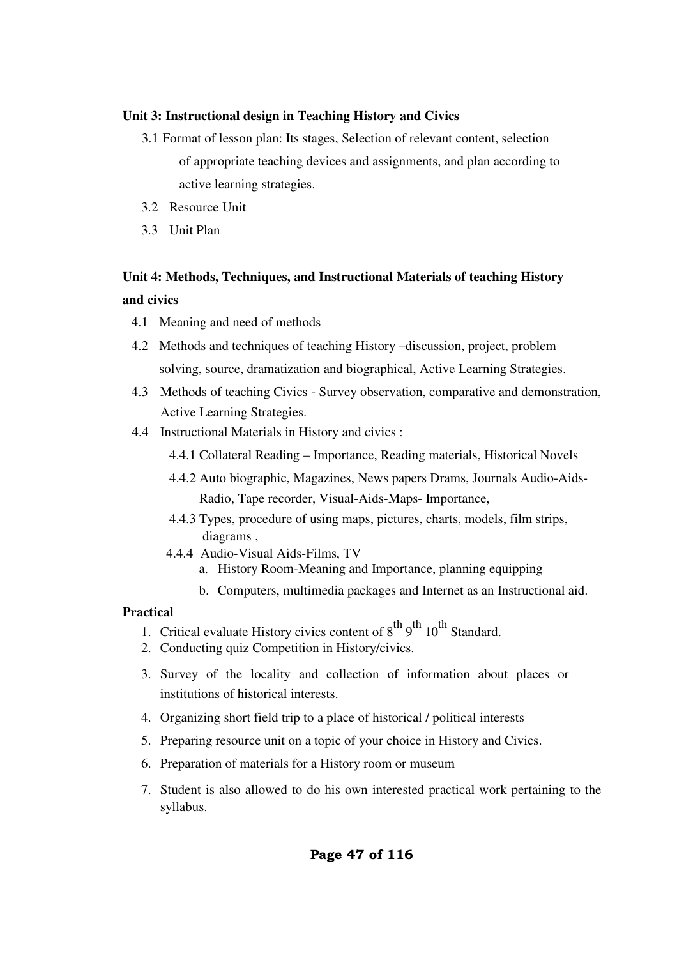## **Unit 3: Instructional design in Teaching History and Civics**

- 3.1 Format of lesson plan: Its stages, Selection of relevant content, selection of appropriate teaching devices and assignments, and plan according to active learning strategies.
- 3.2 Resource Unit
- 3.3 Unit Plan

# **Unit 4: Methods, Techniques, and Instructional Materials of teaching History and civics**

- 4.1 Meaning and need of methods
- 4.2 Methods and techniques of teaching History –discussion, project, problem solving, source, dramatization and biographical, Active Learning Strategies.
- 4.3 Methods of teaching Civics Survey observation, comparative and demonstration, Active Learning Strategies.
- 4.4 Instructional Materials in History and civics :
	- 4.4.1 Collateral Reading Importance, Reading materials, Historical Novels
	- 4.4.2 Auto biographic, Magazines, News papers Drams, Journals Audio-Aids-Radio, Tape recorder, Visual-Aids-Maps- Importance,
	- 4.4.3 Types, procedure of using maps, pictures, charts, models, film strips, diagrams ,
	- 4.4.4 Audio-Visual Aids-Films, TV
		- a. History Room-Meaning and Importance, planning equipping
		- b. Computers, multimedia packages and Internet as an Instructional aid.

## **Practical**

- 1. Critical evaluate History civics content of  $8^{th}$  9<sup>th</sup> 10<sup>th</sup> Standard.
- 2. Conducting quiz Competition in History/civics.
- 3. Survey of the locality and collection of information about places or institutions of historical interests.
- 4. Organizing short field trip to a place of historical / political interests
- 5. Preparing resource unit on a topic of your choice in History and Civics.
- 6. Preparation of materials for a History room or museum
- 7. Student is also allowed to do his own interested practical work pertaining to the syllabus.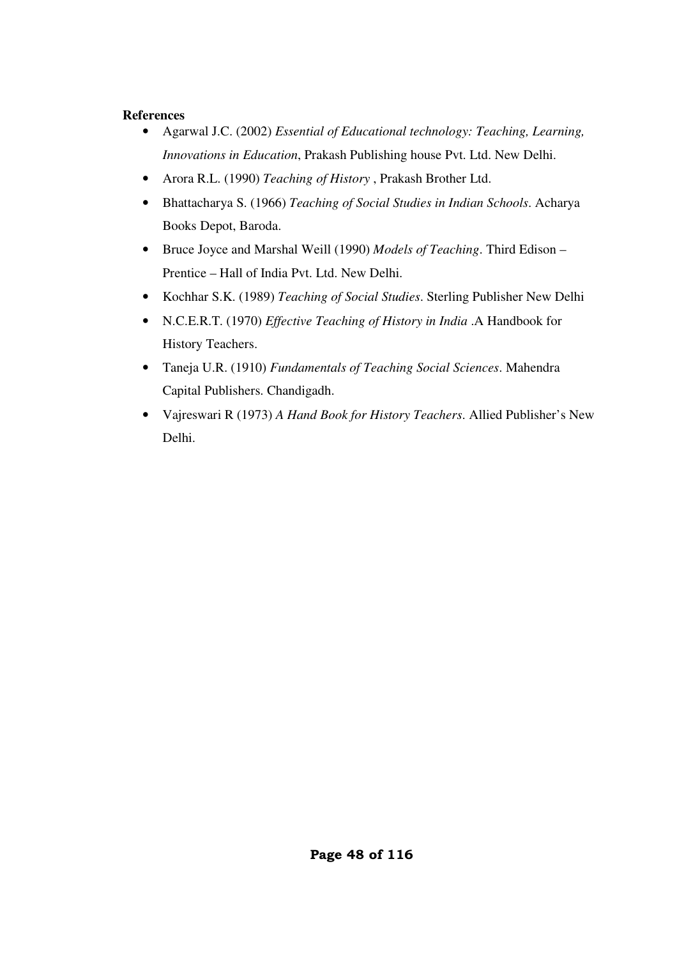## **References**

- Agarwal J.C. (2002) *Essential of Educational technology: Teaching, Learning, Innovations in Education*, Prakash Publishing house Pvt. Ltd. New Delhi.
- Arora R.L. (1990) *Teaching of History* , Prakash Brother Ltd.
- Bhattacharya S. (1966) *Teaching of Social Studies in Indian Schools*. Acharya Books Depot, Baroda.
- Bruce Joyce and Marshal Weill (1990) *Models of Teaching*. Third Edison Prentice – Hall of India Pvt. Ltd. New Delhi.
- Kochhar S.K. (1989) *Teaching of Social Studies*. Sterling Publisher New Delhi
- N.C.E.R.T. (1970) *Effective Teaching of History in India* .A Handbook for History Teachers.
- Taneja U.R. (1910) *Fundamentals of Teaching Social Sciences*. Mahendra Capital Publishers. Chandigadh.
- Vajreswari R (1973) *A Hand Book for History Teachers*. Allied Publisher's New Delhi.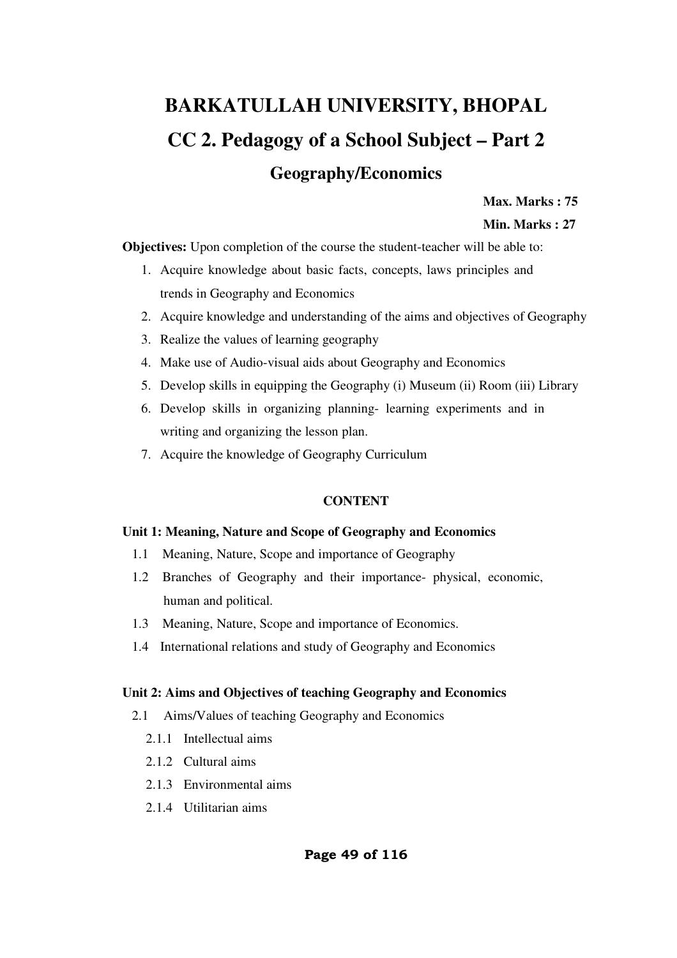# **BARKATULLAH UNIVERSITY, BHOPAL CC 2. Pedagogy of a School Subject – Part 2 Geography/Economics**

# **Max. Marks : 75**

## **Min. Marks : 27**

**Objectives:** Upon completion of the course the student-teacher will be able to:

- 1. Acquire knowledge about basic facts, concepts, laws principles and trends in Geography and Economics
- 2. Acquire knowledge and understanding of the aims and objectives of Geography
- 3. Realize the values of learning geography
- 4. Make use of Audio-visual aids about Geography and Economics
- 5. Develop skills in equipping the Geography (i) Museum (ii) Room (iii) Library
- 6. Develop skills in organizing planning- learning experiments and in writing and organizing the lesson plan.
- 7. Acquire the knowledge of Geography Curriculum

# **CONTENT**

## **Unit 1: Meaning, Nature and Scope of Geography and Economics**

- 1.1 Meaning, Nature, Scope and importance of Geography
- 1.2 Branches of Geography and their importance- physical, economic, human and political.
- 1.3 Meaning, Nature, Scope and importance of Economics.
- 1.4 International relations and study of Geography and Economics

## **Unit 2: Aims and Objectives of teaching Geography and Economics**

- 2.1 Aims/Values of teaching Geography and Economics
	- 2.1.1 Intellectual aims
	- 2.1.2 Cultural aims
	- 2.1.3 Environmental aims
	- 2.1.4 Utilitarian aims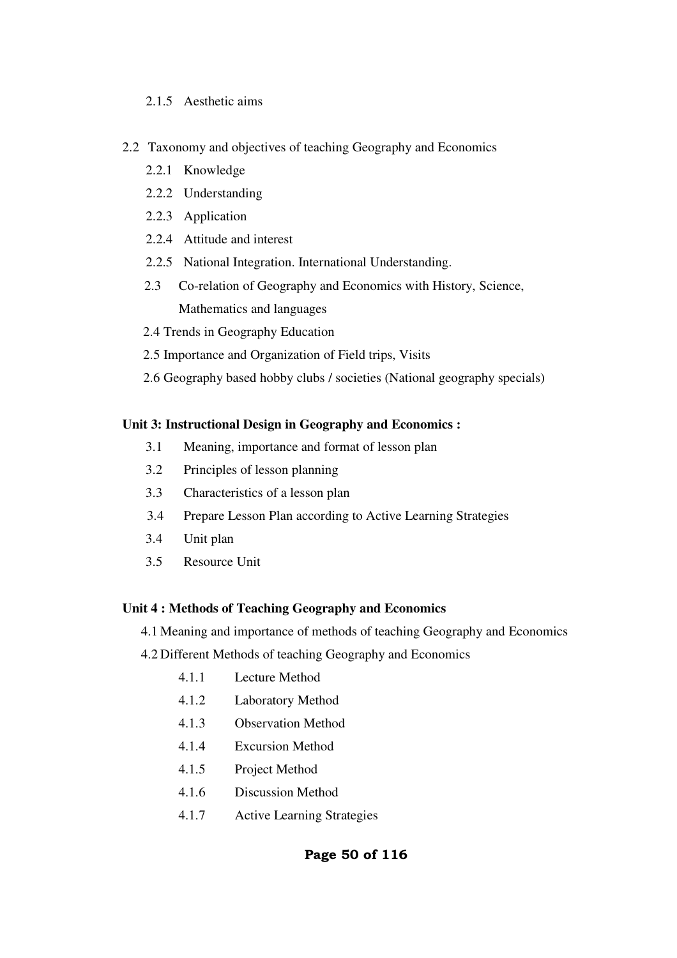### 2.1.5 Aesthetic aims

- 2.2 Taxonomy and objectives of teaching Geography and Economics
	- 2.2.1 Knowledge
	- 2.2.2 Understanding
	- 2.2.3 Application
	- 2.2.4 Attitude and interest
	- 2.2.5 National Integration. International Understanding.
	- 2.3 Co-relation of Geography and Economics with History, Science, Mathematics and languages
	- 2.4 Trends in Geography Education
	- 2.5 Importance and Organization of Field trips, Visits
	- 2.6 Geography based hobby clubs / societies (National geography specials)

#### **Unit 3: Instructional Design in Geography and Economics :**

- 3.1 Meaning, importance and format of lesson plan
- 3.2 Principles of lesson planning
- 3.3 Characteristics of a lesson plan
- 3.4 Prepare Lesson Plan according to Active Learning Strategies
- 3.4 Unit plan
- 3.5 Resource Unit

#### **Unit 4 : Methods of Teaching Geography and Economics**

- 4.1 Meaning and importance of methods of teaching Geography and Economics
- 4.2 Different Methods of teaching Geography and Economics
	- 4.1.1 Lecture Method
	- 4.1.2 Laboratory Method
	- 4.1.3 Observation Method
	- 4.1.4 Excursion Method
	- 4.1.5 Project Method
	- 4.1.6 Discussion Method
	- 4.1.7 Active Learning Strategies

## **Page 50 of 116**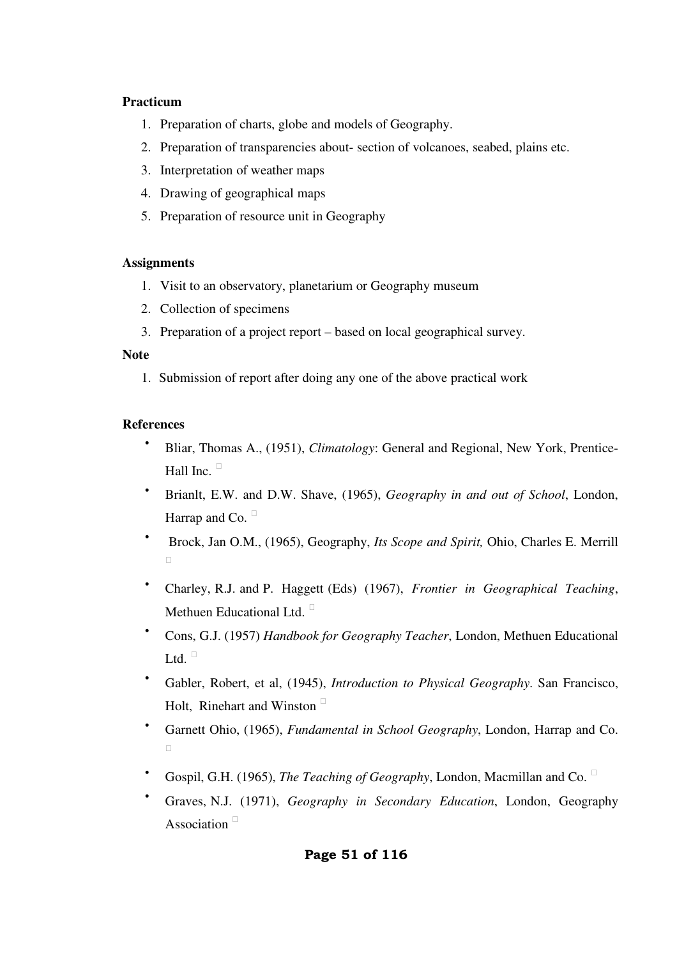## **Practicum**

- 1. Preparation of charts, globe and models of Geography.
- 2. Preparation of transparencies about- section of volcanoes, seabed, plains etc.
- 3. Interpretation of weather maps
- 4. Drawing of geographical maps
- 5. Preparation of resource unit in Geography

# **Assignments**

- 1. Visit to an observatory, planetarium or Geography museum
- 2. Collection of specimens
- 3. Preparation of a project report based on local geographical survey.

# **Note**

1. Submission of report after doing any one of the above practical work

# **References**

- Bliar, Thomas A., (1951), *Climatology*: General and Regional, New York, Prentice-Hall Inc.
- Brianlt, E.W. and D.W. Shave, (1965), *Geography in and out of School*, London, Harrap and Co.
- Brock, Jan O.M., (1965), Geography, *Its Scope and Spirit,* Ohio, Charles E. Merrill
- Charley, R.J. and P. Haggett (Eds) (1967), *Frontier in Geographical Teaching*, Methuen Educational Ltd.
- Cons, G.J. (1957) *Handbook for Geography Teacher*, London, Methuen Educational Ltd.
- Gabler, Robert, et al, (1945), *Introduction to Physical Geography*. San Francisco, Holt, Rinehart and Winston
- Garnett Ohio, (1965), *Fundamental in School Geography*, London, Harrap and Co.
- Gospil, G.H. (1965), *The Teaching of Geography*, London, Macmillan and Co.
- Graves, N.J. (1971), *Geography in Secondary Education*, London, Geography Association

# **Page 51 of 116**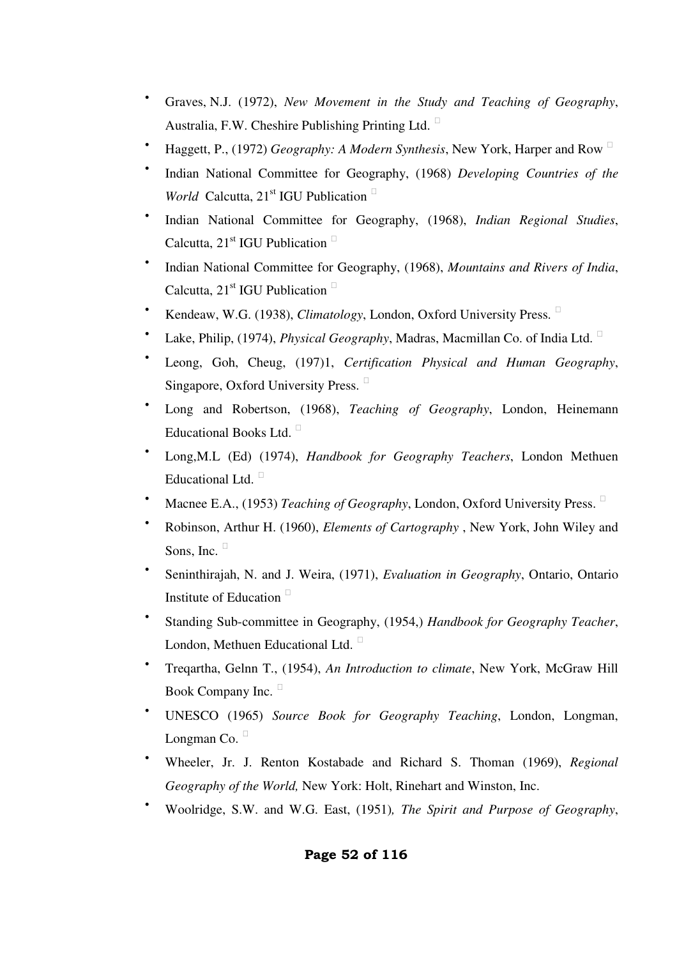- Graves, N.J. (1972), *New Movement in the Study and Teaching of Geography*, Australia, F.W. Cheshire Publishing Printing Ltd.
- Haggett, P., (1972) *Geography: A Modern Synthesis*, New York, Harper and Row
- Indian National Committee for Geography, (1968) *Developing Countries of the World* Calcutta, 21<sup>st</sup> IGU Publication
- Indian National Committee for Geography, (1968), *Indian Regional Studies*, Calcutta,  $21<sup>st</sup>$  IGU Publication
- Indian National Committee for Geography, (1968), *Mountains and Rivers of India*, Calcutta,  $21<sup>st</sup>$  IGU Publication
- Kendeaw, W.G. (1938), *Climatology*, London, Oxford University Press.
- Lake, Philip, (1974), *Physical Geography*, Madras, Macmillan Co. of India Ltd.
- Leong, Goh, Cheug, (197)1, *Certification Physical and Human Geography*, Singapore, Oxford University Press.
- Long and Robertson, (1968), *Teaching of Geography*, London, Heinemann Educational Books Ltd.
- Long,M.L (Ed) (1974), *Handbook for Geography Teachers*, London Methuen Educational Ltd.
- Macnee E.A., (1953) *Teaching of Geography*, London, Oxford University Press.
- Robinson, Arthur H. (1960), *Elements of Cartography* , New York, John Wiley and Sons, Inc.
- Seninthirajah, N. and J. Weira, (1971), *Evaluation in Geography*, Ontario, Ontario Institute of Education
- Standing Sub-committee in Geography, (1954,) *Handbook for Geography Teacher*, London, Methuen Educational Ltd.
- Treqartha, Gelnn T., (1954), *An Introduction to climate*, New York, McGraw Hill Book Company Inc.
- UNESCO (1965) *Source Book for Geography Teaching*, London, Longman, Longman Co.
- Wheeler, Jr. J. Renton Kostabade and Richard S. Thoman (1969), *Regional Geography of the World,* New York: Holt, Rinehart and Winston, Inc.
- Woolridge, S.W. and W.G. East, (1951)*, The Spirit and Purpose of Geography*,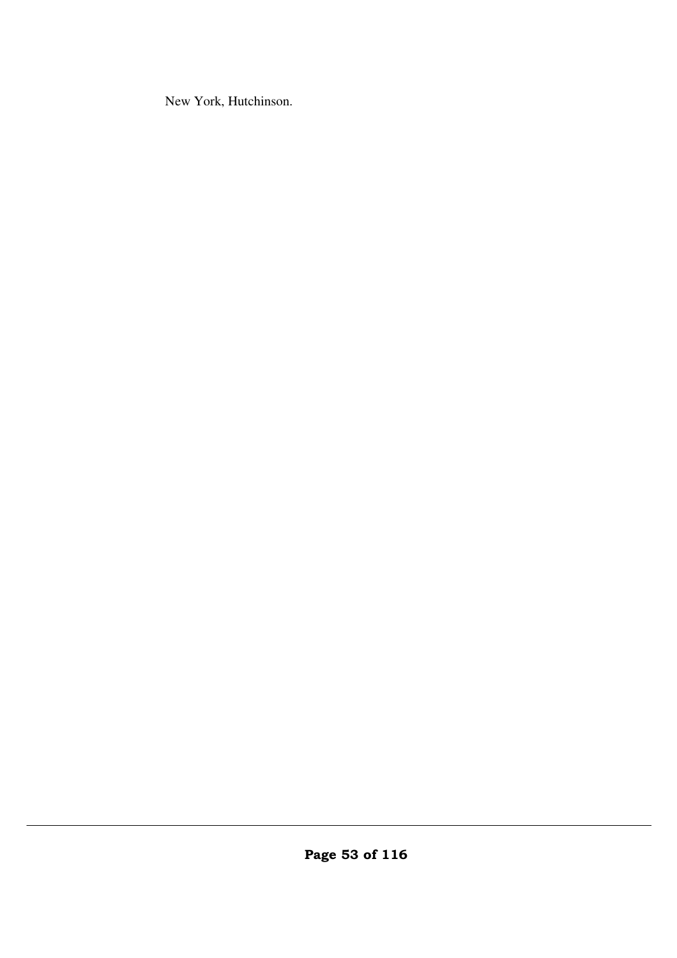New York, Hutchinson.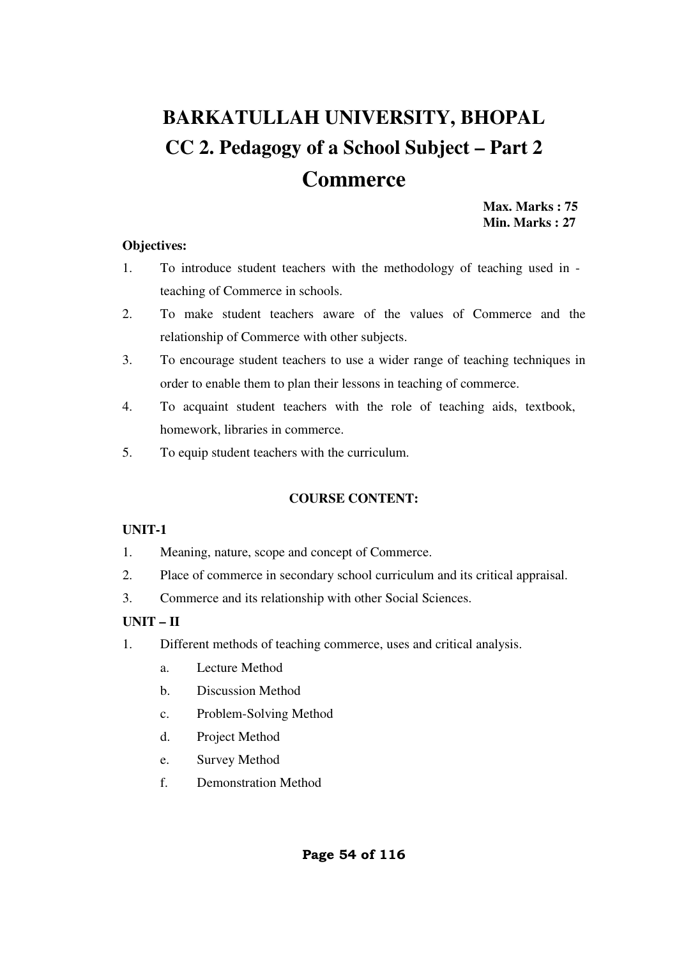# **BARKATULLAH UNIVERSITY, BHOPAL CC 2. Pedagogy of a School Subject – Part 2 Commerce**

**Max. Marks : 75 Min. Marks : 27** 

## **Objectives:**

- 1. To introduce student teachers with the methodology of teaching used in teaching of Commerce in schools.
- 2. To make student teachers aware of the values of Commerce and the relationship of Commerce with other subjects.
- 3. To encourage student teachers to use a wider range of teaching techniques in order to enable them to plan their lessons in teaching of commerce.
- 4. To acquaint student teachers with the role of teaching aids, textbook, homework, libraries in commerce.
- 5. To equip student teachers with the curriculum.

# **COURSE CONTENT:**

## **UNIT-1**

- 1. Meaning, nature, scope and concept of Commerce.
- 2. Place of commerce in secondary school curriculum and its critical appraisal.
- 3. Commerce and its relationship with other Social Sciences.

# **UNIT – II**

- 1. Different methods of teaching commerce, uses and critical analysis.
	- a. Lecture Method
	- b. Discussion Method
	- c. Problem-Solving Method
	- d. Project Method
	- e. Survey Method
	- f. Demonstration Method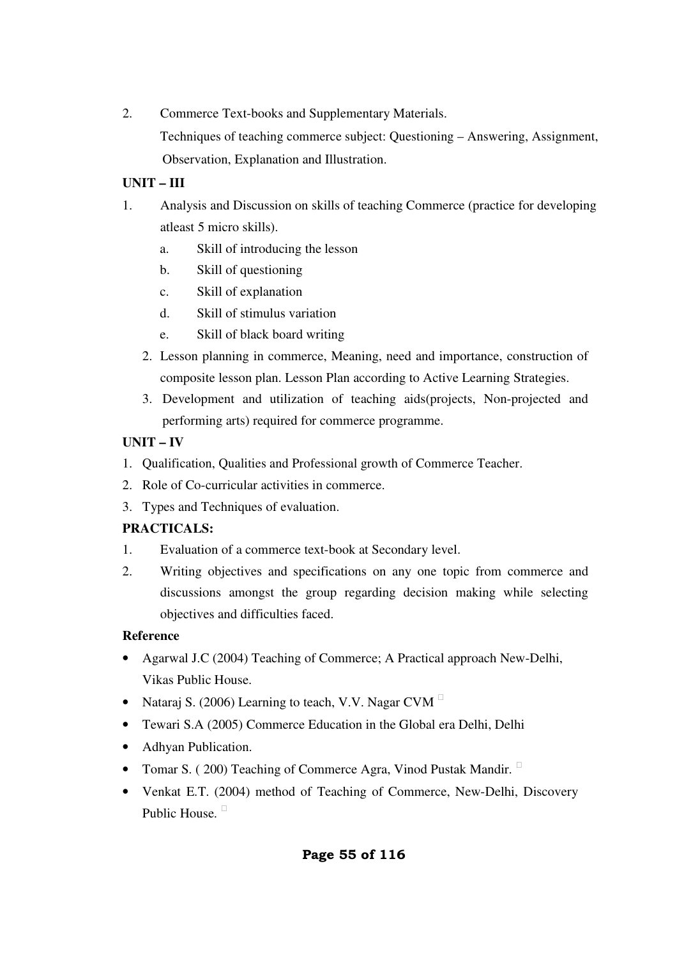2. Commerce Text-books and Supplementary Materials.

Techniques of teaching commerce subject: Questioning – Answering, Assignment, Observation, Explanation and Illustration.

# **UNIT – III**

- 1. Analysis and Discussion on skills of teaching Commerce (practice for developing atleast 5 micro skills).
	- a. Skill of introducing the lesson
	- b. Skill of questioning
	- c. Skill of explanation
	- d. Skill of stimulus variation
	- e. Skill of black board writing
	- 2. Lesson planning in commerce, Meaning, need and importance, construction of composite lesson plan. Lesson Plan according to Active Learning Strategies.
	- 3. Development and utilization of teaching aids(projects, Non-projected and performing arts) required for commerce programme.

# **UNIT – IV**

- 1. Qualification, Qualities and Professional growth of Commerce Teacher.
- 2. Role of Co-curricular activities in commerce.
- 3. Types and Techniques of evaluation.

# **PRACTICALS:**

- 1. Evaluation of a commerce text-book at Secondary level.
- 2. Writing objectives and specifications on any one topic from commerce and discussions amongst the group regarding decision making while selecting objectives and difficulties faced.

# **Reference**

- Agarwal J.C (2004) Teaching of Commerce; A Practical approach New-Delhi, Vikas Public House.
- Nataraj S. (2006) Learning to teach, V.V. Nagar CVM
- Tewari S.A (2005) Commerce Education in the Global era Delhi, Delhi
- Adhyan Publication.
- Tomar S. ( 200) Teaching of Commerce Agra, Vinod Pustak Mandir.
- Venkat E.T. (2004) method of Teaching of Commerce, New-Delhi, Discovery Public House.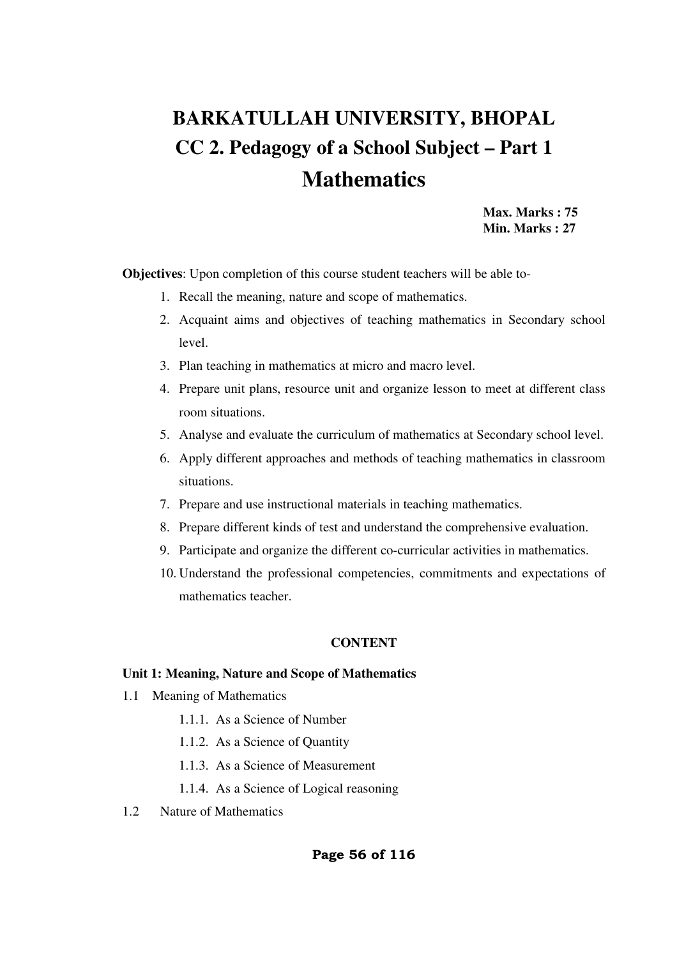# **BARKATULLAH UNIVERSITY, BHOPAL CC 2. Pedagogy of a School Subject – Part 1 Mathematics**

**Max. Marks : 75 Min. Marks : 27** 

**Objectives**: Upon completion of this course student teachers will be able to-

- 1. Recall the meaning, nature and scope of mathematics.
- 2. Acquaint aims and objectives of teaching mathematics in Secondary school level.
- 3. Plan teaching in mathematics at micro and macro level.
- 4. Prepare unit plans, resource unit and organize lesson to meet at different class room situations.
- 5. Analyse and evaluate the curriculum of mathematics at Secondary school level.
- 6. Apply different approaches and methods of teaching mathematics in classroom situations.
- 7. Prepare and use instructional materials in teaching mathematics.
- 8. Prepare different kinds of test and understand the comprehensive evaluation.
- 9. Participate and organize the different co-curricular activities in mathematics.
- 10. Understand the professional competencies, commitments and expectations of mathematics teacher.

#### **CONTENT**

#### **Unit 1: Meaning, Nature and Scope of Mathematics**

- 1.1 Meaning of Mathematics
	- 1.1.1. As a Science of Number
	- 1.1.2. As a Science of Quantity
	- 1.1.3. As a Science of Measurement
	- 1.1.4. As a Science of Logical reasoning
- 1.2 Nature of Mathematics

#### **Page 56 of 116**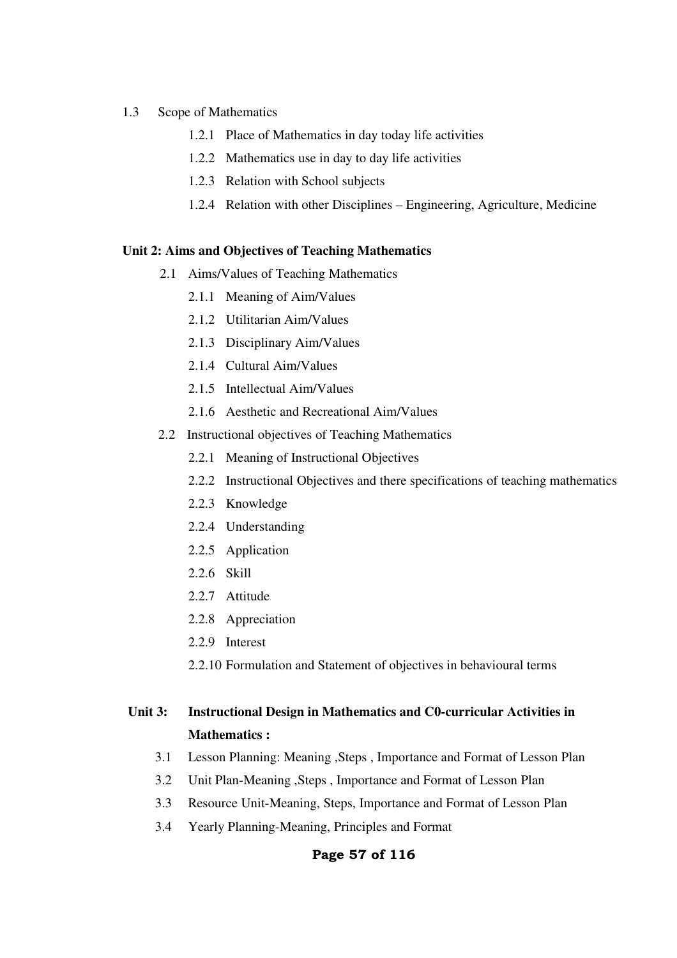- 1.3 Scope of Mathematics
	- 1.2.1 Place of Mathematics in day today life activities
	- 1.2.2 Mathematics use in day to day life activities
	- 1.2.3 Relation with School subjects
	- 1.2.4 Relation with other Disciplines Engineering, Agriculture, Medicine

#### **Unit 2: Aims and Objectives of Teaching Mathematics**

- 2.1 Aims/Values of Teaching Mathematics
	- 2.1.1 Meaning of Aim/Values
	- 2.1.2 Utilitarian Aim/Values
	- 2.1.3 Disciplinary Aim/Values
	- 2.1.4 Cultural Aim/Values
	- 2.1.5 Intellectual Aim/Values
	- 2.1.6 Aesthetic and Recreational Aim/Values
- 2.2 Instructional objectives of Teaching Mathematics
	- 2.2.1 Meaning of Instructional Objectives
	- 2.2.2 Instructional Objectives and there specifications of teaching mathematics
	- 2.2.3 Knowledge
	- 2.2.4 Understanding
	- 2.2.5 Application
	- 2.2.6 Skill
	- 2.2.7 Attitude
	- 2.2.8 Appreciation
	- 2.2.9 Interest
	- 2.2.10 Formulation and Statement of objectives in behavioural terms

# **Unit 3: Instructional Design in Mathematics and C0-curricular Activities in Mathematics :**

- 3.1 Lesson Planning: Meaning ,Steps , Importance and Format of Lesson Plan
- 3.2 Unit Plan-Meaning ,Steps , Importance and Format of Lesson Plan
- 3.3 Resource Unit-Meaning, Steps, Importance and Format of Lesson Plan
- 3.4 Yearly Planning-Meaning, Principles and Format

#### **Page 57 of 116**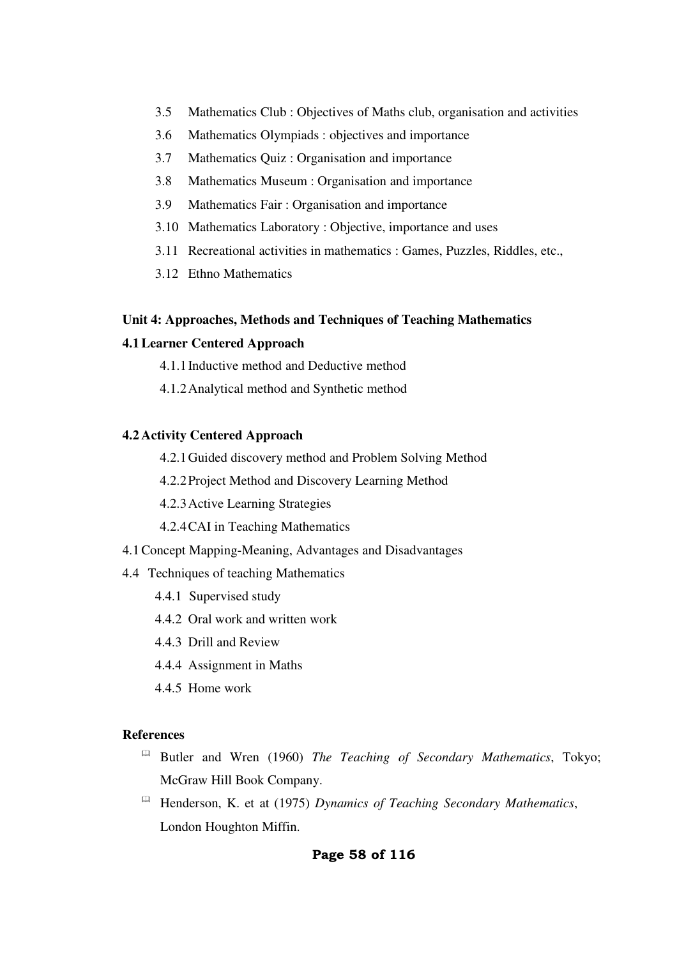- 3.5 Mathematics Club : Objectives of Maths club, organisation and activities
- 3.6 Mathematics Olympiads : objectives and importance
- 3.7 Mathematics Quiz : Organisation and importance
- 3.8 Mathematics Museum : Organisation and importance
- 3.9 Mathematics Fair : Organisation and importance
- 3.10 Mathematics Laboratory : Objective, importance and uses
- 3.11 Recreational activities in mathematics : Games, Puzzles, Riddles, etc.,
- 3.12 Ethno Mathematics

### **Unit 4: Approaches, Methods and Techniques of Teaching Mathematics**

### **4.1Learner Centered Approach**

- 4.1.1Inductive method and Deductive method
- 4.1.2Analytical method and Synthetic method

### **4.2 Activity Centered Approach**

- 4.2.1Guided discovery method and Problem Solving Method
- 4.2.2Project Method and Discovery Learning Method
- 4.2.3Active Learning Strategies
- 4.2.4CAI in Teaching Mathematics
- 4.1Concept Mapping-Meaning, Advantages and Disadvantages
- 4.4 Techniques of teaching Mathematics
	- 4.4.1 Supervised study
	- 4.4.2 Oral work and written work
	- 4.4.3 Drill and Review
	- 4.4.4 Assignment in Maths
	- 4.4.5 Home work

#### **References**

- Butler and Wren (1960) *The Teaching of Secondary Mathematics*, Tokyo; McGraw Hill Book Company.
- Henderson, K. et at (1975) *Dynamics of Teaching Secondary Mathematics*, London Houghton Miffin.

## **Page 58 of 116**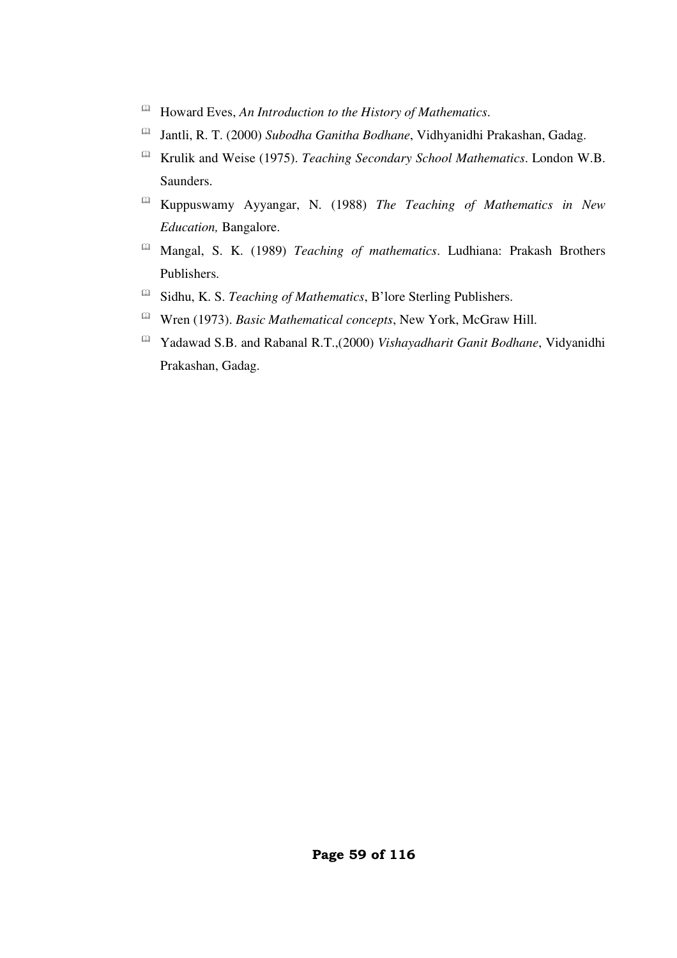- $\hfill \square$ Howard Eves, *An Introduction to the History of Mathematics*.
- $\hfill\ensuremath{\mathsf{m}}$ Jantli, R. T. (2000) *Subodha Ganitha Bodhane*, Vidhyanidhi Prakashan, Gadag.
- Krulik and Weise (1975). *Teaching Secondary School Mathematics*. London W.B. Saunders.
- Kuppuswamy Ayyangar, N. (1988) *The Teaching of Mathematics in New Education,* Bangalore.
- Mangal, S. K. (1989) *Teaching of mathematics*. Ludhiana: Prakash Brothers Publishers.
- Sidhu, K. S. *Teaching of Mathematics*, B'lore Sterling Publishers.
- Wren (1973). *Basic Mathematical concepts*, New York, McGraw Hill.
- Yadawad S.B. and Rabanal R.T.,(2000) *Vishayadharit Ganit Bodhane*, Vidyanidhi Prakashan, Gadag.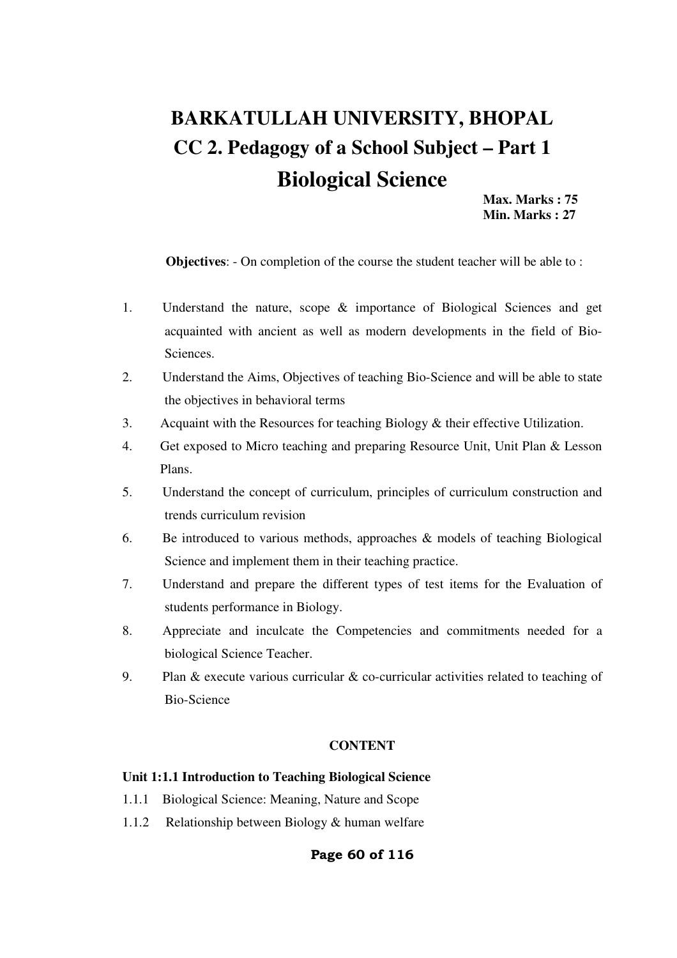# **BARKATULLAH UNIVERSITY, BHOPAL CC 2. Pedagogy of a School Subject – Part 1 Biological Science**

**Max. Marks : 75 Min. Marks : 27** 

**Objectives**: - On completion of the course the student teacher will be able to :

- 1. Understand the nature, scope & importance of Biological Sciences and get acquainted with ancient as well as modern developments in the field of Bio-Sciences.
- 2. Understand the Aims, Objectives of teaching Bio-Science and will be able to state the objectives in behavioral terms
- 3. Acquaint with the Resources for teaching Biology & their effective Utilization.
- 4. Get exposed to Micro teaching and preparing Resource Unit, Unit Plan & Lesson Plans.
- 5. Understand the concept of curriculum, principles of curriculum construction and trends curriculum revision
- 6. Be introduced to various methods, approaches & models of teaching Biological Science and implement them in their teaching practice.
- 7. Understand and prepare the different types of test items for the Evaluation of students performance in Biology.
- 8. Appreciate and inculcate the Competencies and commitments needed for a biological Science Teacher.
- 9. Plan & execute various curricular & co-curricular activities related to teaching of Bio-Science

#### **CONTENT**

#### **Unit 1:1.1 Introduction to Teaching Biological Science**

- 1.1.1 Biological Science: Meaning, Nature and Scope
- 1.1.2 Relationship between Biology & human welfare

#### **Page 60 of 116**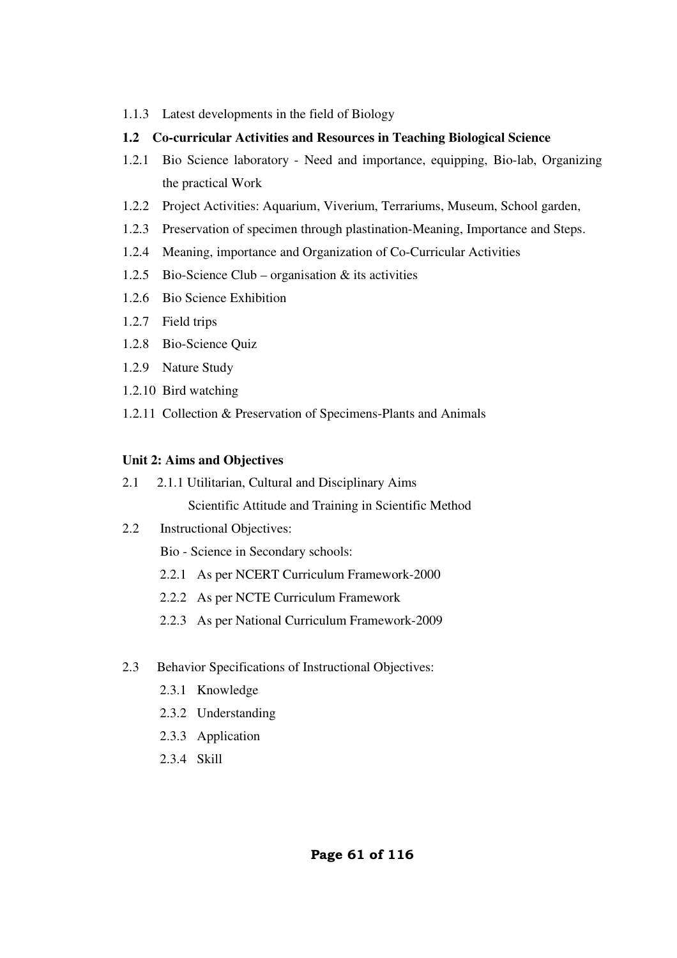- 1.1.3 Latest developments in the field of Biology
- **1.2 Co-curricular Activities and Resources in Teaching Biological Science**
- 1.2.1 Bio Science laboratory Need and importance, equipping, Bio-lab, Organizing the practical Work
- 1.2.2 Project Activities: Aquarium, Viverium, Terrariums, Museum, School garden,
- 1.2.3 Preservation of specimen through plastination-Meaning, Importance and Steps.
- 1.2.4 Meaning, importance and Organization of Co-Curricular Activities
- 1.2.5 Bio-Science Club organisation & its activities
- 1.2.6 Bio Science Exhibition
- 1.2.7 Field trips
- 1.2.8 Bio-Science Quiz
- 1.2.9 Nature Study
- 1.2.10 Bird watching
- 1.2.11 Collection & Preservation of Specimens-Plants and Animals

# **Unit 2: Aims and Objectives**

- 2.1 2.1.1 Utilitarian, Cultural and Disciplinary Aims Scientific Attitude and Training in Scientific Method
- 2.2 Instructional Objectives:
	- Bio Science in Secondary schools:
	- 2.2.1 As per NCERT Curriculum Framework-2000
	- 2.2.2 As per NCTE Curriculum Framework
	- 2.2.3 As per National Curriculum Framework-2009
- 2.3 Behavior Specifications of Instructional Objectives:
	- 2.3.1 Knowledge
	- 2.3.2 Understanding
	- 2.3.3 Application
	- 2.3.4 Skill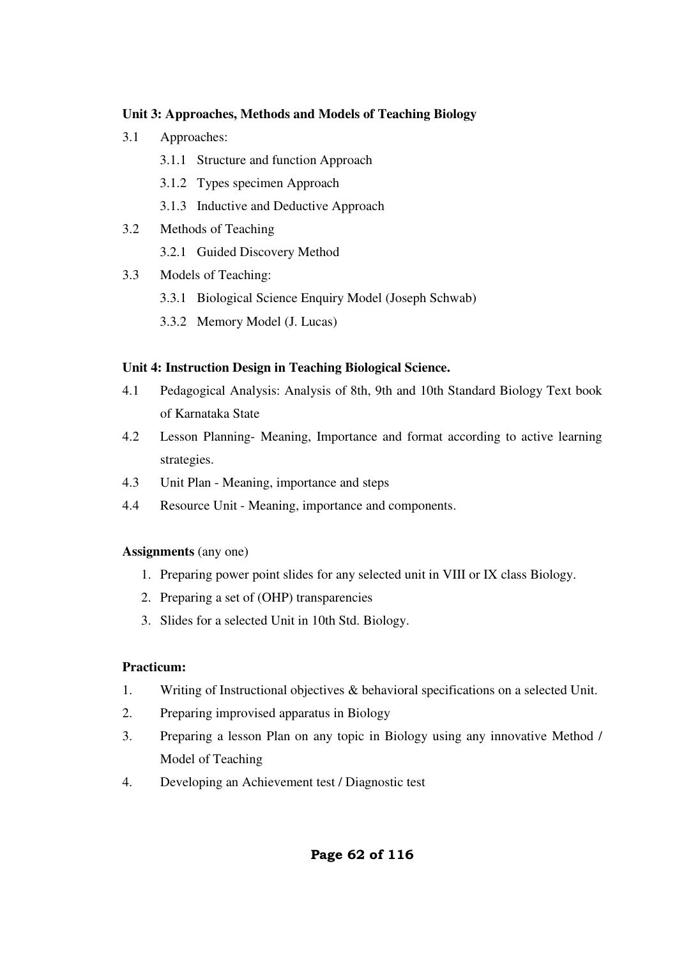# **Unit 3: Approaches, Methods and Models of Teaching Biology**

- 3.1 Approaches:
	- 3.1.1 Structure and function Approach
	- 3.1.2 Types specimen Approach
	- 3.1.3 Inductive and Deductive Approach
- 3.2 Methods of Teaching
	- 3.2.1 Guided Discovery Method
- 3.3 Models of Teaching:
	- 3.3.1 Biological Science Enquiry Model (Joseph Schwab)
	- 3.3.2 Memory Model (J. Lucas)

## **Unit 4: Instruction Design in Teaching Biological Science.**

- 4.1 Pedagogical Analysis: Analysis of 8th, 9th and 10th Standard Biology Text book of Karnataka State
- 4.2 Lesson Planning- Meaning, Importance and format according to active learning strategies.
- 4.3 Unit Plan Meaning, importance and steps
- 4.4 Resource Unit Meaning, importance and components.

## **Assignments** (any one)

- 1. Preparing power point slides for any selected unit in VIII or IX class Biology.
- 2. Preparing a set of (OHP) transparencies
- 3. Slides for a selected Unit in 10th Std. Biology.

## **Practicum:**

- 1. Writing of Instructional objectives & behavioral specifications on a selected Unit.
- 2. Preparing improvised apparatus in Biology
- 3. Preparing a lesson Plan on any topic in Biology using any innovative Method / Model of Teaching
- 4. Developing an Achievement test / Diagnostic test

# **Page 62 of 116**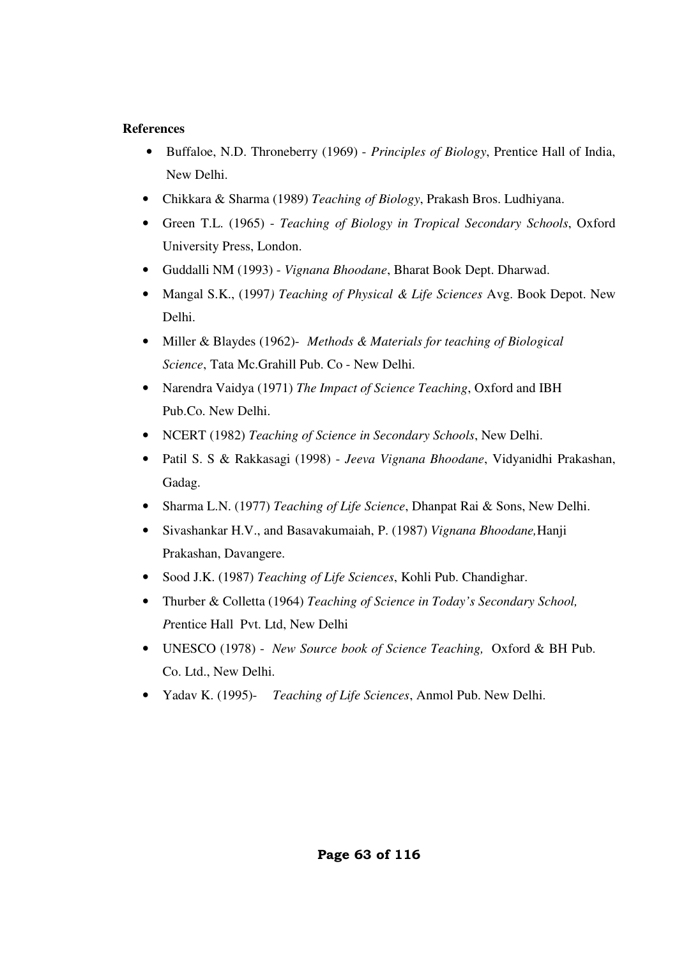## **References**

- Buffaloe, N.D. Throneberry (1969) *Principles of Biology*, Prentice Hall of India, New Delhi.
- Chikkara & Sharma (1989) *Teaching of Biology*, Prakash Bros. Ludhiyana.
- Green T.L. (1965) *Teaching of Biology in Tropical Secondary Schools*, Oxford University Press, London.
- Guddalli NM (1993) *Vignana Bhoodane*, Bharat Book Dept. Dharwad.
- Mangal S.K., (1997*) Teaching of Physical & Life Sciences* Avg. Book Depot. New Delhi.
- Miller & Blaydes (1962)- *Methods & Materials for teaching of Biological Science*, Tata Mc.Grahill Pub. Co - New Delhi.
- Narendra Vaidya (1971) *The Impact of Science Teaching*, Oxford and IBH Pub.Co. New Delhi.
- NCERT (1982) *Teaching of Science in Secondary Schools*, New Delhi.
- Patil S. S & Rakkasagi (1998) *Jeeva Vignana Bhoodane*, Vidyanidhi Prakashan, Gadag.
- Sharma L.N. (1977) *Teaching of Life Science*, Dhanpat Rai & Sons, New Delhi.
- Sivashankar H.V., and Basavakumaiah, P. (1987) *Vignana Bhoodane,*Hanji Prakashan, Davangere.
- Sood J.K. (1987) *Teaching of Life Sciences*, Kohli Pub. Chandighar.
- Thurber & Colletta (1964) *Teaching of Science in Today's Secondary School, P*rentice Hall Pvt. Ltd, New Delhi
- UNESCO (1978) *New Source book of Science Teaching,* Oxford & BH Pub. Co. Ltd., New Delhi.
- Yadav K. (1995)- *Teaching of Life Sciences*, Anmol Pub. New Delhi.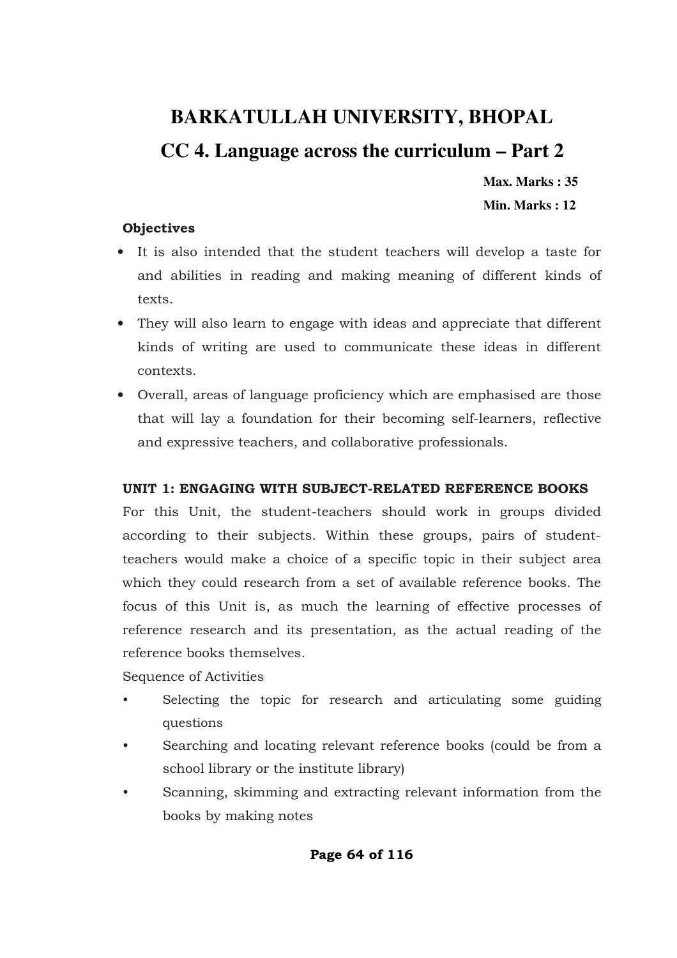# **BARKATULLAH UNIVERSITY, BHOPAL CC 4. Language across the curriculum – Part 2**

**Max. Marks : 35 Min. Marks : 12** 

# **Objectives**

- It is also intended that the student teachers will develop a taste for and abilities in reading and making meaning of different kinds of texts.
- They will also learn to engage with ideas and appreciate that different kinds of writing are used to communicate these ideas in different contexts.
- Overall, areas of language proficiency which are emphasised are those that will lay a foundation for their becoming self-learners, reflective and expressive teachers, and collaborative professionals.

# UNIT 1: ENGAGING WITH SUBJECT-RELATED REFERENCE BOOKS

For this Unit, the student-teachers should work in groups divided according to their subjects. Within these groups, pairs of studentteachers would make a choice of a specific topic in their subject area which they could research from a set of available reference books. The focus of this Unit is, as much the learning of effective processes of reference research and its presentation, as the actual reading of the reference books themselves.

Sequence of Activities

- Selecting the topic for research and articulating some guiding questions
- Searching and locating relevant reference books (could be from a school library or the institute library)
- Scanning, skimming and extracting relevant information from the books by making notes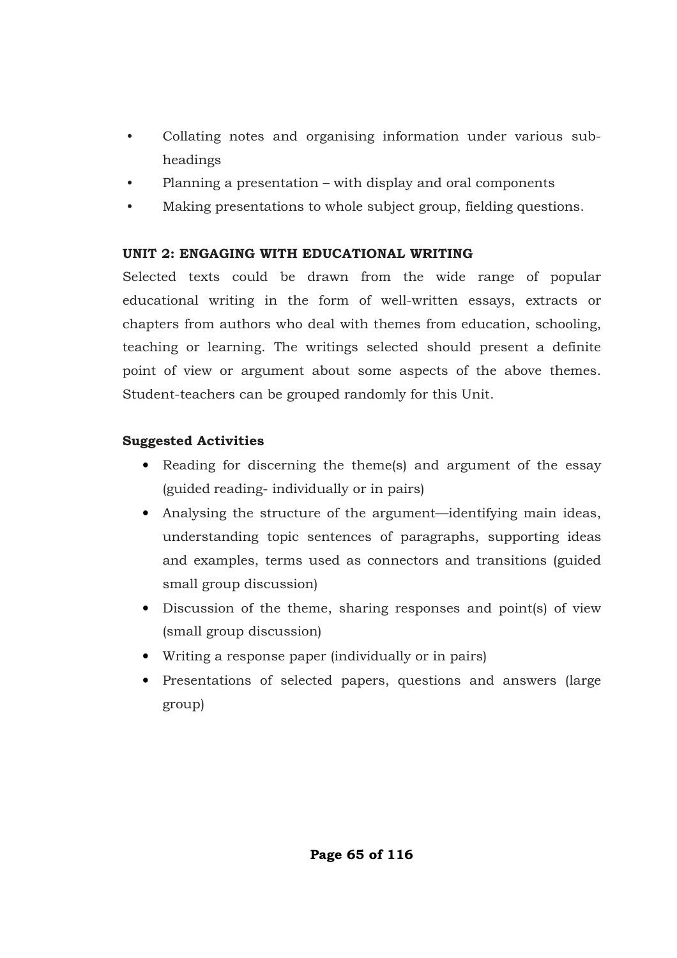- Collating notes and organising information under various sub- $\bullet$ headings
- Planning a presentation with display and oral components
- Making presentations to whole subject group, fielding questions.

# UNIT 2: ENGAGING WITH EDUCATIONAL WRITING

Selected texts could be drawn from the wide range of popular educational writing in the form of well-written essays, extracts or chapters from authors who deal with themes from education, schooling, teaching or learning. The writings selected should present a definite point of view or argument about some aspects of the above themes. Student-teachers can be grouped randomly for this Unit.

# **Suggested Activities**

- Reading for discerning the theme(s) and argument of the essay (guided reading-individually or in pairs)
- Analysing the structure of the argument—identifying main ideas, understanding topic sentences of paragraphs, supporting ideas and examples, terms used as connectors and transitions (guided small group discussion)
- Discussion of the theme, sharing responses and points of view (small group discussion)
- Writing a response paper (individually or in pairs)
- Presentations of selected papers, questions and answers (large group)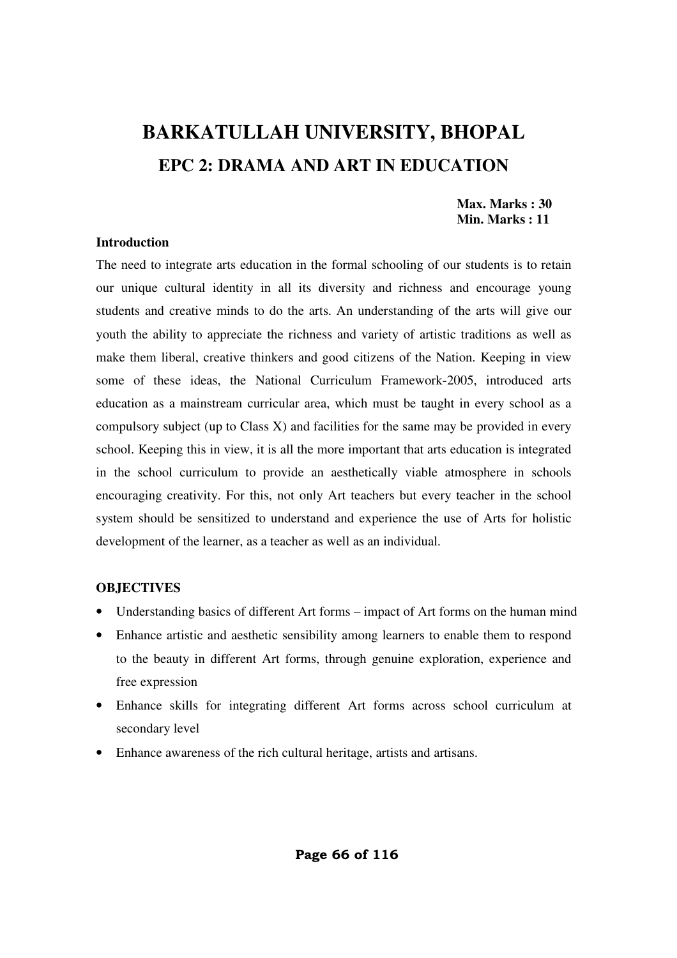# **BARKATULLAH UNIVERSITY, BHOPAL EPC 2: DRAMA AND ART IN EDUCATION**

**Max. Marks : 30 Min. Marks : 11** 

#### **Introduction**

The need to integrate arts education in the formal schooling of our students is to retain our unique cultural identity in all its diversity and richness and encourage young students and creative minds to do the arts. An understanding of the arts will give our youth the ability to appreciate the richness and variety of artistic traditions as well as make them liberal, creative thinkers and good citizens of the Nation. Keeping in view some of these ideas, the National Curriculum Framework-2005, introduced arts education as a mainstream curricular area, which must be taught in every school as a compulsory subject (up to Class X) and facilities for the same may be provided in every school. Keeping this in view, it is all the more important that arts education is integrated in the school curriculum to provide an aesthetically viable atmosphere in schools encouraging creativity. For this, not only Art teachers but every teacher in the school system should be sensitized to understand and experience the use of Arts for holistic development of the learner, as a teacher as well as an individual.

#### **OBJECTIVES**

- Understanding basics of different Art forms impact of Art forms on the human mind
- Enhance artistic and aesthetic sensibility among learners to enable them to respond to the beauty in different Art forms, through genuine exploration, experience and free expression
- Enhance skills for integrating different Art forms across school curriculum at secondary level
- Enhance awareness of the rich cultural heritage, artists and artisans.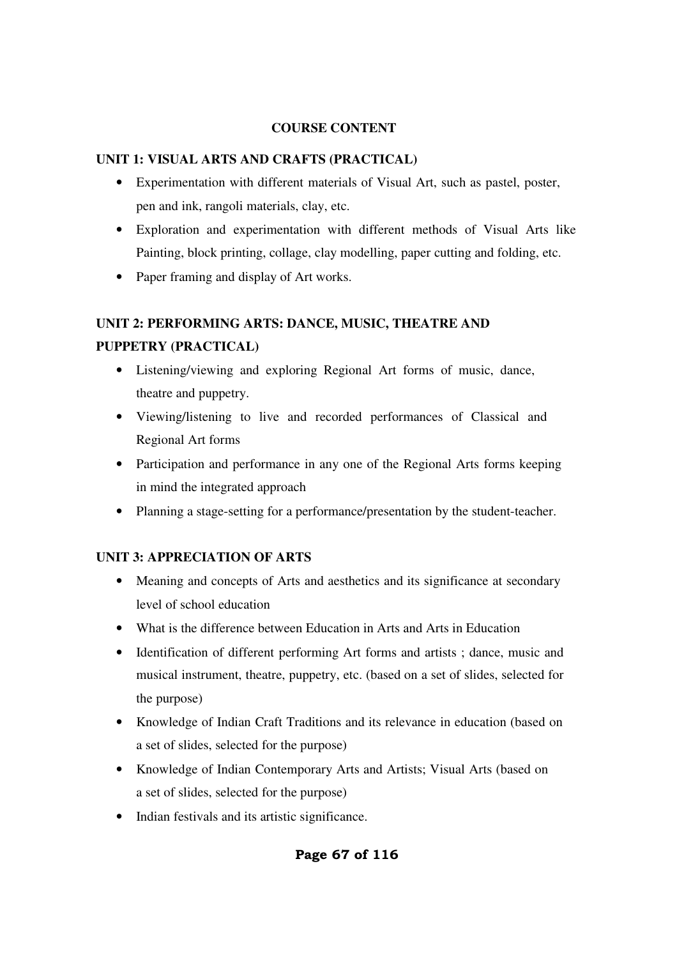## **COURSE CONTENT**

# **UNIT 1: VISUAL ARTS AND CRAFTS (PRACTICAL)**

- Experimentation with different materials of Visual Art, such as pastel, poster, pen and ink, rangoli materials, clay, etc.
- Exploration and experimentation with different methods of Visual Arts like Painting, block printing, collage, clay modelling, paper cutting and folding, etc.
- Paper framing and display of Art works.

# **UNIT 2: PERFORMING ARTS: DANCE, MUSIC, THEATRE AND PUPPETRY (PRACTICAL)**

- Listening/viewing and exploring Regional Art forms of music, dance, theatre and puppetry.
- Viewing/listening to live and recorded performances of Classical and Regional Art forms
- Participation and performance in any one of the Regional Arts forms keeping in mind the integrated approach
- Planning a stage-setting for a performance/presentation by the student-teacher.

# **UNIT 3: APPRECIATION OF ARTS**

- Meaning and concepts of Arts and aesthetics and its significance at secondary level of school education
- What is the difference between Education in Arts and Arts in Education
- Identification of different performing Art forms and artists ; dance, music and musical instrument, theatre, puppetry, etc. (based on a set of slides, selected for the purpose)
- Knowledge of Indian Craft Traditions and its relevance in education (based on a set of slides, selected for the purpose)
- Knowledge of Indian Contemporary Arts and Artists; Visual Arts (based on a set of slides, selected for the purpose)
- Indian festivals and its artistic significance.

# **Page 67 of 116**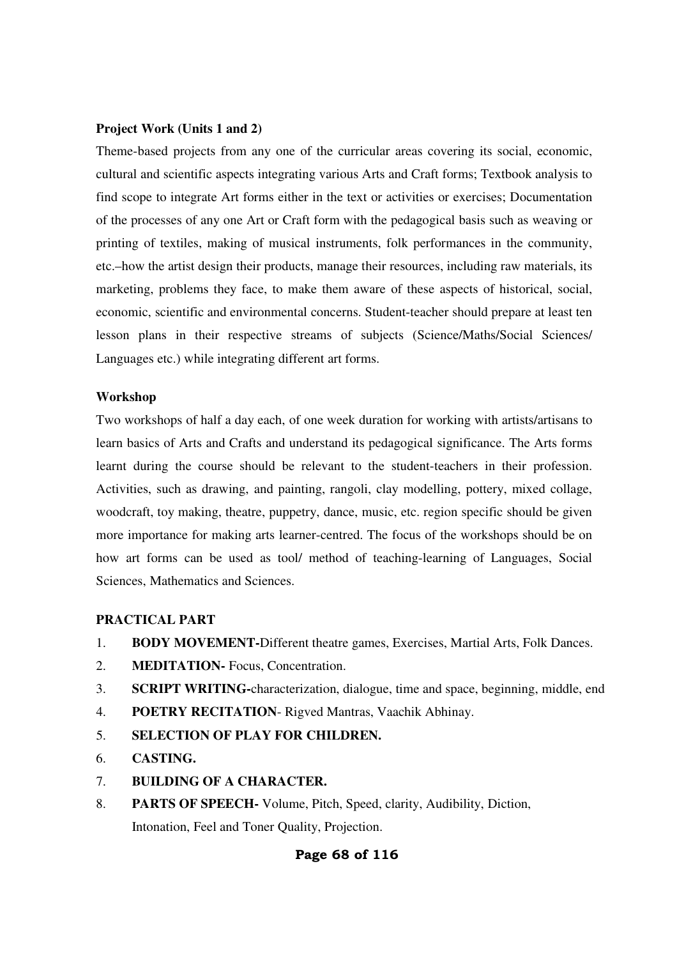#### **Project Work (Units 1 and 2)**

Theme-based projects from any one of the curricular areas covering its social, economic, cultural and scientific aspects integrating various Arts and Craft forms; Textbook analysis to find scope to integrate Art forms either in the text or activities or exercises; Documentation of the processes of any one Art or Craft form with the pedagogical basis such as weaving or printing of textiles, making of musical instruments, folk performances in the community, etc.–how the artist design their products, manage their resources, including raw materials, its marketing, problems they face, to make them aware of these aspects of historical, social, economic, scientific and environmental concerns. Student-teacher should prepare at least ten lesson plans in their respective streams of subjects (Science/Maths/Social Sciences/ Languages etc.) while integrating different art forms.

#### **Workshop**

Two workshops of half a day each, of one week duration for working with artists/artisans to learn basics of Arts and Crafts and understand its pedagogical significance. The Arts forms learnt during the course should be relevant to the student-teachers in their profession. Activities, such as drawing, and painting, rangoli, clay modelling, pottery, mixed collage, woodcraft, toy making, theatre, puppetry, dance, music, etc. region specific should be given more importance for making arts learner-centred. The focus of the workshops should be on how art forms can be used as tool/ method of teaching-learning of Languages, Social Sciences, Mathematics and Sciences.

### **PRACTICAL PART**

- 1. **BODY MOVEMENT-**Different theatre games, Exercises, Martial Arts, Folk Dances.
- 2. **MEDITATION-** Focus, Concentration.
- 3. **SCRIPT WRITING-**characterization, dialogue, time and space, beginning, middle, end
- 4. **POETRY RECITATION** Rigved Mantras, Vaachik Abhinay.
- 5. **SELECTION OF PLAY FOR CHILDREN.**
- 6. **CASTING.**
- 7. **BUILDING OF A CHARACTER.**
- 8. **PARTS OF SPEECH-** Volume, Pitch, Speed, clarity, Audibility, Diction, Intonation, Feel and Toner Quality, Projection.

#### **Page 68 of 116**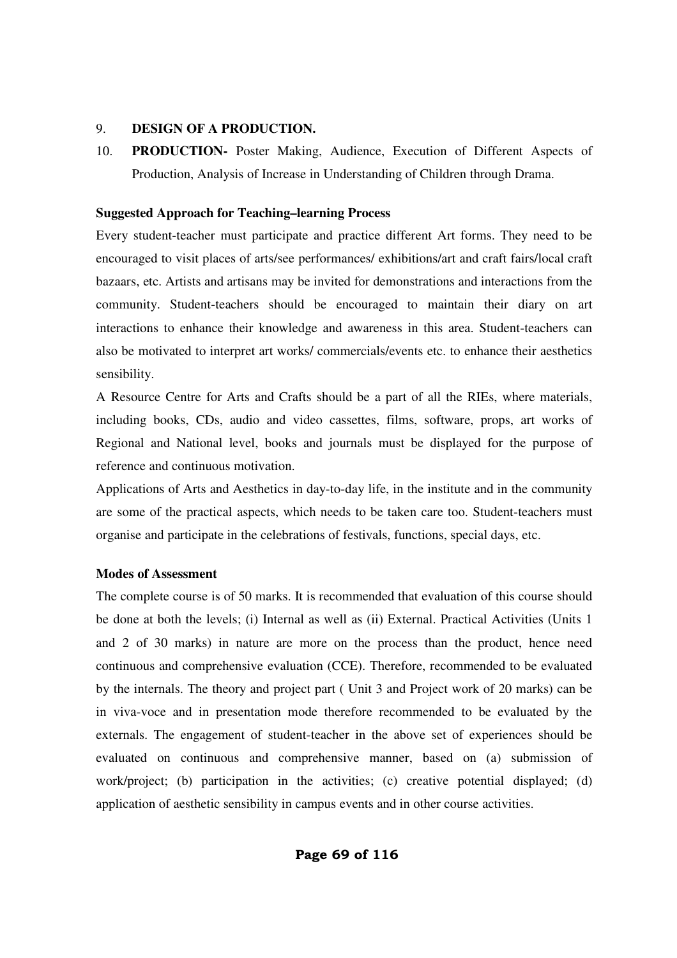#### 9. **DESIGN OF A PRODUCTION.**

10. **PRODUCTION-** Poster Making, Audience, Execution of Different Aspects of Production, Analysis of Increase in Understanding of Children through Drama.

### **Suggested Approach for Teaching–learning Process**

Every student-teacher must participate and practice different Art forms. They need to be encouraged to visit places of arts/see performances/ exhibitions/art and craft fairs/local craft bazaars, etc. Artists and artisans may be invited for demonstrations and interactions from the community. Student-teachers should be encouraged to maintain their diary on art interactions to enhance their knowledge and awareness in this area. Student-teachers can also be motivated to interpret art works/ commercials/events etc. to enhance their aesthetics sensibility.

A Resource Centre for Arts and Crafts should be a part of all the RIEs, where materials, including books, CDs, audio and video cassettes, films, software, props, art works of Regional and National level, books and journals must be displayed for the purpose of reference and continuous motivation.

Applications of Arts and Aesthetics in day-to-day life, in the institute and in the community are some of the practical aspects, which needs to be taken care too. Student-teachers must organise and participate in the celebrations of festivals, functions, special days, etc.

## **Modes of Assessment**

The complete course is of 50 marks. It is recommended that evaluation of this course should be done at both the levels; (i) Internal as well as (ii) External. Practical Activities (Units 1 and 2 of 30 marks) in nature are more on the process than the product, hence need continuous and comprehensive evaluation (CCE). Therefore, recommended to be evaluated by the internals. The theory and project part ( Unit 3 and Project work of 20 marks) can be in viva-voce and in presentation mode therefore recommended to be evaluated by the externals. The engagement of student-teacher in the above set of experiences should be evaluated on continuous and comprehensive manner, based on (a) submission of work/project; (b) participation in the activities; (c) creative potential displayed; (d) application of aesthetic sensibility in campus events and in other course activities.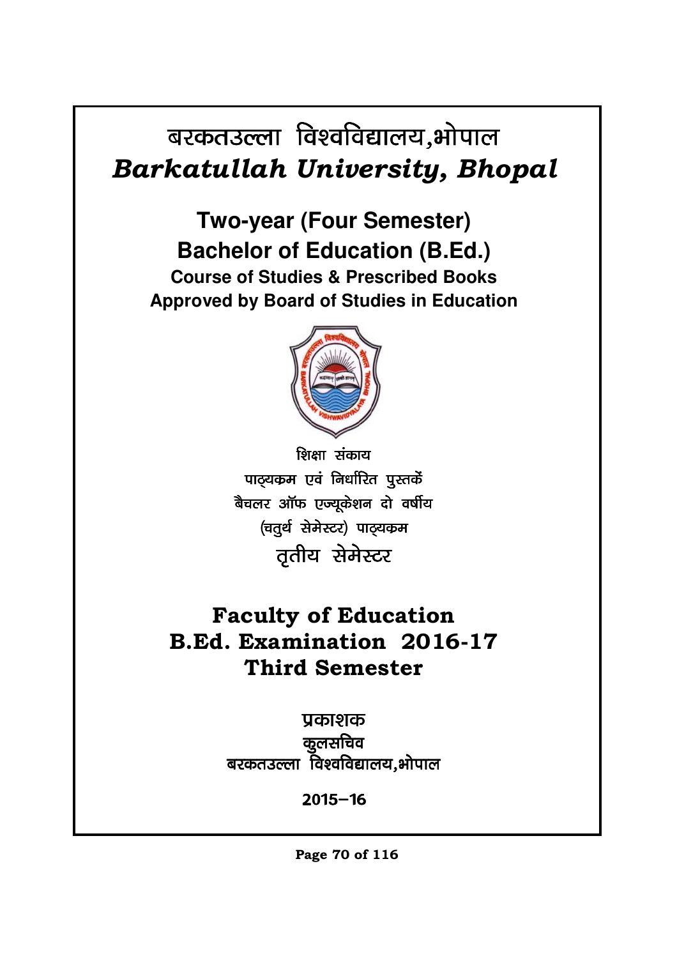# बरकतउल्ला विश्वविद्यालय,भोपाल Barkatullah University, Bhopal

**Two-year (Four Semester) Bachelor of Education (B.Ed.) Course of Studies & Prescribed Books Approved by Board of Studies in Education** 



शिक्षा संकाय पाठ्यक्रम एवं निर्धारित पुस्तकें बैचलर ऑफ एज्यूकेशन दो वर्षीय (चतुर्थ सेमेस्टर) पाठ्यकम

तृतीय सेमेस्टर

Faculty of Education **B.Ed. Examination 2016-17 Third Semester** 

प्रकाशक

कुलसचिव बरकतउल्ला विश्वविद्यालय,भोपाल

 $2015 - 16$ 

l<br>L

**Page 70 of 116**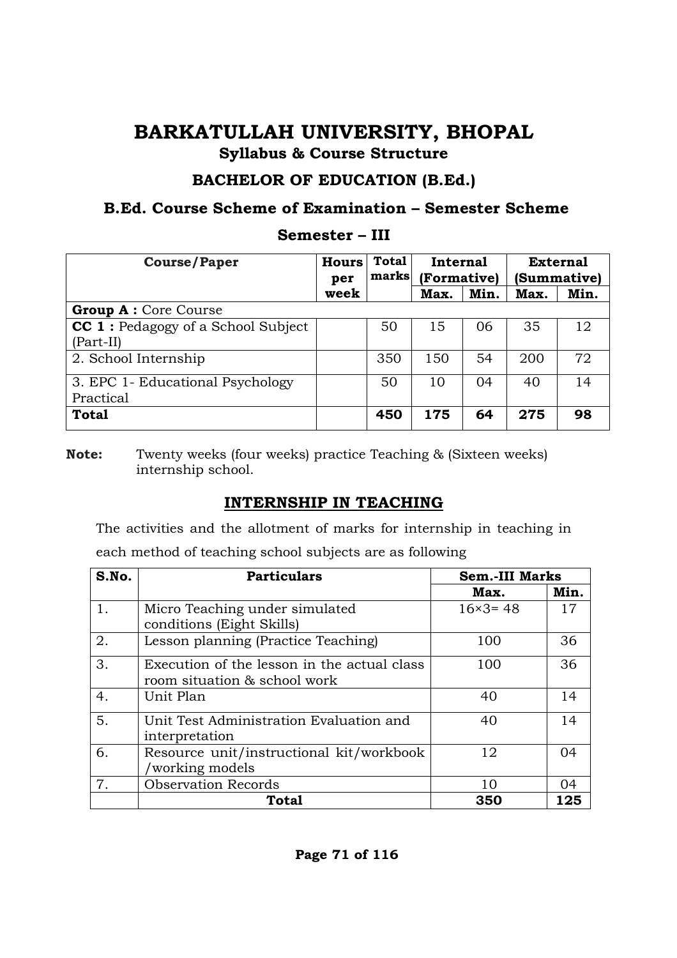# BARKATULLAH UNIVERSITY, BHOPAL **Syllabus & Course Structure**

# **BACHELOR OF EDUCATION (B.Ed.)**

# B.Ed. Course Scheme of Examination - Semester Scheme

| <b>Course/Paper</b>                                       | <b>Hours</b><br>per | Total<br>marks | Internal<br>(Formative) |      | <b>External</b><br>(Summative) |      |  |
|-----------------------------------------------------------|---------------------|----------------|-------------------------|------|--------------------------------|------|--|
|                                                           | week                |                | Max.                    | Min. | Max.                           | Min. |  |
| <b>Group A: Core Course</b>                               |                     |                |                         |      |                                |      |  |
| <b>CC 1</b> : Pedagogy of a School Subject<br>$(Part-II)$ |                     | 50             | 15                      | 06   | 35                             | 12   |  |
| 2. School Internship                                      |                     | 350            | 150                     | 54   | 200                            | 72   |  |
| 3. EPC 1- Educational Psychology<br>Practical             |                     | 50             | 10                      | 04   | 40                             | 14   |  |
| <b>Total</b>                                              |                     | 450            | 175                     | 64   | 275                            | 98   |  |

# Semester - III

Note: Twenty weeks (four weeks) practice Teaching & (Sixteen weeks) internship school.

# **INTERNSHIP IN TEACHING**

The activities and the allotment of marks for internship in teaching in each method of teaching school subjects are as following

| S.No. | <b>Particulars</b>                                                          | <b>Sem.-III Marks</b> |      |  |  |
|-------|-----------------------------------------------------------------------------|-----------------------|------|--|--|
|       |                                                                             | Max.                  | Min. |  |  |
| 1.    | Micro Teaching under simulated<br>conditions (Eight Skills)                 | $16 \times 3 = 48$    | 17   |  |  |
| 2.    | Lesson planning (Practice Teaching)                                         | 100                   | 36   |  |  |
| 3.    | Execution of the lesson in the actual class<br>room situation & school work | 100                   | 36   |  |  |
| 4.    | Unit Plan                                                                   | 40                    | 14   |  |  |
| 5.    | Unit Test Administration Evaluation and<br>interpretation                   | 40                    | 14   |  |  |
| 6.    | Resource unit/instructional kit/workbook<br>/working models                 | 12                    | 04   |  |  |
| 7.    | <b>Observation Records</b>                                                  | 10                    | 04   |  |  |
|       | <b>Total</b>                                                                | 350                   | 125  |  |  |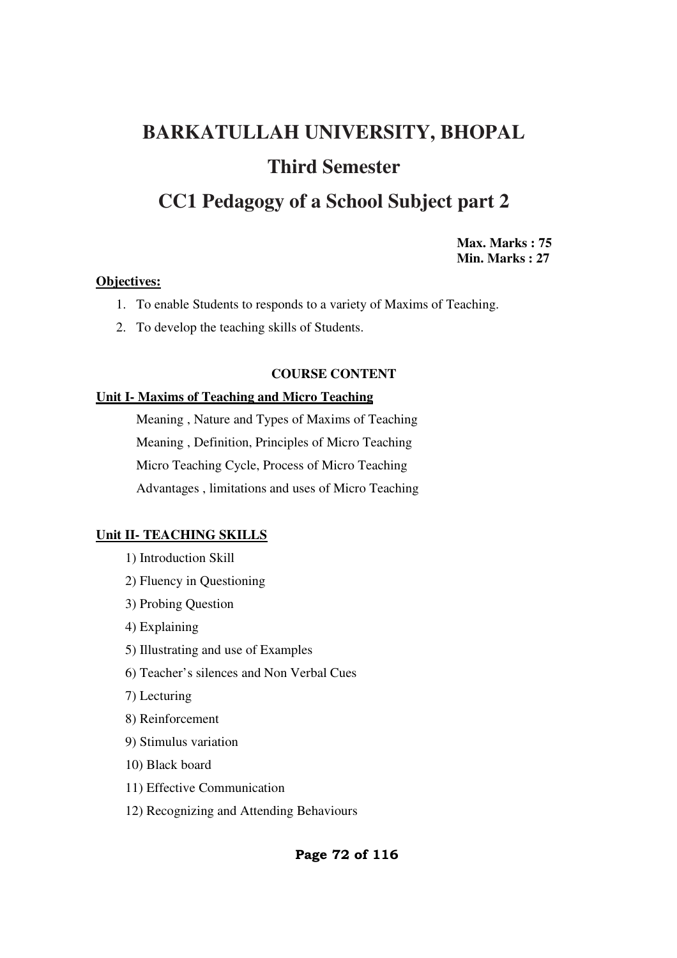# **BARKATULLAH UNIVERSITY, BHOPAL Third Semester CC1 Pedagogy of a School Subject part 2**

**Max. Marks : 75 Min. Marks : 27** 

## **Objectives:**

- 1. To enable Students to responds to a variety of Maxims of Teaching.
- 2. To develop the teaching skills of Students.

## **COURSE CONTENT**

#### **Unit I- Maxims of Teaching and Micro Teaching**

Meaning , Nature and Types of Maxims of Teaching Meaning , Definition, Principles of Micro Teaching Micro Teaching Cycle, Process of Micro Teaching Advantages , limitations and uses of Micro Teaching

## **Unit II- TEACHING SKILLS**

- 1) Introduction Skill
- 2) Fluency in Questioning
- 3) Probing Question
- 4) Explaining
- 5) Illustrating and use of Examples
- 6) Teacher's silences and Non Verbal Cues
- 7) Lecturing
- 8) Reinforcement
- 9) Stimulus variation
- 10) Black board
- 11) Effective Communication
- 12) Recognizing and Attending Behaviours

## Page 72 of 116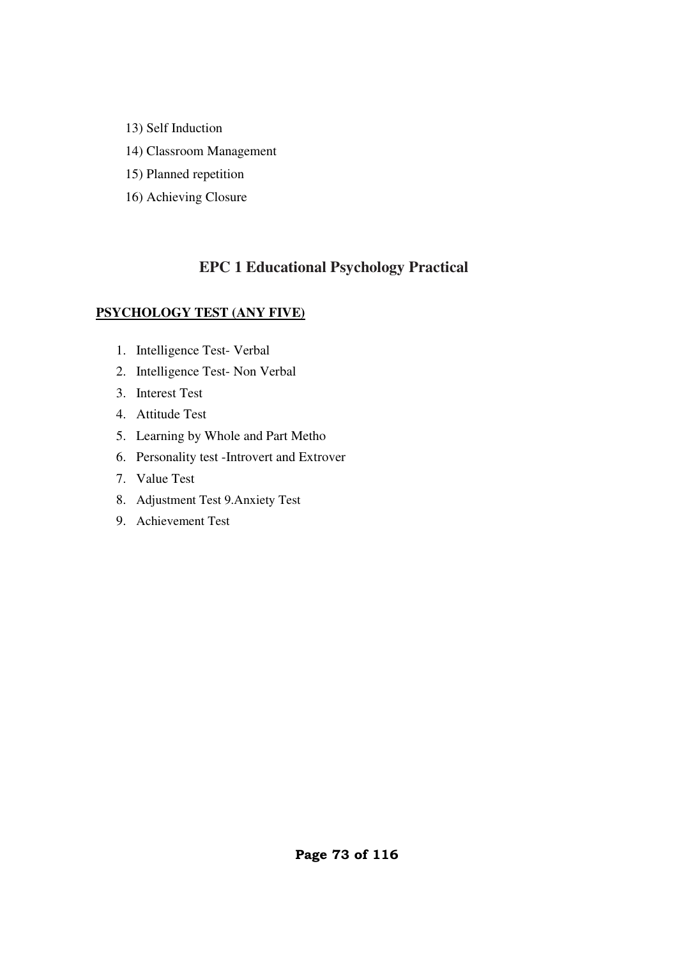- 13) Self Induction
- 14) Classroom Management
- 15) Planned repetition
- 16) Achieving Closure

## **EPC 1 Educational Psychology Practical**

## **PSYCHOLOGY TEST (ANY FIVE)**

- 1. Intelligence Test- Verbal
- 2. Intelligence Test- Non Verbal
- 3. Interest Test
- 4. Attitude Test
- 5. Learning by Whole and Part Metho
- 6. Personality test -Introvert and Extrover
- 7. Value Test
- 8. Adjustment Test 9.Anxiety Test
- 9. Achievement Test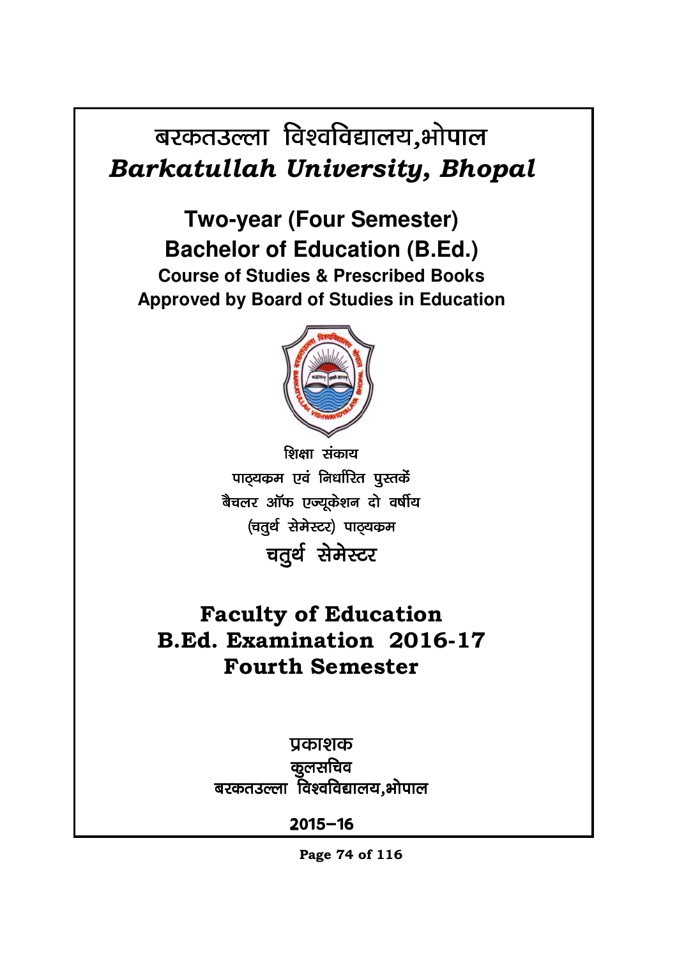# बरकतउल्ला विश्वविद्यालय,भोपाल Barkatullah University, Bhopal

**Two-year (Four Semester) Bachelor of Education (B.Ed.) Course of Studies & Prescribed Books Approved by Board of Studies in Education** 



शिक्षा संकाय पाठ्यक्रम एवं निर्धारित पुस्तकें बैचलर ऑफ एज्यूकेशन दो वर्षीय (चतुर्थ सेमेस्टर) पाठ्यकम चतुर्थ सेमेस्टर

## **Faculty of Education B.Ed. Examination 2016-17**  $\bf{Fourth}$  Semester

प्रकाशक कुलसचिव बरकतउल्ला विश्वविद्यालय,भोपाल

 $2015 - 16$ 

**Page 74 of 116**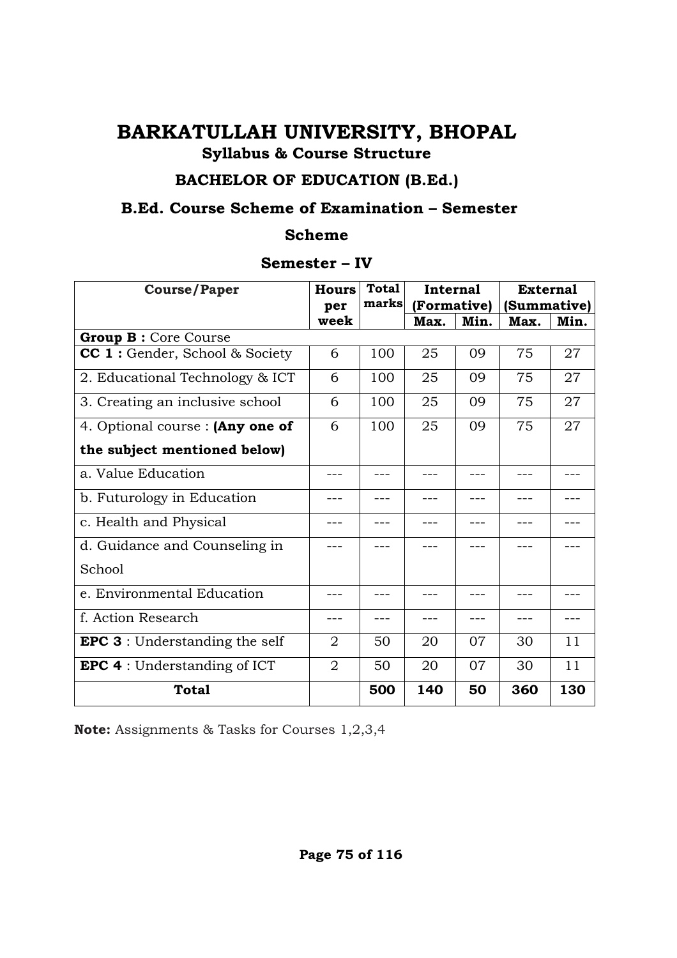## BARKATULLAH UNIVERSITY, BHOPAL **Syllabus & Course Structure**

## **BACHELOR OF EDUCATION (B.Ed.)**

## B.Ed. Course Scheme of Examination - Semester

## **Scheme**

## Semester – IV

| <b>Course/Paper</b>                   | <b>Hours</b>   | <b>Total</b> | <b>Internal</b> |      | <b>External</b> |      |
|---------------------------------------|----------------|--------------|-----------------|------|-----------------|------|
|                                       | per            | marks        | (Formative)     |      | (Summative)     |      |
|                                       | week           |              | Max.            | Min. | Max.            | Min. |
| <b>Group B: Core Course</b>           |                |              |                 |      |                 |      |
| <b>CC 1:</b> Gender, School & Society | 6              | 100          | 25              | 09   | 75              | 27   |
| 2. Educational Technology & ICT       | 6              | 100          | 25              | 09   | 75              | 27   |
| 3. Creating an inclusive school       | 6              | 100          | 25              | 09   | 75              | 27   |
| 4. Optional course : (Any one of      | 6              | 100          | 25              | 09   | 75              | 27   |
| the subject mentioned below)          |                |              |                 |      |                 |      |
| a. Value Education                    | ---            |              | ---             | ---  | ---             |      |
| b. Futurology in Education            | ---            |              | ---             | ---  | ---             |      |
| c. Health and Physical                | ---            | ---          | ---             |      | ---             |      |
| d. Guidance and Counseling in         |                |              |                 |      |                 |      |
| School                                |                |              |                 |      |                 |      |
| e. Environmental Education            |                |              |                 |      |                 |      |
| f. Action Research                    | ---            |              |                 |      |                 |      |
| <b>EPC 3</b> : Understanding the self | $\overline{2}$ | 50           | 20              | 07   | 30              | 11   |
| <b>EPC 4</b> : Understanding of ICT   | $\overline{2}$ | 50           | 20              | 07   | 30              | 11   |
| <b>Total</b>                          |                | 500          | 140             | 50   | 360             | 130  |

**Note:** Assignments & Tasks for Courses 1,2,3,4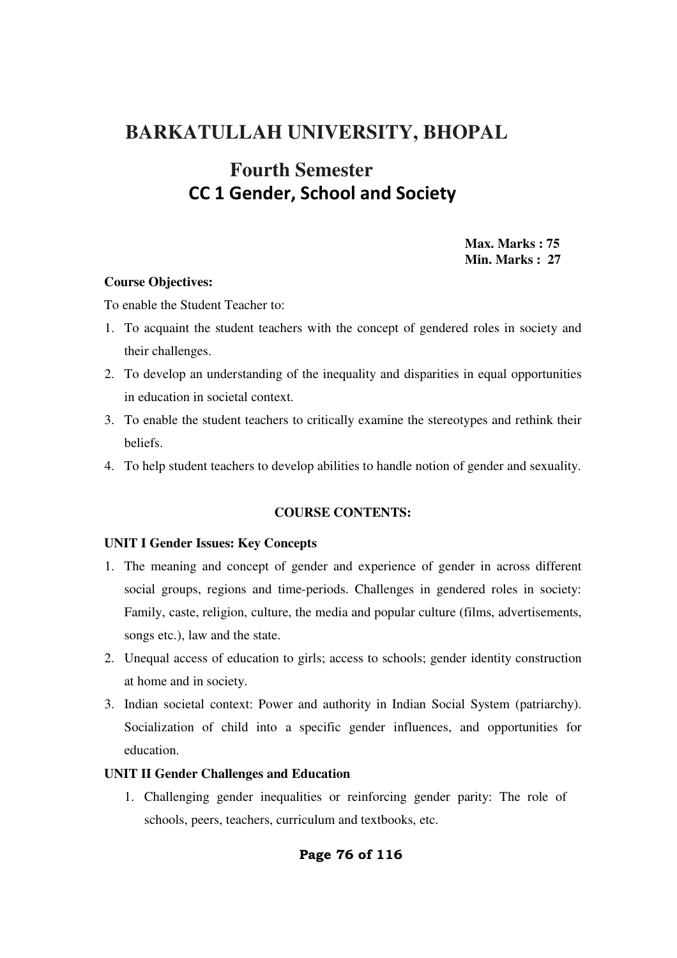## **BARKATULLAH UNIVERSITY, BHOPAL**

## **Fourth Semester CC 1 Gender, School and Society**

**Max. Marks : 75 Min. Marks : 27** 

## **Course Objectives:**

To enable the Student Teacher to:

- 1. To acquaint the student teachers with the concept of gendered roles in society and their challenges.
- 2. To develop an understanding of the inequality and disparities in equal opportunities in education in societal context.
- 3. To enable the student teachers to critically examine the stereotypes and rethink their beliefs.
- 4. To help student teachers to develop abilities to handle notion of gender and sexuality.

## **COURSE CONTENTS:**

## **UNIT I Gender Issues: Key Concepts**

- 1. The meaning and concept of gender and experience of gender in across different social groups, regions and time-periods. Challenges in gendered roles in society: Family, caste, religion, culture, the media and popular culture (films, advertisements, songs etc.), law and the state.
- 2. Unequal access of education to girls; access to schools; gender identity construction at home and in society.
- 3. Indian societal context: Power and authority in Indian Social System (patriarchy). Socialization of child into a specific gender influences, and opportunities for education.

## **UNIT II Gender Challenges and Education**

1. Challenging gender inequalities or reinforcing gender parity: The role of schools, peers, teachers, curriculum and textbooks, etc.

## Page 76 of 116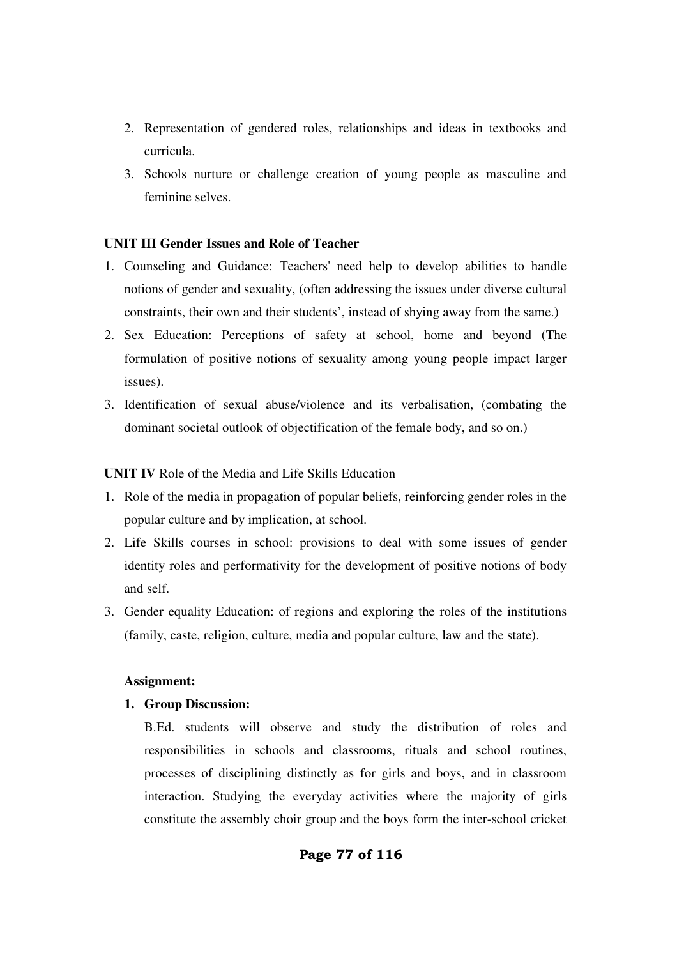- 2. Representation of gendered roles, relationships and ideas in textbooks and curricula.
- 3. Schools nurture or challenge creation of young people as masculine and feminine selves.

## **UNIT III Gender Issues and Role of Teacher**

- 1. Counseling and Guidance: Teachers' need help to develop abilities to handle notions of gender and sexuality, (often addressing the issues under diverse cultural constraints, their own and their students', instead of shying away from the same.)
- 2. Sex Education: Perceptions of safety at school, home and beyond (The formulation of positive notions of sexuality among young people impact larger issues).
- 3. Identification of sexual abuse/violence and its verbalisation, (combating the dominant societal outlook of objectification of the female body, and so on.)

#### **UNIT IV** Role of the Media and Life Skills Education

- 1. Role of the media in propagation of popular beliefs, reinforcing gender roles in the popular culture and by implication, at school.
- 2. Life Skills courses in school: provisions to deal with some issues of gender identity roles and performativity for the development of positive notions of body and self.
- 3. Gender equality Education: of regions and exploring the roles of the institutions (family, caste, religion, culture, media and popular culture, law and the state).

#### **Assignment:**

#### **1. Group Discussion:**

B.Ed. students will observe and study the distribution of roles and responsibilities in schools and classrooms, rituals and school routines, processes of disciplining distinctly as for girls and boys, and in classroom interaction. Studying the everyday activities where the majority of girls constitute the assembly choir group and the boys form the inter-school cricket

## Page 77 of 116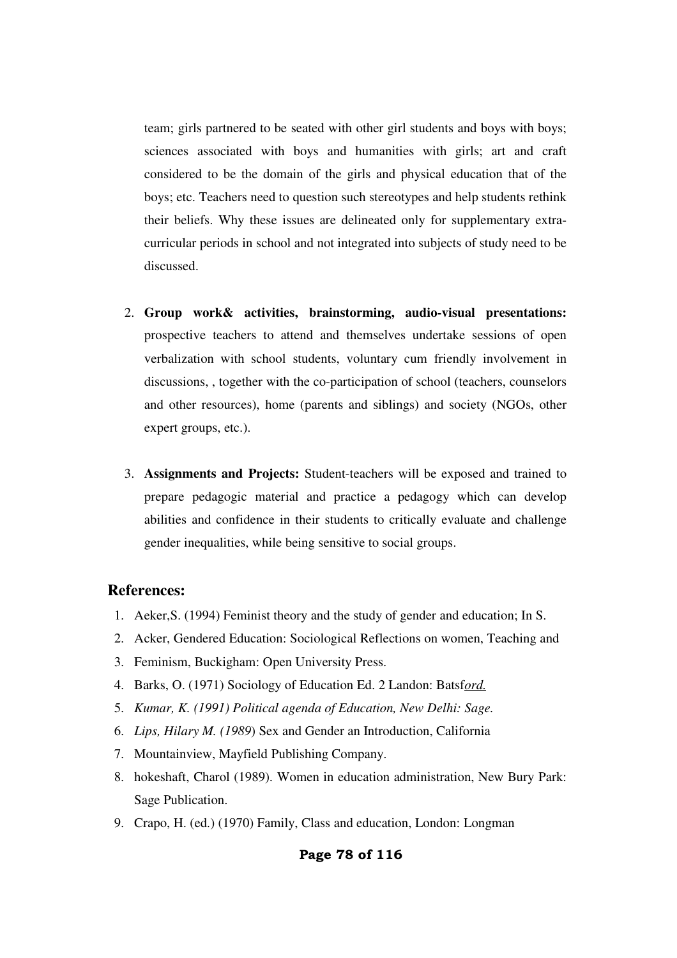team; girls partnered to be seated with other girl students and boys with boys; sciences associated with boys and humanities with girls; art and craft considered to be the domain of the girls and physical education that of the boys; etc. Teachers need to question such stereotypes and help students rethink their beliefs. Why these issues are delineated only for supplementary extracurricular periods in school and not integrated into subjects of study need to be discussed.

- 2. **Group work& activities, brainstorming, audio-visual presentations:**  prospective teachers to attend and themselves undertake sessions of open verbalization with school students, voluntary cum friendly involvement in discussions, , together with the co-participation of school (teachers, counselors and other resources), home (parents and siblings) and society (NGOs, other expert groups, etc.).
- 3. **Assignments and Projects:** Student-teachers will be exposed and trained to prepare pedagogic material and practice a pedagogy which can develop abilities and confidence in their students to critically evaluate and challenge gender inequalities, while being sensitive to social groups.

## **References:**

- 1. Aeker,S. (1994) Feminist theory and the study of gender and education; In S.
- 2. Acker, Gendered Education: Sociological Reflections on women, Teaching and
- 3. Feminism, Buckigham: Open University Press.
- 4. Barks, O. (1971) Sociology of Education Ed. 2 Landon: Batsf*ord.*
- 5. *Kumar, K. (1991) Political agenda of Education, New Delhi: Sage.*
- 6. *Lips, Hilary M. (1989*) Sex and Gender an Introduction, California
- 7. Mountainview, Mayfield Publishing Company.
- 8. hokeshaft, Charol (1989). Women in education administration, New Bury Park: Sage Publication.
- 9. Crapo, H. (ed.) (1970) Family, Class and education, London: Longman

## **Page 78 of 116**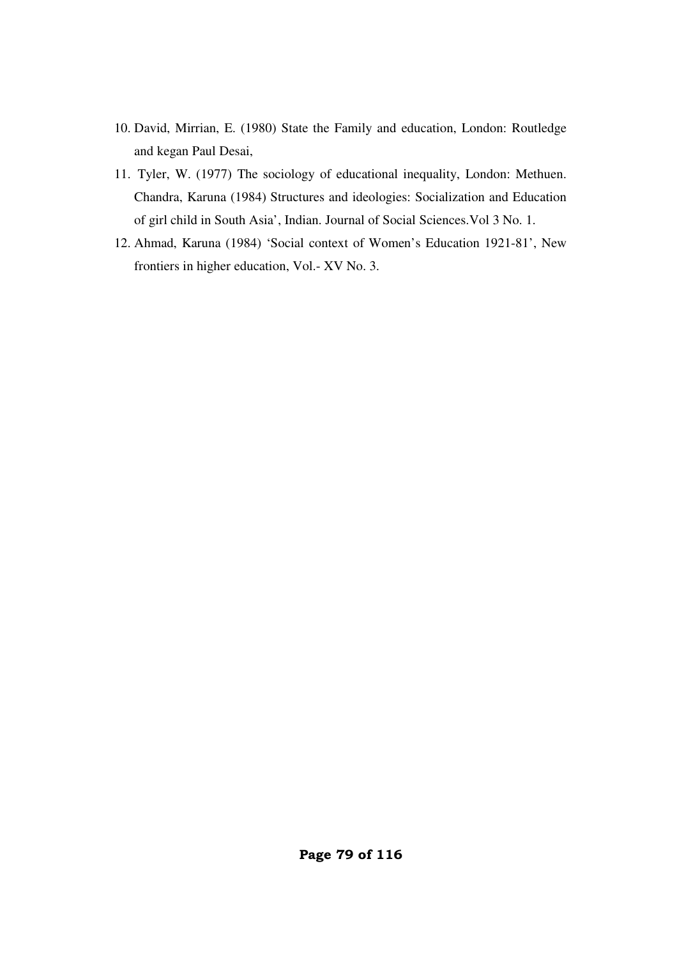- 10. David, Mirrian, E. (1980) State the Family and education, London: Routledge and kegan Paul Desai,
- 11. Tyler, W. (1977) The sociology of educational inequality, London: Methuen. Chandra, Karuna (1984) Structures and ideologies: Socialization and Education of girl child in South Asia', Indian. Journal of Social Sciences.Vol 3 No. 1.
- 12. Ahmad, Karuna (1984) 'Social context of Women's Education 1921-81', New frontiers in higher education, Vol.- XV No. 3.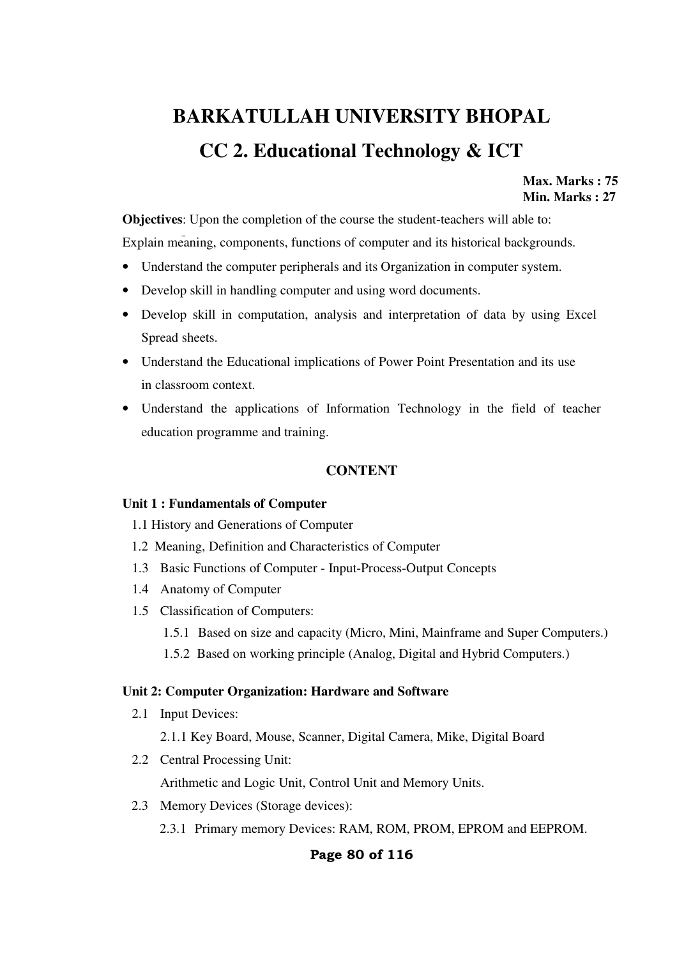# **BARKATULLAH UNIVERSITY BHOPAL CC 2. Educational Technology & ICT**

## **Max. Marks : 75 Min. Marks : 27**

**Objectives**: Upon the completion of the course the student-teachers will able to: Explain meaning, components, functions of computer and its historical backgrounds.

- Understand the computer peripherals and its Organization in computer system.
- Develop skill in handling computer and using word documents.
- Develop skill in computation, analysis and interpretation of data by using Excel Spread sheets.
- Understand the Educational implications of Power Point Presentation and its use in classroom context.
- Understand the applications of Information Technology in the field of teacher education programme and training.

## **CONTENT**

## **Unit 1 : Fundamentals of Computer**

1.1 History and Generations of Computer

- 1.2 Meaning, Definition and Characteristics of Computer
- 1.3 Basic Functions of Computer Input-Process-Output Concepts
- 1.4 Anatomy of Computer
- 1.5 Classification of Computers:
	- 1.5.1 Based on size and capacity (Micro, Mini, Mainframe and Super Computers.)
	- 1.5.2 Based on working principle (Analog, Digital and Hybrid Computers.)

#### **Unit 2: Computer Organization: Hardware and Software**

2.1 Input Devices:

2.1.1 Key Board, Mouse, Scanner, Digital Camera, Mike, Digital Board

2.2 Central Processing Unit:

Arithmetic and Logic Unit, Control Unit and Memory Units.

2.3 Memory Devices (Storage devices):

2.3.1 Primary memory Devices: RAM, ROM, PROM, EPROM and EEPROM.

## **Page 80 of 116**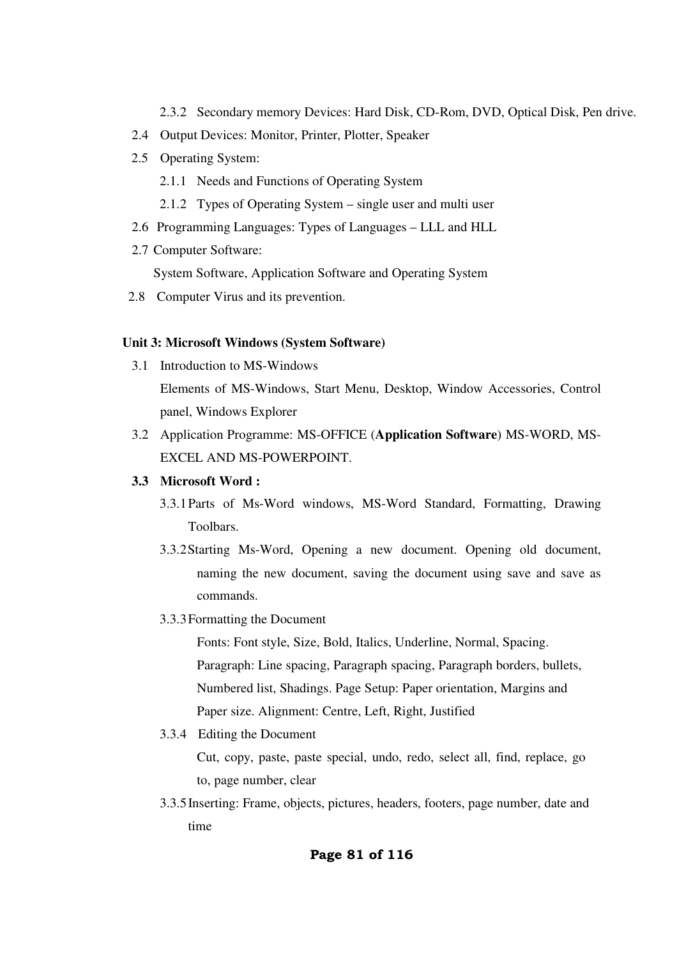2.3.2 Secondary memory Devices: Hard Disk, CD-Rom, DVD, Optical Disk, Pen drive.

- 2.4 Output Devices: Monitor, Printer, Plotter, Speaker
- 2.5 Operating System:
	- 2.1.1 Needs and Functions of Operating System
	- 2.1.2 Types of Operating System single user and multi user
- 2.6 Programming Languages: Types of Languages LLL and HLL
- 2.7 Computer Software:

System Software, Application Software and Operating System

2.8 Computer Virus and its prevention.

## **Unit 3: Microsoft Windows (System Software)**

3.1 Introduction to MS-Windows

Elements of MS-Windows, Start Menu, Desktop, Window Accessories, Control panel, Windows Explorer

3.2 Application Programme: MS-OFFICE (**Application Software**) MS-WORD, MS-EXCEL AND MS-POWERPOINT.

## **3.3 Microsoft Word :**

- 3.3.1Parts of Ms-Word windows, MS-Word Standard, Formatting, Drawing Toolbars.
- 3.3.2Starting Ms-Word, Opening a new document. Opening old document, naming the new document, saving the document using save and save as commands.
- 3.3.3Formatting the Document

Fonts: Font style, Size, Bold, Italics, Underline, Normal, Spacing. Paragraph: Line spacing, Paragraph spacing, Paragraph borders, bullets, Numbered list, Shadings. Page Setup: Paper orientation, Margins and Paper size. Alignment: Centre, Left, Right, Justified

3.3.4 Editing the Document

Cut, copy, paste, paste special, undo, redo, select all, find, replace, go to, page number, clear

3.3.5Inserting: Frame, objects, pictures, headers, footers, page number, date and time

## **Page 81 of 116**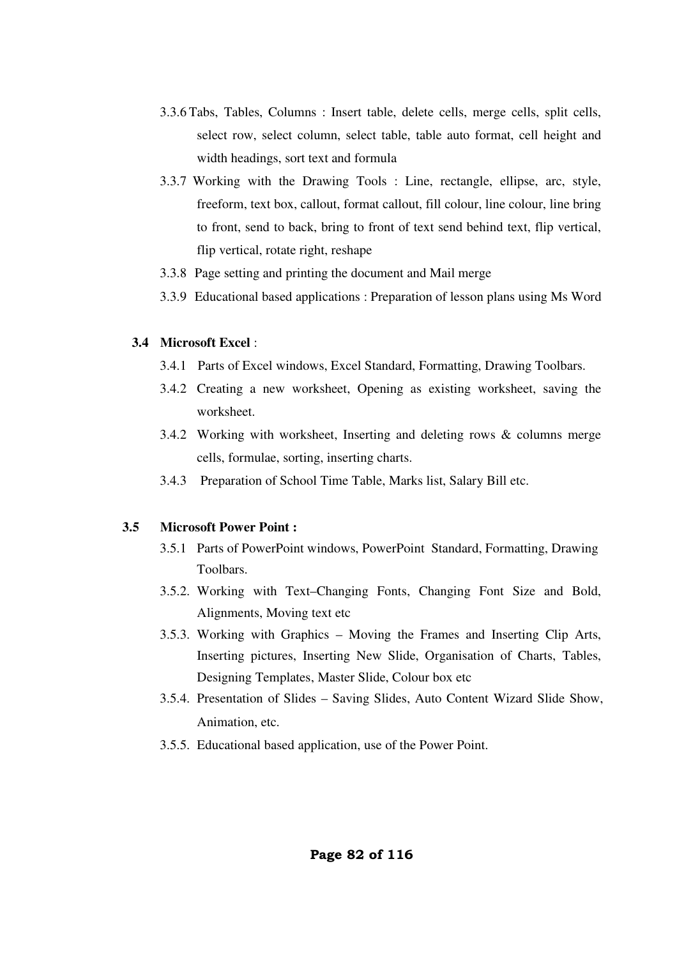- 3.3.6 Tabs, Tables, Columns : Insert table, delete cells, merge cells, split cells, select row, select column, select table, table auto format, cell height and width headings, sort text and formula
- 3.3.7 Working with the Drawing Tools : Line, rectangle, ellipse, arc, style, freeform, text box, callout, format callout, fill colour, line colour, line bring to front, send to back, bring to front of text send behind text, flip vertical, flip vertical, rotate right, reshape
- 3.3.8 Page setting and printing the document and Mail merge
- 3.3.9 Educational based applications : Preparation of lesson plans using Ms Word

## **3.4 Microsoft Excel** :

- 3.4.1 Parts of Excel windows, Excel Standard, Formatting, Drawing Toolbars.
- 3.4.2 Creating a new worksheet, Opening as existing worksheet, saving the worksheet.
- 3.4.2 Working with worksheet, Inserting and deleting rows & columns merge cells, formulae, sorting, inserting charts.
- 3.4.3 Preparation of School Time Table, Marks list, Salary Bill etc.

## **3.5 Microsoft Power Point :**

- 3.5.1 Parts of PowerPoint windows, PowerPoint Standard, Formatting, Drawing Toolbars.
- 3.5.2. Working with Text–Changing Fonts, Changing Font Size and Bold, Alignments, Moving text etc
- 3.5.3. Working with Graphics Moving the Frames and Inserting Clip Arts, Inserting pictures, Inserting New Slide, Organisation of Charts, Tables, Designing Templates, Master Slide, Colour box etc
- 3.5.4. Presentation of Slides Saving Slides, Auto Content Wizard Slide Show, Animation, etc.
- 3.5.5. Educational based application, use of the Power Point.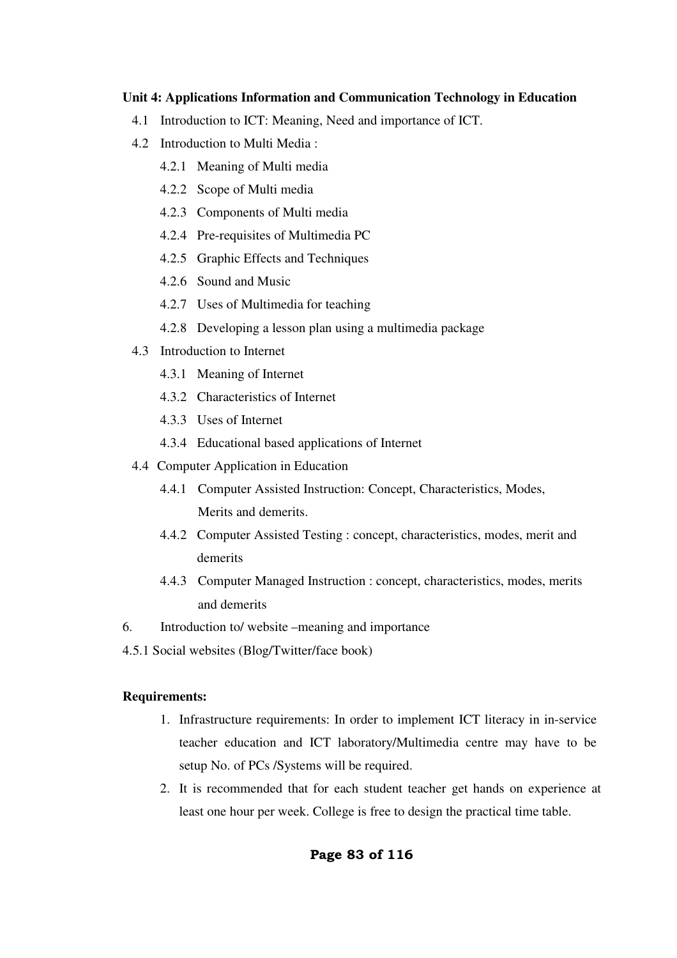## **Unit 4: Applications Information and Communication Technology in Education**

- 4.1 Introduction to ICT: Meaning, Need and importance of ICT.
- 4.2 Introduction to Multi Media :
	- 4.2.1 Meaning of Multi media
	- 4.2.2 Scope of Multi media
	- 4.2.3 Components of Multi media
	- 4.2.4 Pre-requisites of Multimedia PC
	- 4.2.5 Graphic Effects and Techniques
	- 4.2.6 Sound and Music
	- 4.2.7 Uses of Multimedia for teaching
	- 4.2.8 Developing a lesson plan using a multimedia package
- 4.3 Introduction to Internet
	- 4.3.1 Meaning of Internet
	- 4.3.2 Characteristics of Internet
	- 4.3.3 Uses of Internet
	- 4.3.4 Educational based applications of Internet
- 4.4 Computer Application in Education
	- 4.4.1 Computer Assisted Instruction: Concept, Characteristics, Modes, Merits and demerits.
	- 4.4.2 Computer Assisted Testing : concept, characteristics, modes, merit and demerits
	- 4.4.3 Computer Managed Instruction : concept, characteristics, modes, merits and demerits
- 6. Introduction to/ website –meaning and importance
- 4.5.1 Social websites (Blog/Twitter/face book)

## **Requirements:**

- 1. Infrastructure requirements: In order to implement ICT literacy in in-service teacher education and ICT laboratory/Multimedia centre may have to be setup No. of PCs /Systems will be required.
- 2. It is recommended that for each student teacher get hands on experience at least one hour per week. College is free to design the practical time table.

## **Page 83 of 116**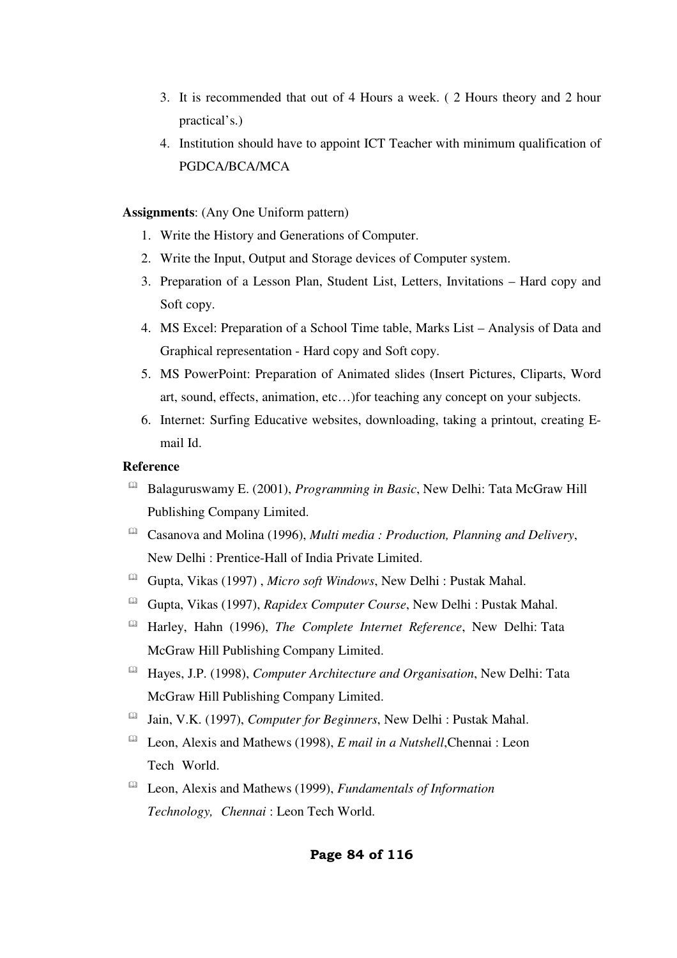- 3. It is recommended that out of 4 Hours a week. ( 2 Hours theory and 2 hour practical's.)
- 4. Institution should have to appoint ICT Teacher with minimum qualification of PGDCA/BCA/MCA

## **Assignments**: (Any One Uniform pattern)

- 1. Write the History and Generations of Computer.
- 2. Write the Input, Output and Storage devices of Computer system.
- 3. Preparation of a Lesson Plan, Student List, Letters, Invitations Hard copy and Soft copy.
- 4. MS Excel: Preparation of a School Time table, Marks List Analysis of Data and Graphical representation - Hard copy and Soft copy.
- 5. MS PowerPoint: Preparation of Animated slides (Insert Pictures, Cliparts, Word art, sound, effects, animation, etc…)for teaching any concept on your subjects.
- 6. Internet: Surfing Educative websites, downloading, taking a printout, creating Email Id.

## **Reference**

- $\omega$  Balaguruswamy E. (2001), *Programming in Basic*, New Delhi: Tata McGraw Hill Publishing Company Limited.
- Casanova and Molina (1996), *Multi media : Production, Planning and Delivery*, New Delhi : Prentice-Hall of India Private Limited.
- Gupta, Vikas (1997) , *Micro soft Windows*, New Delhi : Pustak Mahal.
- Gupta, Vikas (1997), *Rapidex Computer Course*, New Delhi : Pustak Mahal.
- Harley, Hahn (1996), *The Complete Internet Reference*, New Delhi: Tata McGraw Hill Publishing Company Limited.
- Hayes, J.P. (1998), *Computer Architecture and Organisation*, New Delhi: Tata McGraw Hill Publishing Company Limited.
- Jain, V.K. (1997), *Computer for Beginners*, New Delhi : Pustak Mahal.
- $\Box$  Leon, Alexis and Mathews (1998), *E mail in a Nutshell*, Chennai : Leon Tech World.
- Leon, Alexis and Mathews (1999), *Fundamentals of Information Technology, Chennai* : Leon Tech World.

## **Page 84 of 116**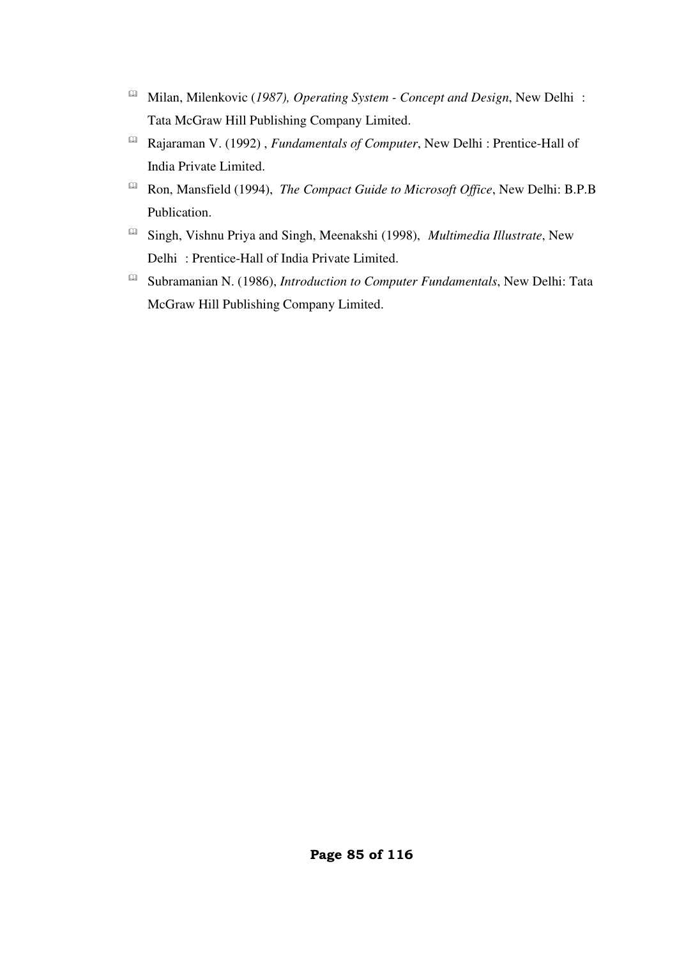- Milan, Milenkovic (*1987), Operating System Concept and Design*, New Delhi : Tata McGraw Hill Publishing Company Limited.
- Rajaraman V. (1992) , *Fundamentals of Computer*, New Delhi : Prentice-Hall of India Private Limited.
- Ron, Mansfield (1994), *The Compact Guide to Microsoft Office*, New Delhi: B.P.B Publication.
- Singh, Vishnu Priya and Singh, Meenakshi (1998), *Multimedia Illustrate*, New Delhi : Prentice-Hall of India Private Limited.
- Subramanian N. (1986), *Introduction to Computer Fundamentals*, New Delhi: Tata McGraw Hill Publishing Company Limited.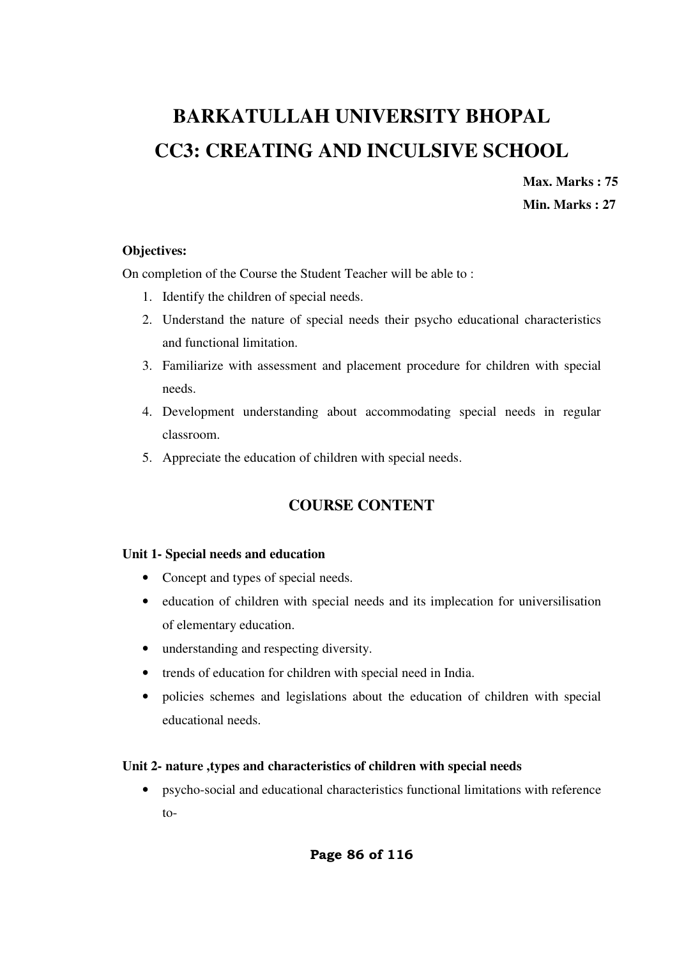# **BARKATULLAH UNIVERSITY BHOPAL CC3: CREATING AND INCULSIVE SCHOOL**

**Max. Marks : 75 Min. Marks : 27** 

## **Objectives:**

On completion of the Course the Student Teacher will be able to :

- 1. Identify the children of special needs.
- 2. Understand the nature of special needs their psycho educational characteristics and functional limitation.
- 3. Familiarize with assessment and placement procedure for children with special needs.
- 4. Development understanding about accommodating special needs in regular classroom.
- 5. Appreciate the education of children with special needs.

## **COURSE CONTENT**

## **Unit 1- Special needs and education**

- Concept and types of special needs.
- education of children with special needs and its implecation for universilisation of elementary education.
- understanding and respecting diversity.
- trends of education for children with special need in India.
- policies schemes and legislations about the education of children with special educational needs.

## **Unit 2- nature ,types and characteristics of children with special needs**

• psycho-social and educational characteristics functional limitations with reference to-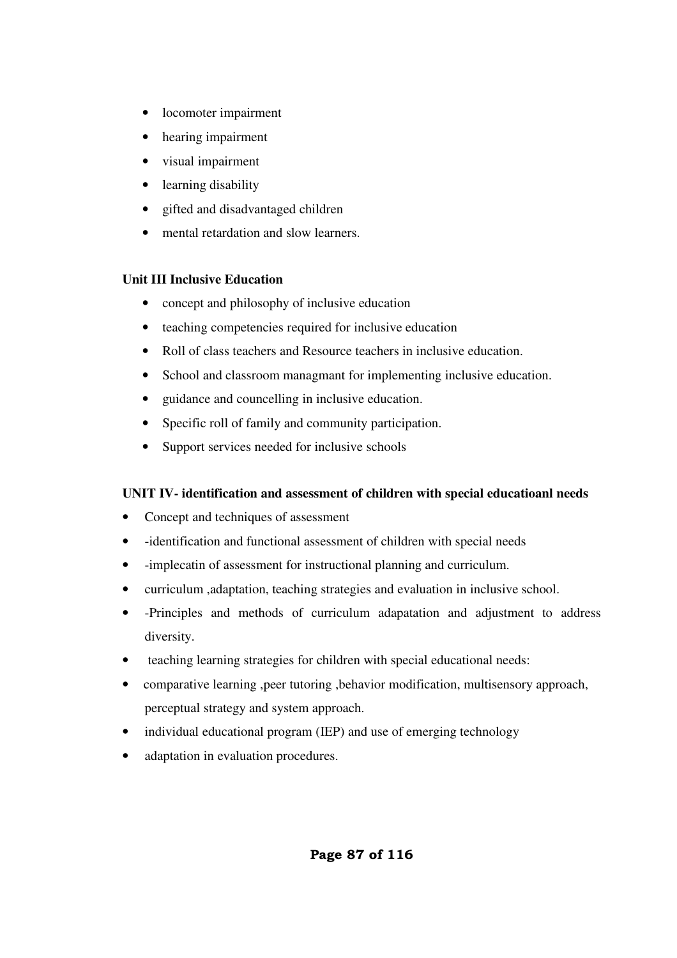- locomoter impairment
- hearing impairment
- visual impairment
- learning disability
- gifted and disadvantaged children
- mental retardation and slow learners.

## **Unit III Inclusive Education**

- concept and philosophy of inclusive education
- teaching competencies required for inclusive education
- Roll of class teachers and Resource teachers in inclusive education.
- School and classroom managmant for implementing inclusive education.
- guidance and councelling in inclusive education.
- Specific roll of family and community participation.
- Support services needed for inclusive schools

## **UNIT IV- identification and assessment of children with special educatioanl needs**

- Concept and techniques of assessment
- -identification and functional assessment of children with special needs
- -implecatin of assessment for instructional planning and curriculum.
- curriculum ,adaptation, teaching strategies and evaluation in inclusive school.
- -Principles and methods of curriculum adapatation and adjustment to address diversity.
- teaching learning strategies for children with special educational needs:
- comparative learning , peer tutoring , behavior modification, multisensory approach, perceptual strategy and system approach.
- individual educational program (IEP) and use of emerging technology
- adaptation in evaluation procedures.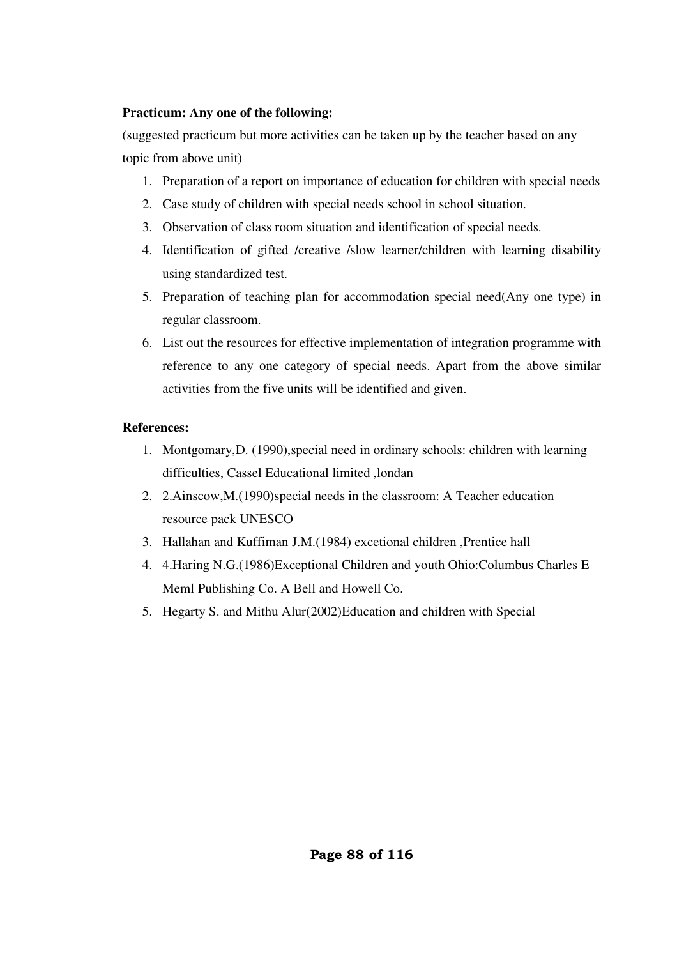## **Practicum: Any one of the following:**

(suggested practicum but more activities can be taken up by the teacher based on any topic from above unit)

- 1. Preparation of a report on importance of education for children with special needs
- 2. Case study of children with special needs school in school situation.
- 3. Observation of class room situation and identification of special needs.
- 4. Identification of gifted /creative /slow learner/children with learning disability using standardized test.
- 5. Preparation of teaching plan for accommodation special need(Any one type) in regular classroom.
- 6. List out the resources for effective implementation of integration programme with reference to any one category of special needs. Apart from the above similar activities from the five units will be identified and given.

## **References:**

- 1. Montgomary,D. (1990),special need in ordinary schools: children with learning difficulties, Cassel Educational limited ,londan
- 2. 2.Ainscow,M.(1990)special needs in the classroom: A Teacher education resource pack UNESCO
- 3. Hallahan and Kuffiman J.M.(1984) excetional children ,Prentice hall
- 4. 4.Haring N.G.(1986)Exceptional Children and youth Ohio:Columbus Charles E Meml Publishing Co. A Bell and Howell Co.
- 5. Hegarty S. and Mithu Alur(2002)Education and children with Special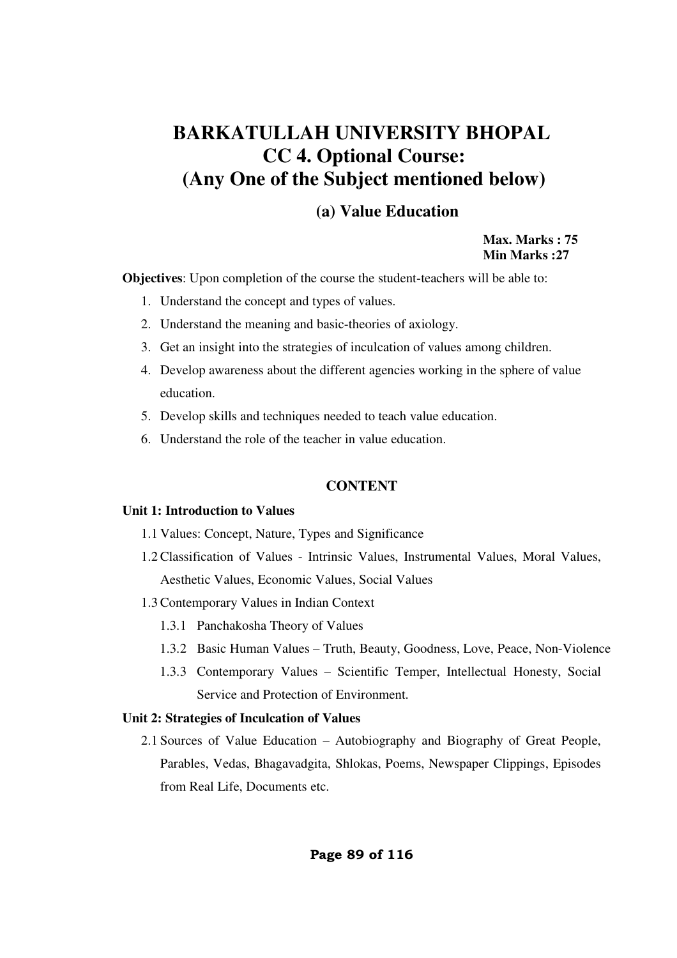## **BARKATULLAH UNIVERSITY BHOPAL CC 4. Optional Course: (Any One of the Subject mentioned below)**

## **(a) Value Education**

## **Max. Marks : 75 Min Marks :27**

**Objectives**: Upon completion of the course the student-teachers will be able to:

- 1. Understand the concept and types of values.
- 2. Understand the meaning and basic-theories of axiology.
- 3. Get an insight into the strategies of inculcation of values among children.
- 4. Develop awareness about the different agencies working in the sphere of value education.
- 5. Develop skills and techniques needed to teach value education.
- 6. Understand the role of the teacher in value education.

## **CONTENT**

## **Unit 1: Introduction to Values**

- 1.1 Values: Concept, Nature, Types and Significance
- 1.2Classification of Values Intrinsic Values, Instrumental Values, Moral Values, Aesthetic Values, Economic Values, Social Values
- 1.3Contemporary Values in Indian Context
	- 1.3.1 Panchakosha Theory of Values
	- 1.3.2 Basic Human Values Truth, Beauty, Goodness, Love, Peace, Non-Violence
	- 1.3.3 Contemporary Values Scientific Temper, Intellectual Honesty, Social Service and Protection of Environment.

## **Unit 2: Strategies of Inculcation of Values**

2.1 Sources of Value Education – Autobiography and Biography of Great People, Parables, Vedas, Bhagavadgita, Shlokas, Poems, Newspaper Clippings, Episodes from Real Life, Documents etc.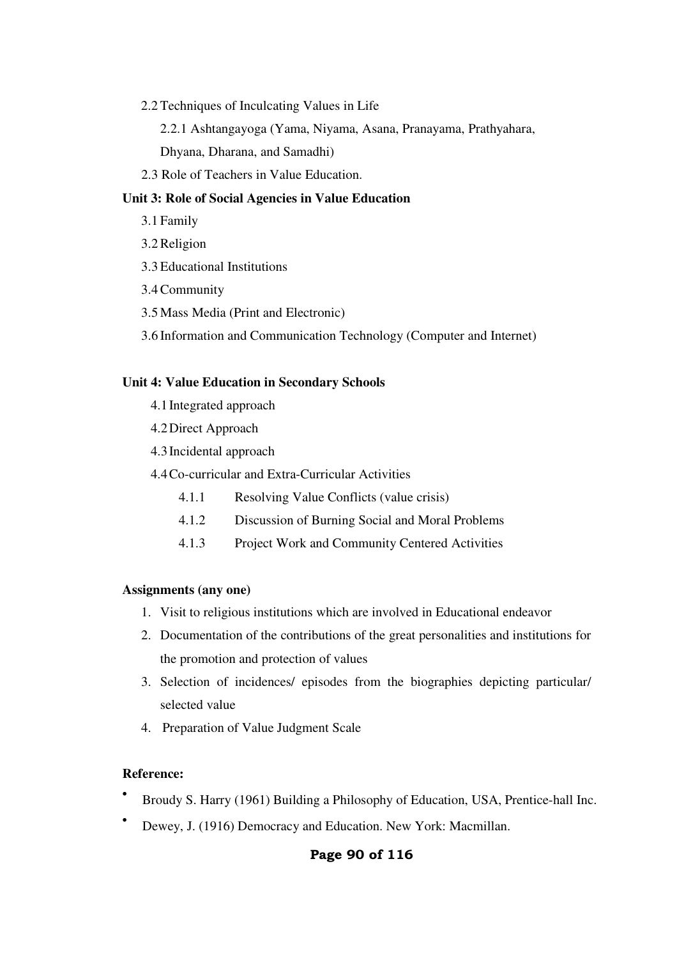2.2 Techniques of Inculcating Values in Life

2.2.1 Ashtangayoga (Yama, Niyama, Asana, Pranayama, Prathyahara, Dhyana, Dharana, and Samadhi)

2.3 Role of Teachers in Value Education.

## **Unit 3: Role of Social Agencies in Value Education**

- 3.1 Family
- 3.2Religion
- 3.3 Educational Institutions
- 3.4Community
- 3.5 Mass Media (Print and Electronic)
- 3.6 Information and Communication Technology (Computer and Internet)

## **Unit 4: Value Education in Secondary Schools**

- 4.1Integrated approach
- 4.2Direct Approach
- 4.3Incidental approach
- 4.4Co-curricular and Extra-Curricular Activities
	- 4.1.1 Resolving Value Conflicts (value crisis)
	- 4.1.2 Discussion of Burning Social and Moral Problems
	- 4.1.3 Project Work and Community Centered Activities

## **Assignments (any one)**

- 1. Visit to religious institutions which are involved in Educational endeavor
- 2. Documentation of the contributions of the great personalities and institutions for the promotion and protection of values
- 3. Selection of incidences/ episodes from the biographies depicting particular/ selected value
- 4. Preparation of Value Judgment Scale

## **Reference:**

- Broudy S. Harry (1961) Building a Philosophy of Education, USA, Prentice-hall Inc.
- Dewey, J. (1916) Democracy and Education. New York: Macmillan.

## **Page 90 of 116**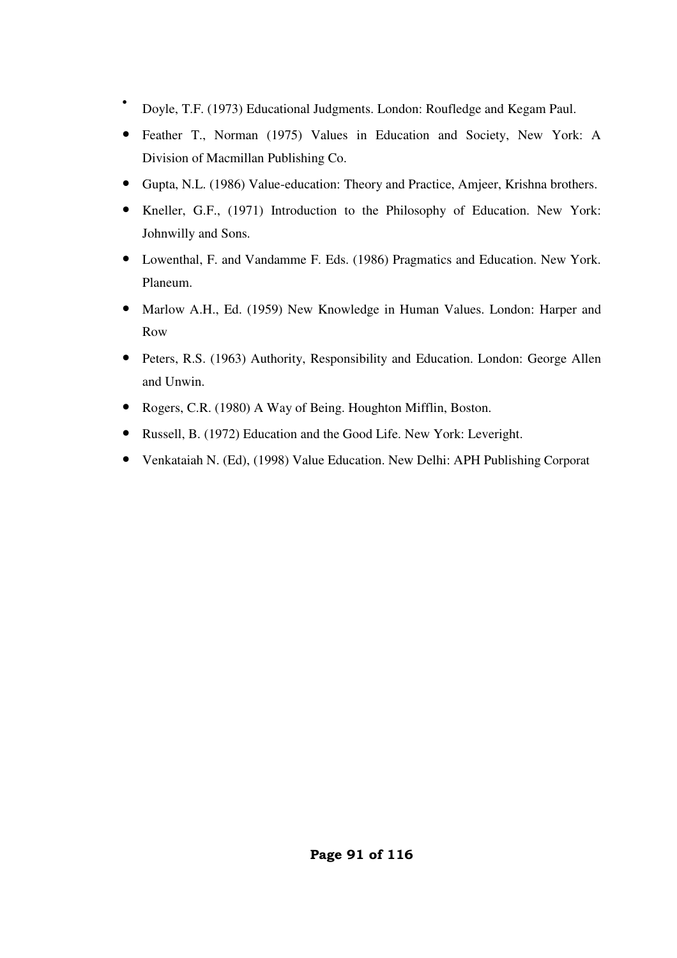- Doyle, T.F. (1973) Educational Judgments. London: Roufledge and Kegam Paul.
- Feather T., Norman (1975) Values in Education and Society, New York: A Division of Macmillan Publishing Co.
- Gupta, N.L. (1986) Value-education: Theory and Practice, Amjeer, Krishna brothers.
- Kneller, G.F., (1971) Introduction to the Philosophy of Education. New York: Johnwilly and Sons.
- Lowenthal, F. and Vandamme F. Eds. (1986) Pragmatics and Education. New York. Planeum.
- Marlow A.H., Ed. (1959) New Knowledge in Human Values. London: Harper and Row
- Peters, R.S. (1963) Authority, Responsibility and Education. London: George Allen and Unwin.
- Rogers, C.R. (1980) A Way of Being. Houghton Mifflin, Boston.
- Russell, B. (1972) Education and the Good Life. New York: Leveright.
- Venkataiah N. (Ed), (1998) Value Education. New Delhi: APH Publishing Corporat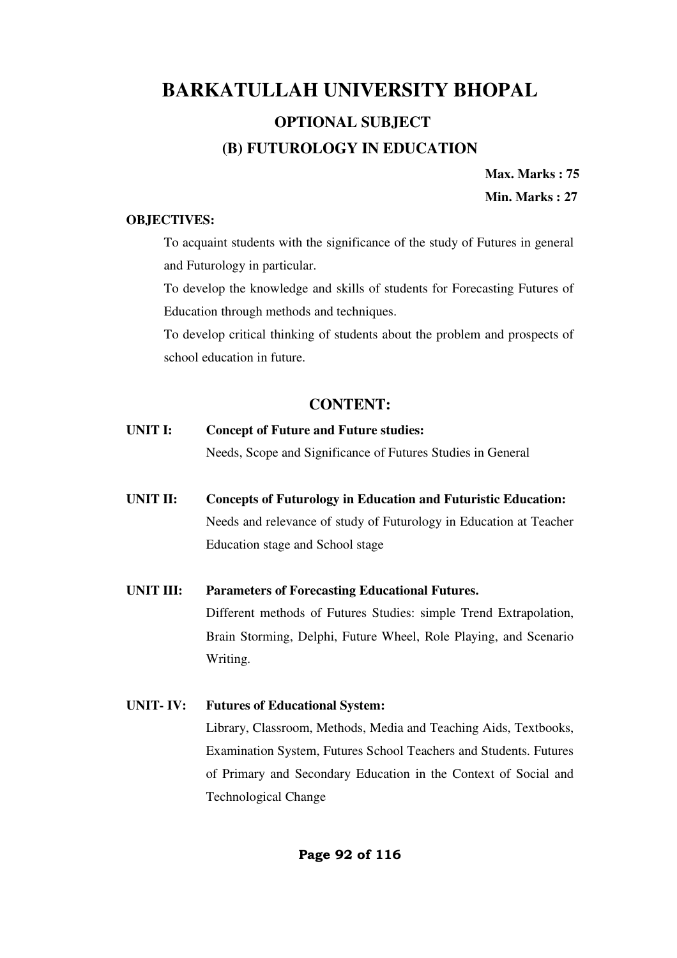## **BARKATULLAH UNIVERSITY BHOPAL OPTIONAL SUBJECT (B) FUTUROLOGY IN EDUCATION**

**Max. Marks : 75** 

**Min. Marks : 27** 

## **OBJECTIVES:**

To acquaint students with the significance of the study of Futures in general and Futurology in particular.

To develop the knowledge and skills of students for Forecasting Futures of Education through methods and techniques.

To develop critical thinking of students about the problem and prospects of school education in future.

## **CONTENT:**

## **UNIT I: Concept of Future and Future studies:**

Needs, Scope and Significance of Futures Studies in General

- **UNIT II: Concepts of Futurology in Education and Futuristic Education:** Needs and relevance of study of Futurology in Education at Teacher Education stage and School stage
- **UNIT III: Parameters of Forecasting Educational Futures.** Different methods of Futures Studies: simple Trend Extrapolation, Brain Storming, Delphi, Future Wheel, Role Playing, and Scenario Writing.

## **UNIT- IV: Futures of Educational System:**

Library, Classroom, Methods, Media and Teaching Aids, Textbooks, Examination System, Futures School Teachers and Students. Futures of Primary and Secondary Education in the Context of Social and Technological Change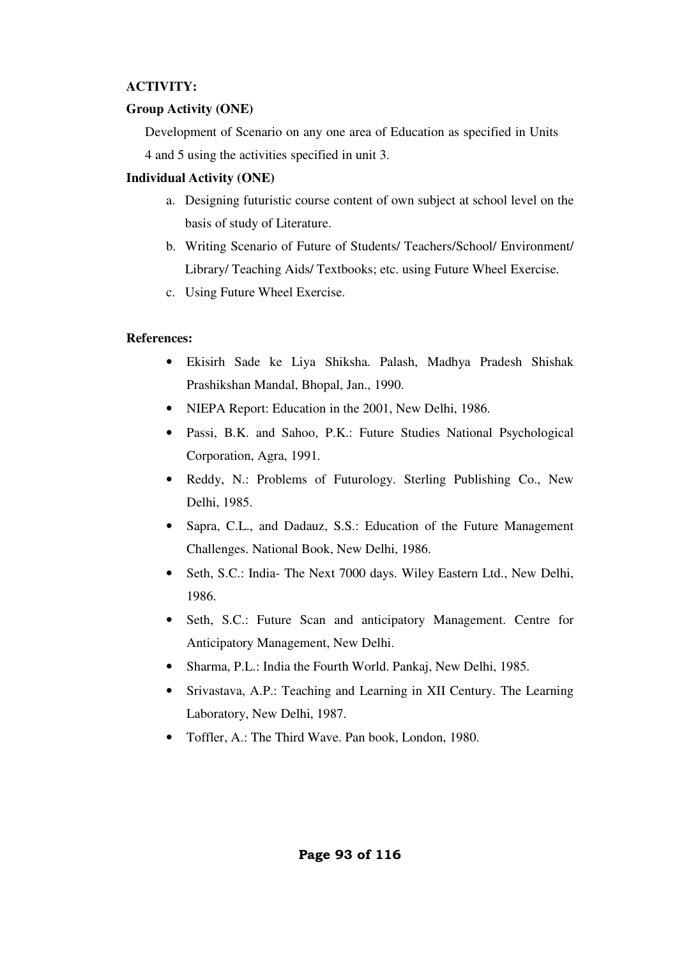## **ACTIVITY:**

## **Group Activity (ONE)**

Development of Scenario on any one area of Education as specified in Units 4 and 5 using the activities specified in unit 3.

## **Individual Activity (ONE)**

- a. Designing futuristic course content of own subject at school level on the basis of study of Literature.
- b. Writing Scenario of Future of Students/ Teachers/School/ Environment/ Library/ Teaching Aids/ Textbooks; etc. using Future Wheel Exercise.
- c. Using Future Wheel Exercise.

## **References:**

- Ekisirh Sade ke Liya Shiksha. Palash, Madhya Pradesh Shishak Prashikshan Mandal, Bhopal, Jan., 1990.
- NIEPA Report: Education in the 2001, New Delhi, 1986.
- Passi, B.K. and Sahoo, P.K.: Future Studies National Psychological Corporation, Agra, 1991.
- Reddy, N.: Problems of Futurology. Sterling Publishing Co., New Delhi, 1985.
- Sapra, C.L., and Dadauz, S.S.: Education of the Future Management Challenges. National Book, New Delhi, 1986.
- Seth, S.C.: India- The Next 7000 days. Wiley Eastern Ltd., New Delhi, 1986.
- Seth, S.C.: Future Scan and anticipatory Management. Centre for Anticipatory Management, New Delhi.
- Sharma, P.L.: India the Fourth World. Pankaj, New Delhi, 1985.
- Srivastava, A.P.: Teaching and Learning in XII Century. The Learning Laboratory, New Delhi, 1987.
- Toffler, A.: The Third Wave. Pan book, London, 1980.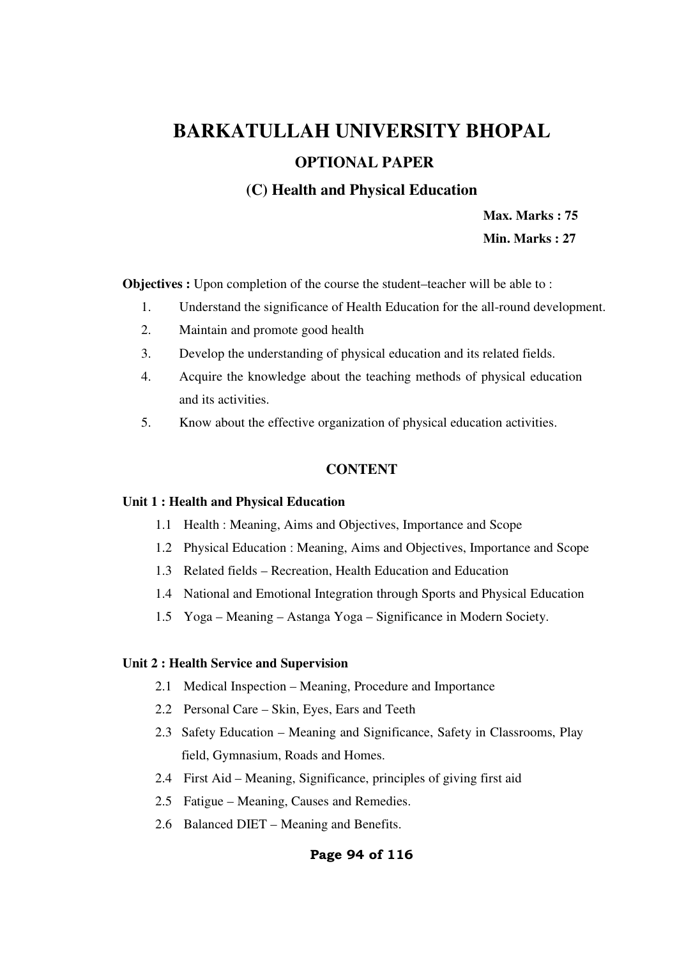## **BARKATULLAH UNIVERSITY BHOPAL**

## **OPTIONAL PAPER**

## **(C) Health and Physical Education**

**Max. Marks : 75 Min. Marks : 27** 

**Objectives :** Upon completion of the course the student–teacher will be able to :

- 1. Understand the significance of Health Education for the all-round development.
- 2. Maintain and promote good health
- 3. Develop the understanding of physical education and its related fields.
- 4. Acquire the knowledge about the teaching methods of physical education and its activities.
- 5. Know about the effective organization of physical education activities.

## **CONTENT**

#### **Unit 1 : Health and Physical Education**

- 1.1 Health : Meaning, Aims and Objectives, Importance and Scope
- 1.2 Physical Education : Meaning, Aims and Objectives, Importance and Scope
- 1.3 Related fields Recreation, Health Education and Education
- 1.4 National and Emotional Integration through Sports and Physical Education
- 1.5 Yoga Meaning Astanga Yoga Significance in Modern Society.

## **Unit 2 : Health Service and Supervision**

- 2.1 Medical Inspection Meaning, Procedure and Importance
- 2.2 Personal Care Skin, Eyes, Ears and Teeth
- 2.3 Safety Education Meaning and Significance, Safety in Classrooms, Play field, Gymnasium, Roads and Homes.
- 2.4 First Aid Meaning, Significance, principles of giving first aid
- 2.5 Fatigue Meaning, Causes and Remedies.
- 2.6 Balanced DIET Meaning and Benefits.

#### **Page 94 of 116**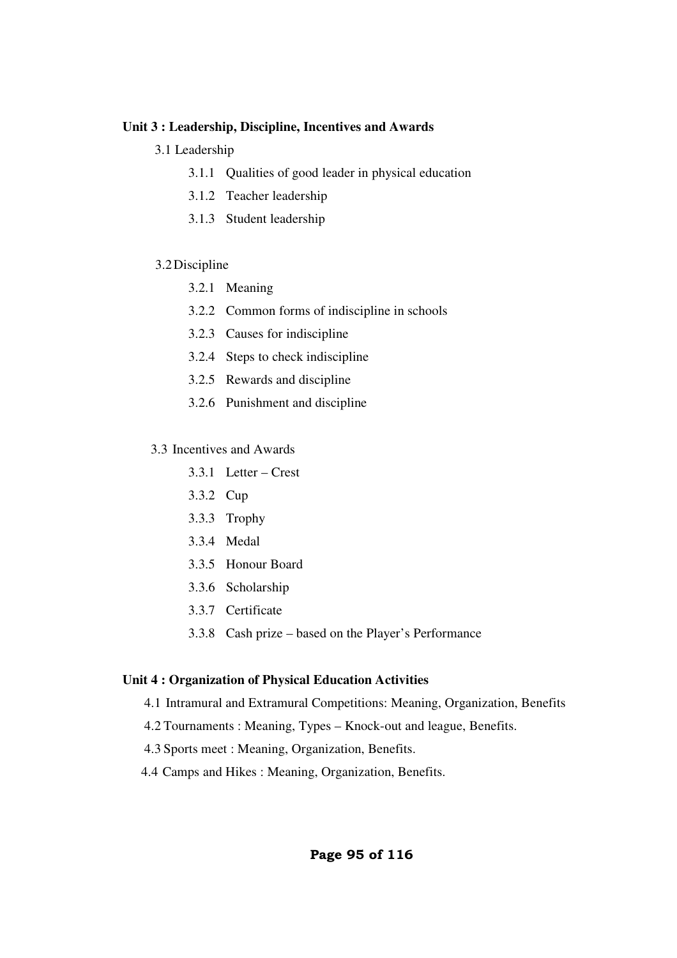## **Unit 3 : Leadership, Discipline, Incentives and Awards**

## 3.1 Leadership

- 3.1.1 Qualities of good leader in physical education
- 3.1.2 Teacher leadership
- 3.1.3 Student leadership

## 3.2Discipline

- 3.2.1 Meaning
- 3.2.2 Common forms of indiscipline in schools
- 3.2.3 Causes for indiscipline
- 3.2.4 Steps to check indiscipline
- 3.2.5 Rewards and discipline
- 3.2.6 Punishment and discipline

## 3.3 Incentives and Awards

- 3.3.1 Letter Crest
- 3.3.2 Cup
- 3.3.3 Trophy
- 3.3.4 Medal
- 3.3.5 Honour Board
- 3.3.6 Scholarship
- 3.3.7 Certificate
- 3.3.8 Cash prize based on the Player's Performance

## **Unit 4 : Organization of Physical Education Activities**

## 4.1 Intramural and Extramural Competitions: Meaning, Organization, Benefits

- 4.2 Tournaments : Meaning, Types Knock-out and league, Benefits.
- 4.3 Sports meet : Meaning, Organization, Benefits.
- 4.4 Camps and Hikes : Meaning, Organization, Benefits.

## **Page 95 of 116**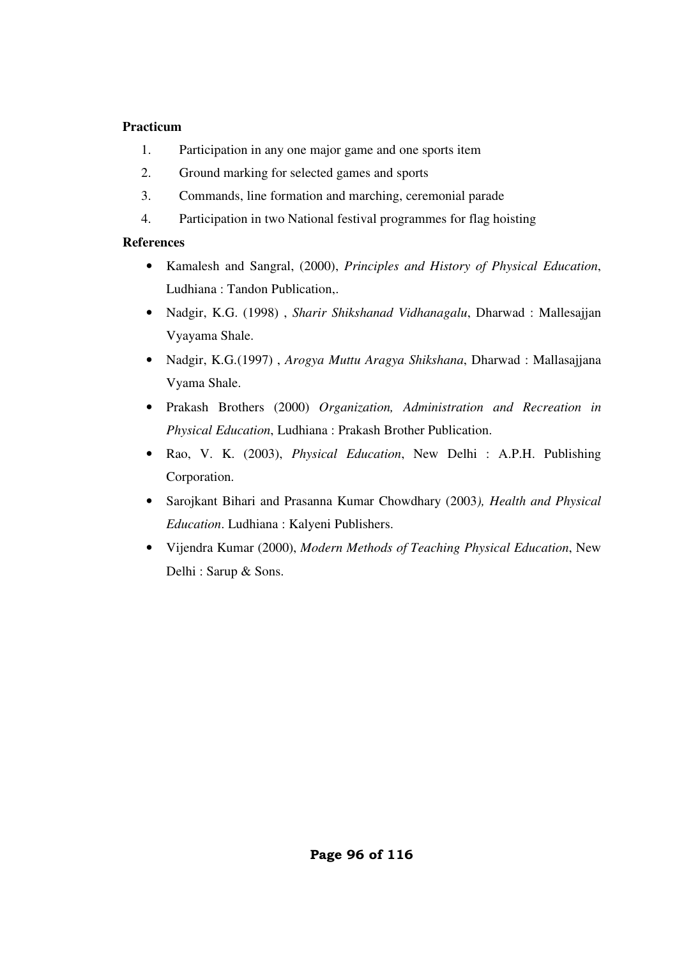## **Practicum**

- 1. Participation in any one major game and one sports item
- 2. Ground marking for selected games and sports
- 3. Commands, line formation and marching, ceremonial parade
- 4. Participation in two National festival programmes for flag hoisting

## **References**

- Kamalesh and Sangral, (2000), *Principles and History of Physical Education*, Ludhiana : Tandon Publication,.
- Nadgir, K.G. (1998) , *Sharir Shikshanad Vidhanagalu*, Dharwad : Mallesajjan Vyayama Shale.
- Nadgir, K.G.(1997) , *Arogya Muttu Aragya Shikshana*, Dharwad : Mallasajjana Vyama Shale.
- Prakash Brothers (2000) *Organization, Administration and Recreation in Physical Education*, Ludhiana : Prakash Brother Publication.
- Rao, V. K. (2003), *Physical Education*, New Delhi : A.P.H. Publishing Corporation.
- Sarojkant Bihari and Prasanna Kumar Chowdhary (2003*), Health and Physical Education*. Ludhiana : Kalyeni Publishers.
- Vijendra Kumar (2000), *Modern Methods of Teaching Physical Education*, New Delhi : Sarup & Sons.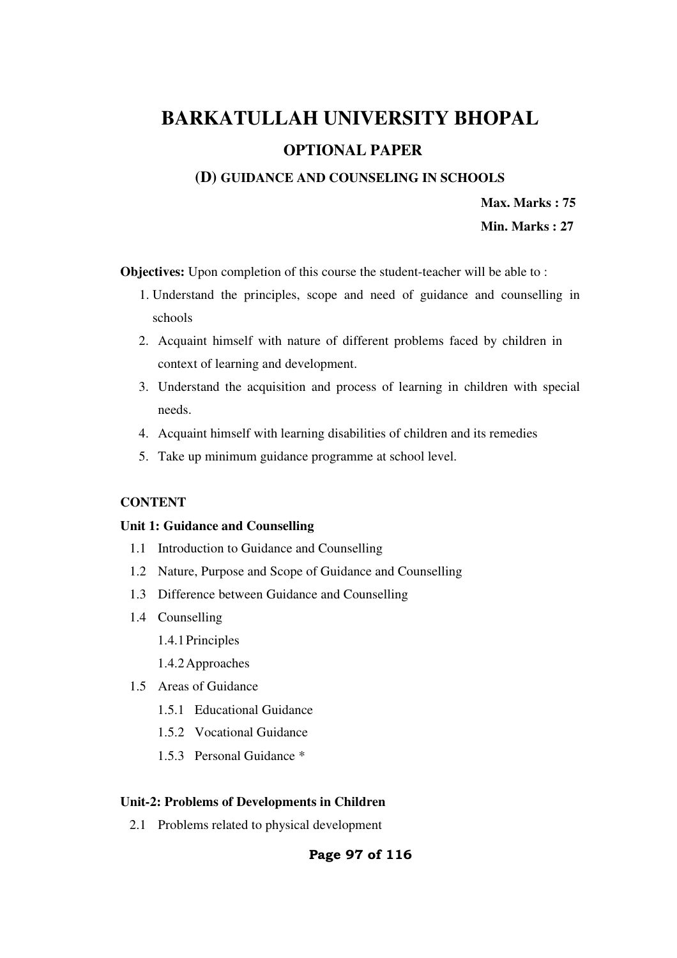## **BARKATULLAH UNIVERSITY BHOPAL OPTIONAL PAPER**

## **(D) GUIDANCE AND COUNSELING IN SCHOOLS**

 **Max. Marks : 75** 

**Min. Marks : 27** 

**Objectives:** Upon completion of this course the student-teacher will be able to :

- 1. Understand the principles, scope and need of guidance and counselling in schools
- 2. Acquaint himself with nature of different problems faced by children in context of learning and development.
- 3. Understand the acquisition and process of learning in children with special needs.
- 4. Acquaint himself with learning disabilities of children and its remedies
- 5. Take up minimum guidance programme at school level.

## **CONTENT**

## **Unit 1: Guidance and Counselling**

- 1.1 Introduction to Guidance and Counselling
- 1.2 Nature, Purpose and Scope of Guidance and Counselling
- 1.3 Difference between Guidance and Counselling
- 1.4 Counselling
	- 1.4.1Principles
	- 1.4.2Approaches
- 1.5 Areas of Guidance
	- 1.5.1 Educational Guidance
	- 1.5.2 Vocational Guidance
	- 1.5.3 Personal Guidance \*

## **Unit-2: Problems of Developments in Children**

2.1 Problems related to physical development

## **Page 97 of 116**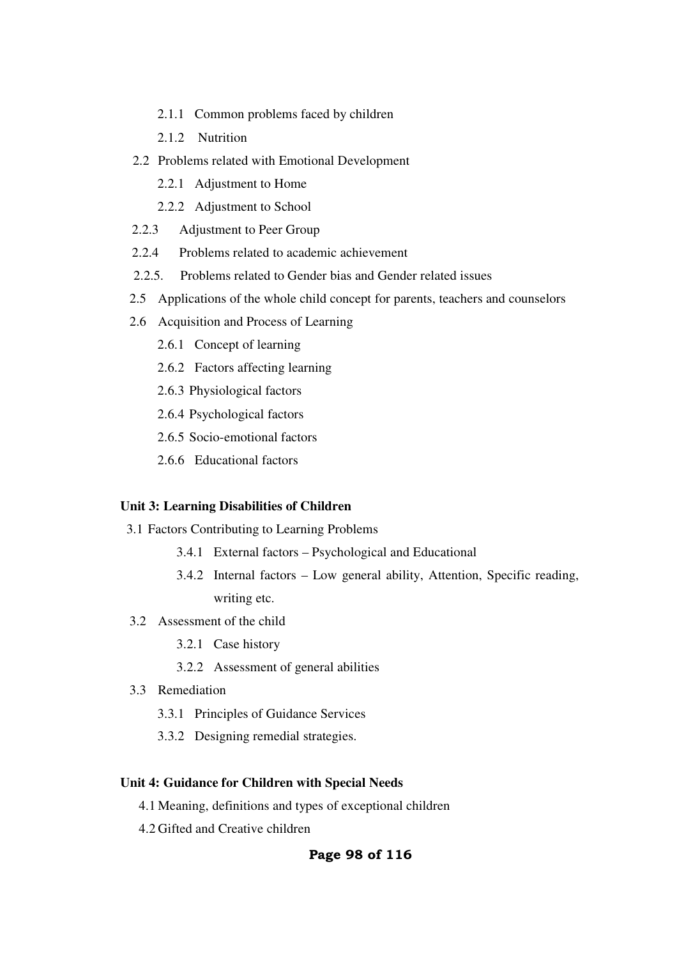- 2.1.1 Common problems faced by children
- 2.1.2 Nutrition
- 2.2 Problems related with Emotional Development
	- 2.2.1 Adjustment to Home
	- 2.2.2 Adjustment to School
- 2.2.3 Adjustment to Peer Group
- 2.2.4 Problems related to academic achievement
- 2.2.5. Problems related to Gender bias and Gender related issues
- 2.5 Applications of the whole child concept for parents, teachers and counselors
- 2.6 Acquisition and Process of Learning
	- 2.6.1 Concept of learning
	- 2.6.2 Factors affecting learning
	- 2.6.3 Physiological factors
	- 2.6.4 Psychological factors
	- 2.6.5 Socio-emotional factors
	- 2.6.6 Educational factors

## **Unit 3: Learning Disabilities of Children**

- 3.1 Factors Contributing to Learning Problems
	- 3.4.1 External factors Psychological and Educational
	- 3.4.2 Internal factors Low general ability, Attention, Specific reading, writing etc.
- 3.2 Assessment of the child
	- 3.2.1 Case history
	- 3.2.2 Assessment of general abilities
- 3.3 Remediation
	- 3.3.1 Principles of Guidance Services
	- 3.3.2 Designing remedial strategies.

#### **Unit 4: Guidance for Children with Special Needs**

- 4.1 Meaning, definitions and types of exceptional children
- 4.2 Gifted and Creative children

## **Page 98 of 116**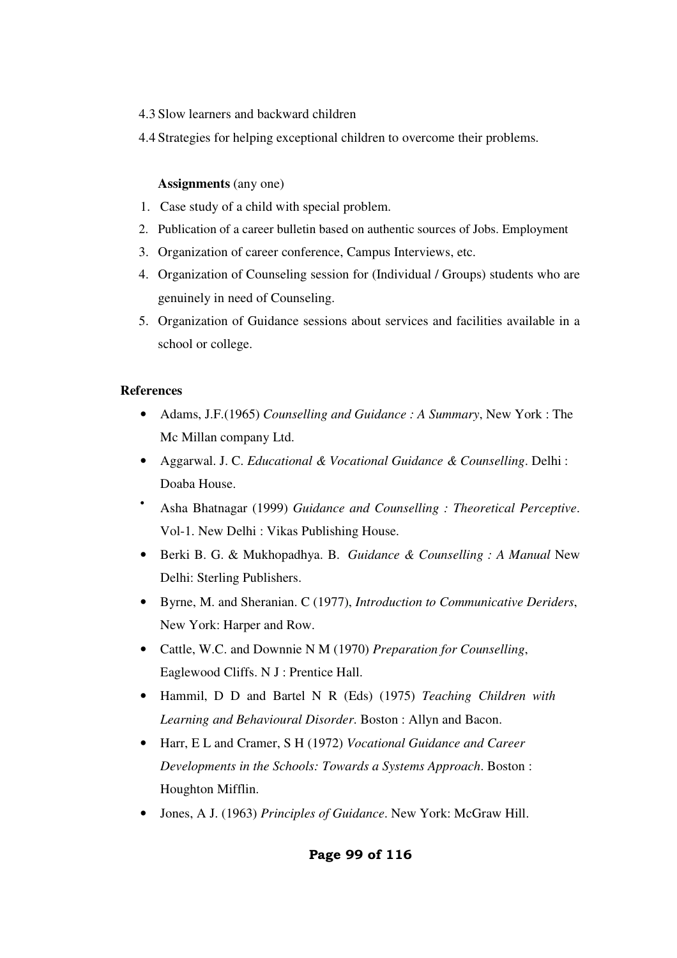- 4.3 Slow learners and backward children
- 4.4 Strategies for helping exceptional children to overcome their problems.

## **Assignments** (any one)

- 1. Case study of a child with special problem.
- 2. Publication of a career bulletin based on authentic sources of Jobs. Employment
- 3. Organization of career conference, Campus Interviews, etc.
- 4. Organization of Counseling session for (Individual / Groups) students who are genuinely in need of Counseling.
- 5. Organization of Guidance sessions about services and facilities available in a school or college.

## **References**

- Adams, J.F.(1965) *Counselling and Guidance : A Summary*, New York : The Mc Millan company Ltd.
- Aggarwal. J. C. *Educational & Vocational Guidance & Counselling*. Delhi : Doaba House.
- Asha Bhatnagar (1999) *Guidance and Counselling : Theoretical Perceptive*. Vol-1. New Delhi : Vikas Publishing House.
- Berki B. G. & Mukhopadhya. B. *Guidance & Counselling : A Manual* New Delhi: Sterling Publishers.
- Byrne, M. and Sheranian. C (1977), *Introduction to Communicative Deriders*, New York: Harper and Row.
- Cattle, W.C. and Downnie N M (1970) *Preparation for Counselling*, Eaglewood Cliffs. N J : Prentice Hall.
- Hammil, D D and Bartel N R (Eds) (1975) *Teaching Children with Learning and Behavioural Disorder*. Boston : Allyn and Bacon.
- Harr, E L and Cramer, S H (1972) *Vocational Guidance and Career Developments in the Schools: Towards a Systems Approach*. Boston : Houghton Mifflin.
- Jones, A J. (1963) *Principles of Guidance*. New York: McGraw Hill.

## **Page 99 of 116**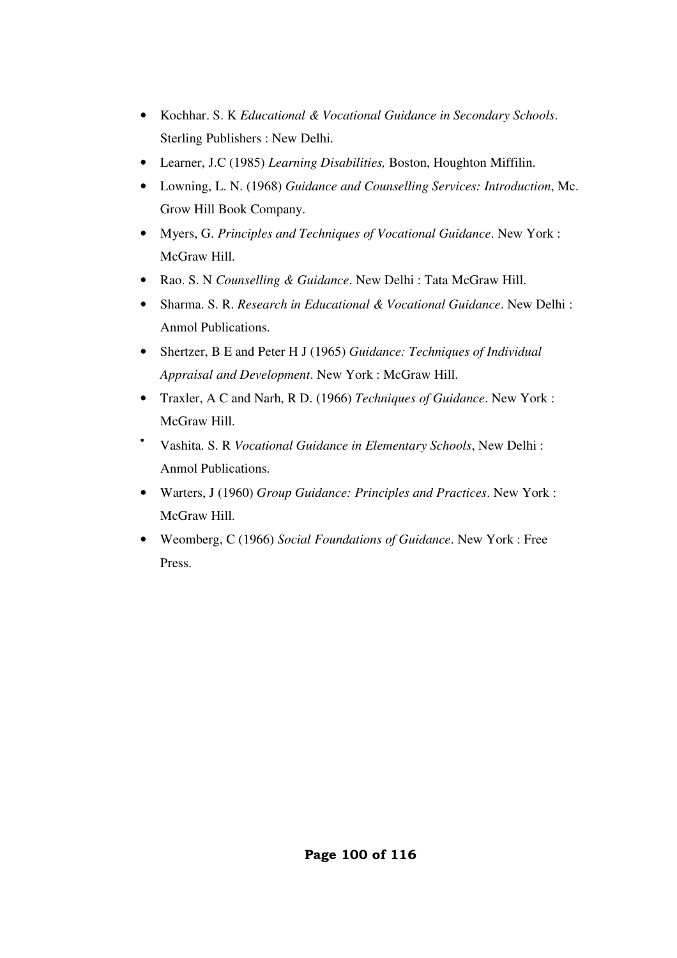- Kochhar. S. K *Educational & Vocational Guidance in Secondary Schools*. Sterling Publishers : New Delhi.
- Learner, J.C (1985) *Learning Disabilities,* Boston, Houghton Miffilin.
- Lowning, L. N. (1968) *Guidance and Counselling Services: Introduction*, Mc. Grow Hill Book Company.
- Myers, G. *Principles and Techniques of Vocational Guidance*. New York : McGraw Hill.
- Rao. S. N *Counselling & Guidance*. New Delhi : Tata McGraw Hill.
- Sharma. S. R. *Research in Educational & Vocational Guidance*. New Delhi : Anmol Publications.
- Shertzer, B E and Peter H J (1965) *Guidance: Techniques of Individual Appraisal and Development*. New York : McGraw Hill.
- Traxler, A C and Narh, R D. (1966) *Techniques of Guidance*. New York : McGraw Hill.
- Vashita. S. R *Vocational Guidance in Elementary Schools*, New Delhi : Anmol Publications.
- Warters, J (1960) *Group Guidance: Principles and Practices*. New York : McGraw Hill.
- Weomberg, C (1966) *Social Foundations of Guidance*. New York : Free Press.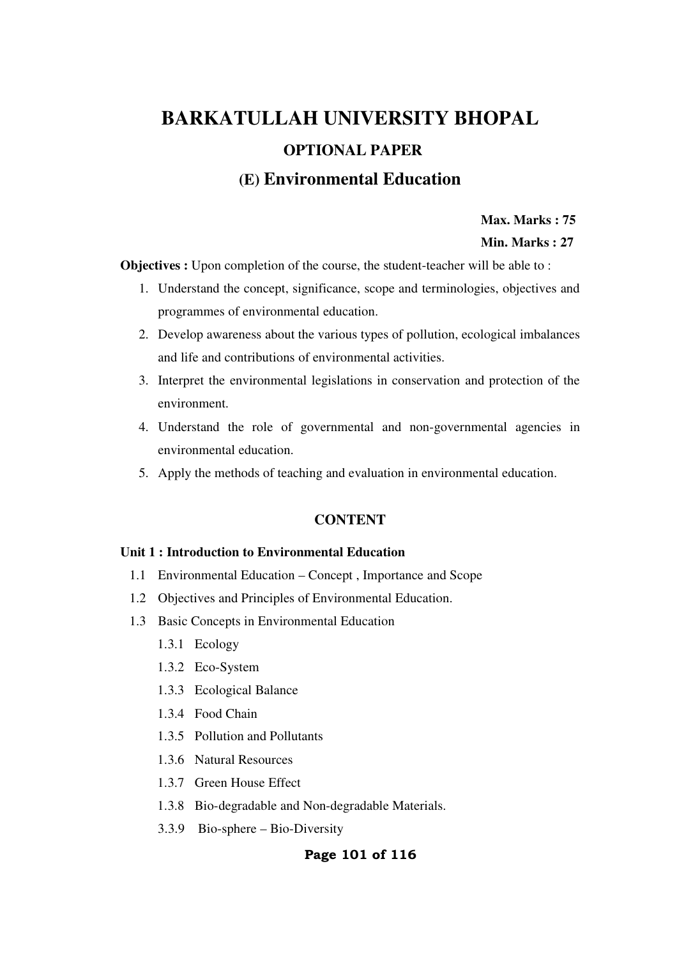# **BARKATULLAH UNIVERSITY BHOPAL OPTIONAL PAPER**

## **(E) Environmental Education**

## **Max. Marks : 75**

## **Min. Marks : 27**

**Objectives :** Upon completion of the course, the student-teacher will be able to :

- 1. Understand the concept, significance, scope and terminologies, objectives and programmes of environmental education.
- 2. Develop awareness about the various types of pollution, ecological imbalances and life and contributions of environmental activities.
- 3. Interpret the environmental legislations in conservation and protection of the environment.
- 4. Understand the role of governmental and non-governmental agencies in environmental education.
- 5. Apply the methods of teaching and evaluation in environmental education.

## **CONTENT**

#### **Unit 1 : Introduction to Environmental Education**

- 1.1 Environmental Education Concept , Importance and Scope
- 1.2 Objectives and Principles of Environmental Education.
- 1.3 Basic Concepts in Environmental Education
	- 1.3.1 Ecology
	- 1.3.2 Eco-System
	- 1.3.3 Ecological Balance
	- 1.3.4 Food Chain
	- 1.3.5 Pollution and Pollutants
	- 1.3.6 Natural Resources
	- 1.3.7 Green House Effect
	- 1.3.8 Bio-degradable and Non-degradable Materials.
	- 3.3.9 Bio-sphere Bio-Diversity

## **Page 101 of 116**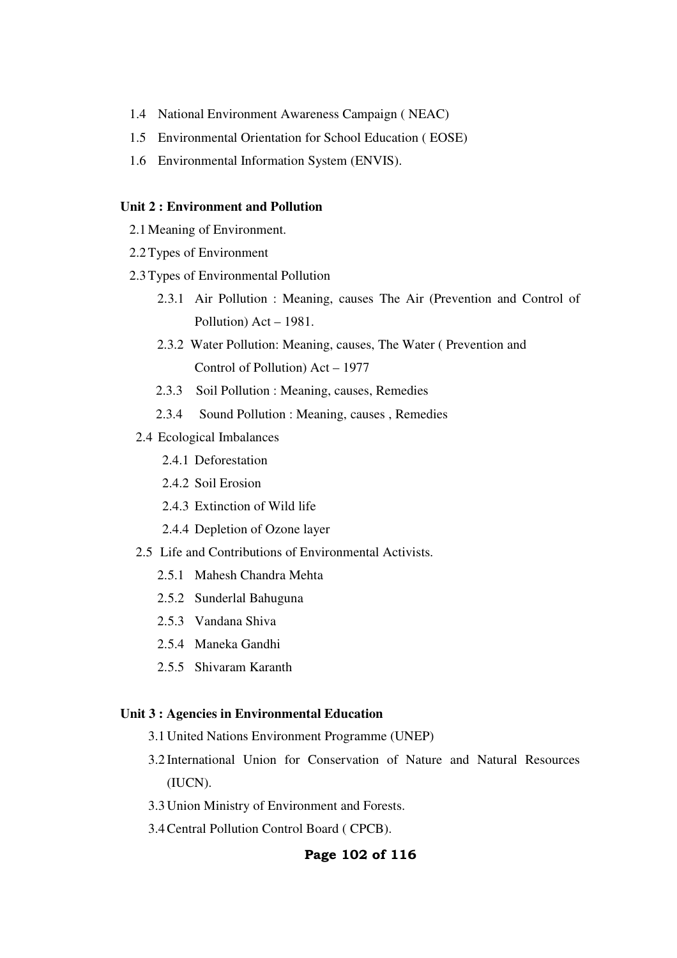- 1.4 National Environment Awareness Campaign ( NEAC)
- 1.5 Environmental Orientation for School Education ( EOSE)
- 1.6 Environmental Information System (ENVIS).

#### **Unit 2 : Environment and Pollution**

- 2.1Meaning of Environment.
- 2.2Types of Environment
- 2.3Types of Environmental Pollution
	- 2.3.1 Air Pollution : Meaning, causes The Air (Prevention and Control of Pollution) Act – 1981.
	- 2.3.2 Water Pollution: Meaning, causes, The Water ( Prevention and Control of Pollution) Act – 1977
	- 2.3.3 Soil Pollution : Meaning, causes, Remedies
	- 2.3.4 Sound Pollution : Meaning, causes , Remedies
- 2.4 Ecological Imbalances
	- 2.4.1 Deforestation
	- 2.4.2 Soil Erosion
	- 2.4.3 Extinction of Wild life
	- 2.4.4 Depletion of Ozone layer
- 2.5 Life and Contributions of Environmental Activists.
	- 2.5.1 Mahesh Chandra Mehta
	- 2.5.2 Sunderlal Bahuguna
	- 2.5.3 Vandana Shiva
	- 2.5.4 Maneka Gandhi
	- 2.5.5 Shivaram Karanth

## **Unit 3 : Agencies in Environmental Education**

- 3.1 United Nations Environment Programme (UNEP)
- 3.2 International Union for Conservation of Nature and Natural Resources (IUCN).
- 3.3 Union Ministry of Environment and Forests.
- 3.4Central Pollution Control Board ( CPCB).

## **Page 102 of 116**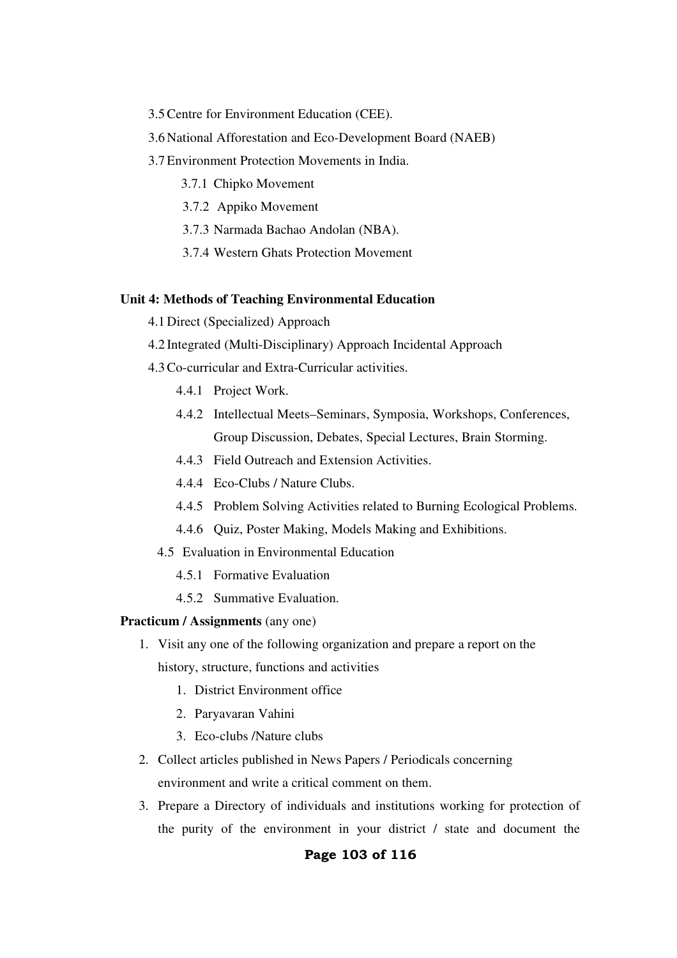- 3.5Centre for Environment Education (CEE).
- 3.6 National Afforestation and Eco-Development Board (NAEB)
- 3.7Environment Protection Movements in India.
	- 3.7.1 Chipko Movement
	- 3.7.2 Appiko Movement
	- 3.7.3 Narmada Bachao Andolan (NBA).
	- 3.7.4 Western Ghats Protection Movement

## **Unit 4: Methods of Teaching Environmental Education**

- 4.1 Direct (Specialized) Approach
- 4.2 Integrated (Multi-Disciplinary) Approach Incidental Approach
- 4.3Co-curricular and Extra-Curricular activities.
	- 4.4.1 Project Work.
	- 4.4.2 Intellectual Meets–Seminars, Symposia, Workshops, Conferences, Group Discussion, Debates, Special Lectures, Brain Storming.
	- 4.4.3 Field Outreach and Extension Activities.
	- 4.4.4 Eco-Clubs / Nature Clubs.
	- 4.4.5 Problem Solving Activities related to Burning Ecological Problems.
	- 4.4.6 Quiz, Poster Making, Models Making and Exhibitions.
	- 4.5 Evaluation in Environmental Education
		- 4.5.1 Formative Evaluation
		- 4.5.2 Summative Evaluation.

## **Practicum / Assignments** (any one)

- 1. Visit any one of the following organization and prepare a report on the history, structure, functions and activities
	- 1. District Environment office
	- 2. Paryavaran Vahini
	- 3. Eco-clubs /Nature clubs
- 2. Collect articles published in News Papers / Periodicals concerning environment and write a critical comment on them.
- 3. Prepare a Directory of individuals and institutions working for protection of the purity of the environment in your district / state and document the

#### **Page 103 of 116**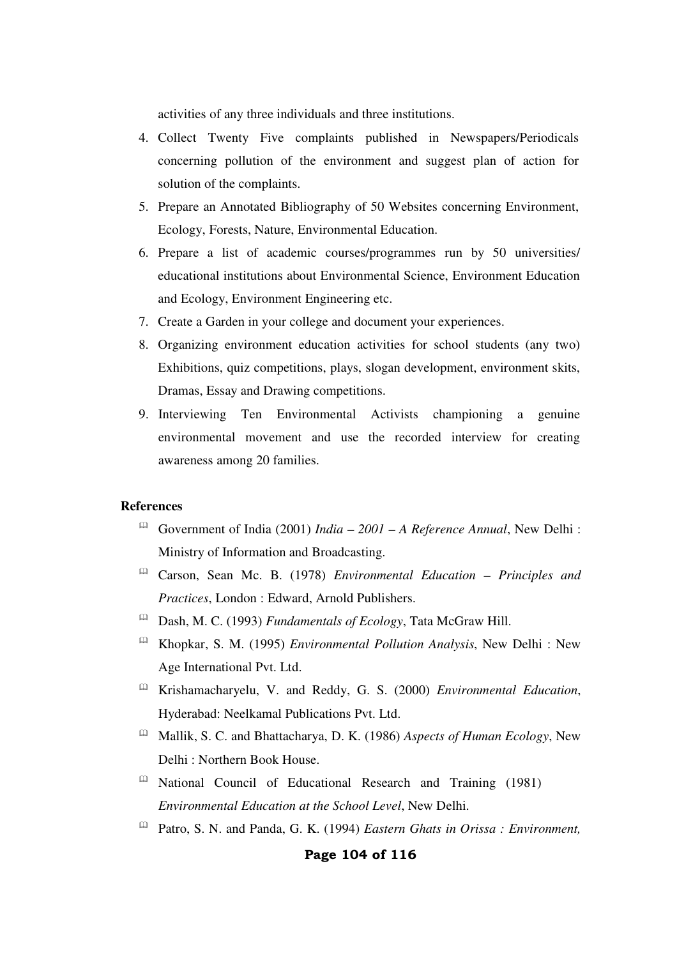activities of any three individuals and three institutions.

- 4. Collect Twenty Five complaints published in Newspapers/Periodicals concerning pollution of the environment and suggest plan of action for solution of the complaints.
- 5. Prepare an Annotated Bibliography of 50 Websites concerning Environment, Ecology, Forests, Nature, Environmental Education.
- 6. Prepare a list of academic courses/programmes run by 50 universities/ educational institutions about Environmental Science, Environment Education and Ecology, Environment Engineering etc.
- 7. Create a Garden in your college and document your experiences.
- 8. Organizing environment education activities for school students (any two) Exhibitions, quiz competitions, plays, slogan development, environment skits, Dramas, Essay and Drawing competitions.
- 9. Interviewing Ten Environmental Activists championing a genuine environmental movement and use the recorded interview for creating awareness among 20 families.

#### **References**

- Government of India (2001) *India – 2001 – A Reference Annual*, New Delhi : Ministry of Information and Broadcasting.
- Carson, Sean Mc. B. (1978) *Environmental Education – Principles and Practices*, London : Edward, Arnold Publishers.
- Dash, M. C. (1993) *Fundamentals of Ecology*, Tata McGraw Hill.
- Khopkar, S. M. (1995) *Environmental Pollution Analysis*, New Delhi : New Age International Pvt. Ltd.
- Krishamacharyelu, V. and Reddy, G. S. (2000) *Environmental Education*, Hyderabad: Neelkamal Publications Pvt. Ltd.
- Mallik, S. C. and Bhattacharya, D. K. (1986) *Aspects of Human Ecology*, New Delhi : Northern Book House.
- <sup>11</sup> National Council of Educational Research and Training (1981) *Environmental Education at the School Level*, New Delhi.
- Patro, S. N. and Panda, G. K. (1994) *Eastern Ghats in Orissa : Environment,*

#### **Page 104 of 116**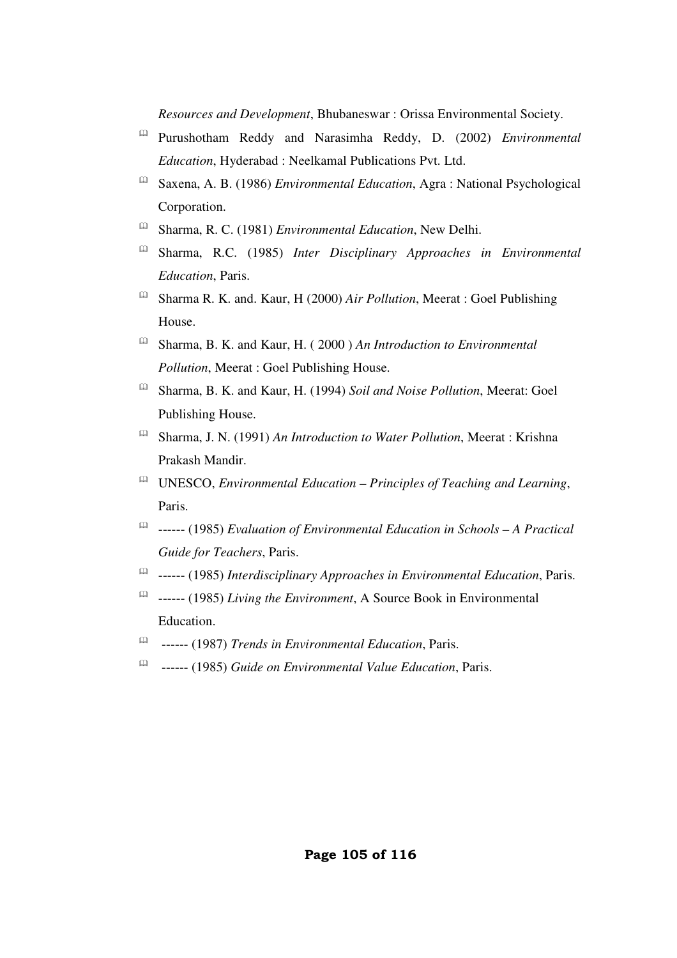*Resources and Development*, Bhubaneswar : Orissa Environmental Society.

- Purushotham Reddy and Narasimha Reddy, D. (2002) *Environmental Education*, Hyderabad : Neelkamal Publications Pvt. Ltd.
- Saxena, A. B. (1986) *Environmental Education*, Agra : National Psychological Corporation.
- Sharma, R. C. (1981) *Environmental Education*, New Delhi.
- Sharma, R.C. (1985) *Inter Disciplinary Approaches in Environmental Education*, Paris.
- Sharma R. K. and. Kaur, H (2000) *Air Pollution*, Meerat : Goel Publishing House.
- Sharma, B. K. and Kaur, H. ( 2000 ) *An Introduction to Environmental Pollution*, Meerat : Goel Publishing House.
- Sharma, B. K. and Kaur, H. (1994) *Soil and Noise Pollution*, Meerat: Goel Publishing House.
- Sharma, J. N. (1991) *An Introduction to Water Pollution*, Meerat : Krishna Prakash Mandir.
- UNESCO, *Environmental Education – Principles of Teaching and Learning*, Paris.
- ------ (1985) *Evaluation of Environmental Education in Schools – A Practical Guide for Teachers*, Paris.
- ------ (1985) *Interdisciplinary Approaches in Environmental Education*, Paris.
- ------ (1985) *Living the Environment*, A Source Book in Environmental Education.
- ------ (1987) *Trends in Environmental Education*, Paris.
- ------ (1985) *Guide on Environmental Value Education*, Paris.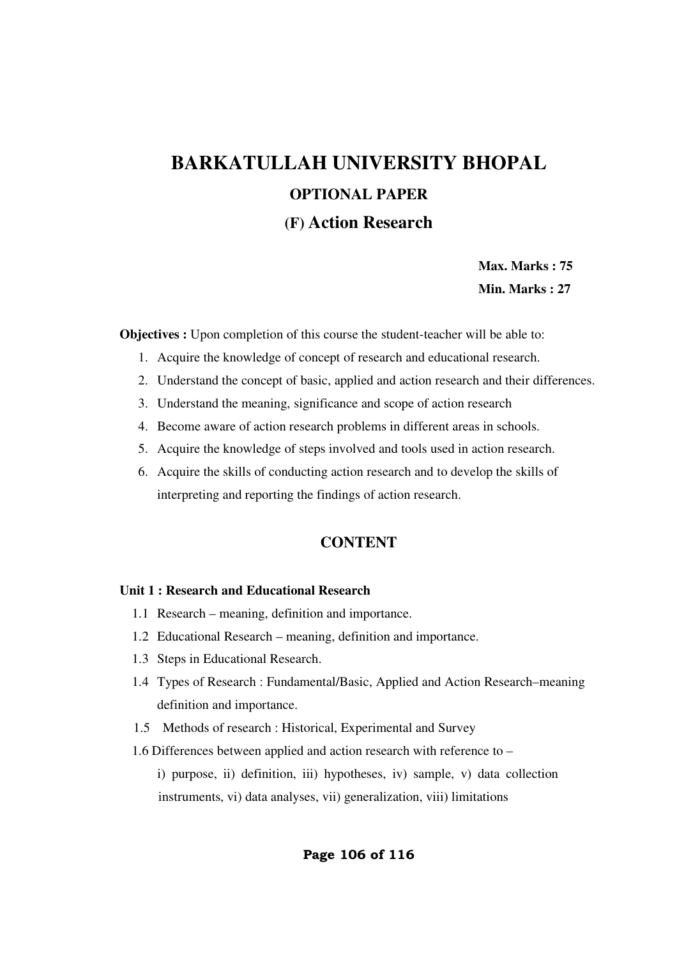## **BARKATULLAH UNIVERSITY BHOPAL OPTIONAL PAPER (F) Action Research**

 **Max. Marks : 75 Min. Marks : 27** 

**Objectives :** Upon completion of this course the student-teacher will be able to:

- 1. Acquire the knowledge of concept of research and educational research.
- 2. Understand the concept of basic, applied and action research and their differences.
- 3. Understand the meaning, significance and scope of action research
- 4. Become aware of action research problems in different areas in schools.
- 5. Acquire the knowledge of steps involved and tools used in action research.
- 6. Acquire the skills of conducting action research and to develop the skills of interpreting and reporting the findings of action research.

## **CONTENT**

#### **Unit 1 : Research and Educational Research**

- 1.1 Research meaning, definition and importance.
- 1.2 Educational Research meaning, definition and importance.
- 1.3 Steps in Educational Research.
- 1.4 Types of Research : Fundamental/Basic, Applied and Action Research–meaning definition and importance.
- 1.5 Methods of research : Historical, Experimental and Survey
- 1.6 Differences between applied and action research with reference to
	- i) purpose, ii) definition, iii) hypotheses, iv) sample, v) data collection instruments, vi) data analyses, vii) generalization, viii) limitations

## **Page 106 of 116**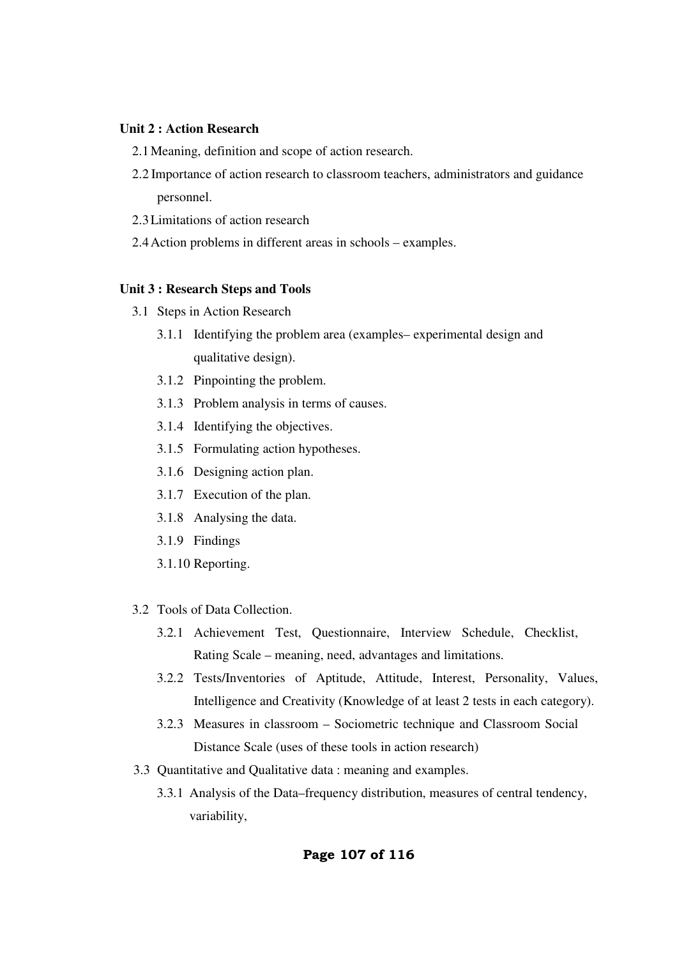## **Unit 2 : Action Research**

- 2.1Meaning, definition and scope of action research.
- 2.2 Importance of action research to classroom teachers, administrators and guidance personnel.
- 2.3Limitations of action research
- 2.4Action problems in different areas in schools examples.

## **Unit 3 : Research Steps and Tools**

- 3.1 Steps in Action Research
	- 3.1.1 Identifying the problem area (examples– experimental design and qualitative design).
	- 3.1.2 Pinpointing the problem.
	- 3.1.3 Problem analysis in terms of causes.
	- 3.1.4 Identifying the objectives.
	- 3.1.5 Formulating action hypotheses.
	- 3.1.6 Designing action plan.
	- 3.1.7 Execution of the plan.
	- 3.1.8 Analysing the data.
	- 3.1.9 Findings
	- 3.1.10 Reporting.
- 3.2 Tools of Data Collection.
	- 3.2.1 Achievement Test, Questionnaire, Interview Schedule, Checklist, Rating Scale – meaning, need, advantages and limitations.
	- 3.2.2 Tests/Inventories of Aptitude, Attitude, Interest, Personality, Values, Intelligence and Creativity (Knowledge of at least 2 tests in each category).
	- 3.2.3 Measures in classroom Sociometric technique and Classroom Social Distance Scale (uses of these tools in action research)
- 3.3 Quantitative and Qualitative data : meaning and examples.
	- 3.3.1 Analysis of the Data–frequency distribution, measures of central tendency, variability,

## **Page 107 of 116**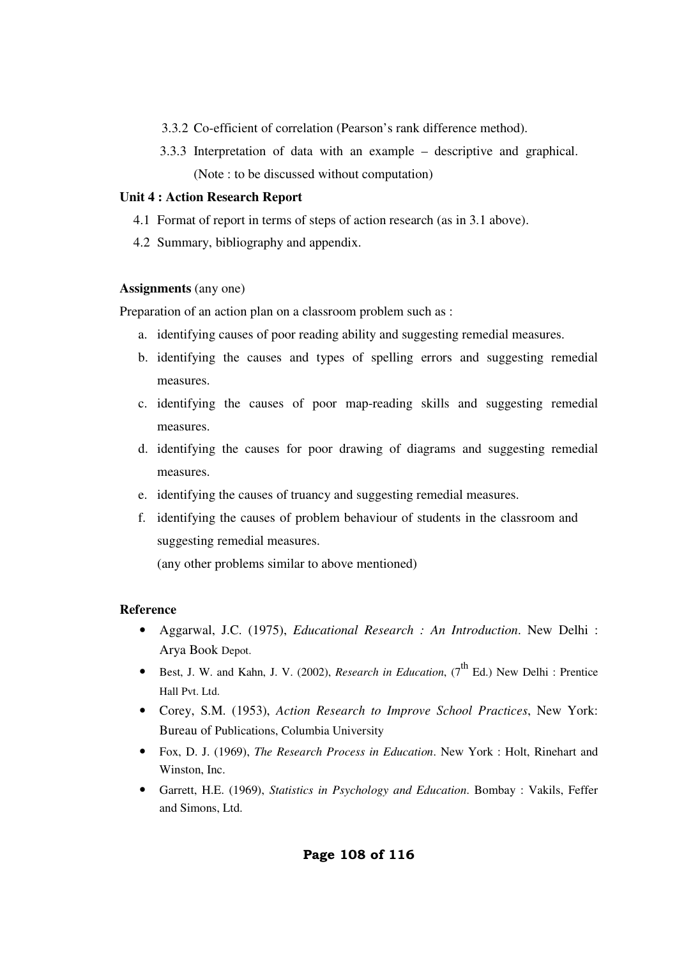- 3.3.2 Co-efficient of correlation (Pearson's rank difference method).
- 3.3.3 Interpretation of data with an example descriptive and graphical. (Note : to be discussed without computation)

#### **Unit 4 : Action Research Report**

- 4.1 Format of report in terms of steps of action research (as in 3.1 above).
- 4.2 Summary, bibliography and appendix.

#### **Assignments** (any one)

Preparation of an action plan on a classroom problem such as :

- a. identifying causes of poor reading ability and suggesting remedial measures.
- b. identifying the causes and types of spelling errors and suggesting remedial measures.
- c. identifying the causes of poor map-reading skills and suggesting remedial measures.
- d. identifying the causes for poor drawing of diagrams and suggesting remedial measures.
- e. identifying the causes of truancy and suggesting remedial measures.
- f. identifying the causes of problem behaviour of students in the classroom and suggesting remedial measures.

(any other problems similar to above mentioned)

## **Reference**

- Aggarwal, J.C. (1975), *Educational Research : An Introduction*. New Delhi : Arya Book Depot.
- Best, J. W. and Kahn, J. V. (2002), *Research in Education*, (7<sup>th</sup> Ed.) New Delhi : Prentice Hall Pvt. Ltd.
- Corey, S.M. (1953), *Action Research to Improve School Practices*, New York: Bureau of Publications, Columbia University
- Fox, D. J. (1969), *The Research Process in Education*. New York : Holt, Rinehart and Winston, Inc.
- Garrett, H.E. (1969), *Statistics in Psychology and Education*. Bombay : Vakils, Feffer and Simons, Ltd.

## **Page 108 of 116**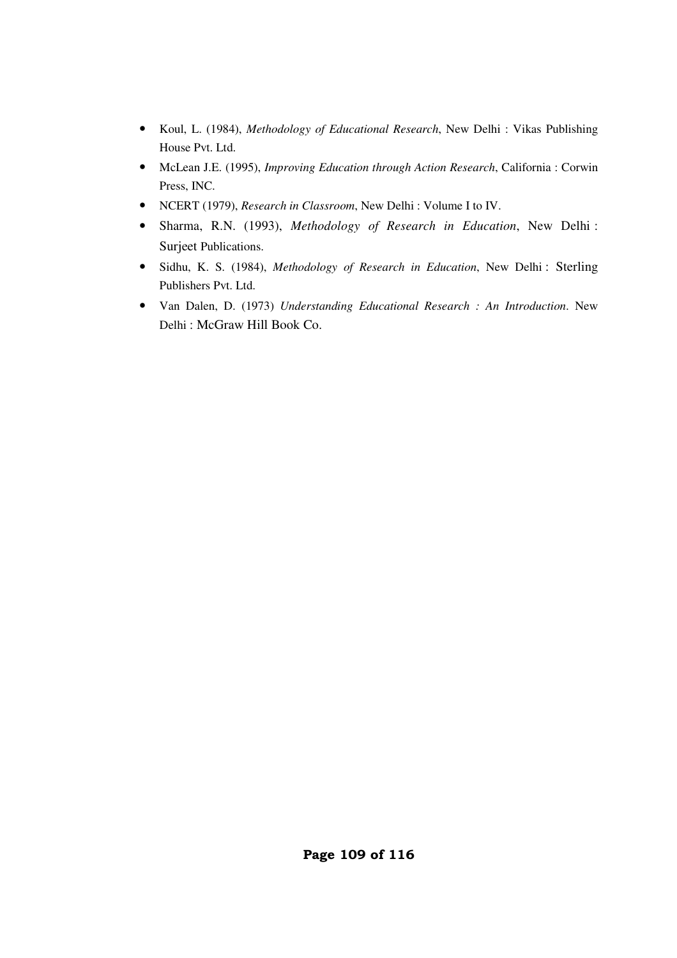- Koul, L. (1984), *Methodology of Educational Research*, New Delhi : Vikas Publishing House Pvt. Ltd.
- McLean J.E. (1995), *Improving Education through Action Research*, California : Corwin Press, INC.
- NCERT (1979), *Research in Classroom*, New Delhi : Volume I to IV.
- Sharma, R.N. (1993), *Methodology of Research in Education*, New Delhi : Surjeet Publications.
- Sidhu, K. S. (1984), *Methodology of Research in Education*, New Delhi : Sterling Publishers Pvt. Ltd.
- Van Dalen, D. (1973) *Understanding Educational Research : An Introduction*. New Delhi : McGraw Hill Book Co.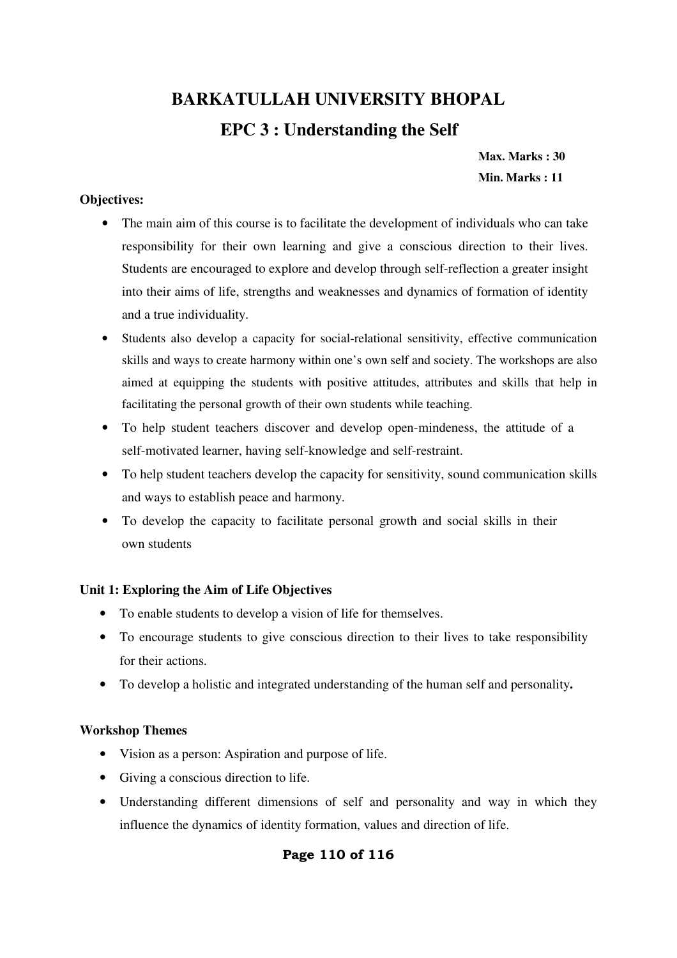# **BARKATULLAH UNIVERSITY BHOPAL EPC 3 : Understanding the Self**

**Max. Marks : 30 Min. Marks : 11** 

## **Objectives:**

- The main aim of this course is to facilitate the development of individuals who can take responsibility for their own learning and give a conscious direction to their lives. Students are encouraged to explore and develop through self-reflection a greater insight into their aims of life, strengths and weaknesses and dynamics of formation of identity and a true individuality.
- Students also develop a capacity for social-relational sensitivity, effective communication skills and ways to create harmony within one's own self and society. The workshops are also aimed at equipping the students with positive attitudes, attributes and skills that help in facilitating the personal growth of their own students while teaching.
- To help student teachers discover and develop open-mindeness, the attitude of a self-motivated learner, having self-knowledge and self-restraint.
- To help student teachers develop the capacity for sensitivity, sound communication skills and ways to establish peace and harmony.
- To develop the capacity to facilitate personal growth and social skills in their own students

## **Unit 1: Exploring the Aim of Life Objectives**

- To enable students to develop a vision of life for themselves.
- To encourage students to give conscious direction to their lives to take responsibility for their actions.
- To develop a holistic and integrated understanding of the human self and personality**.**

#### **Workshop Themes**

- Vision as a person: Aspiration and purpose of life.
- Giving a conscious direction to life.
- Understanding different dimensions of self and personality and way in which they influence the dynamics of identity formation, values and direction of life.

## **Page 110 of 116**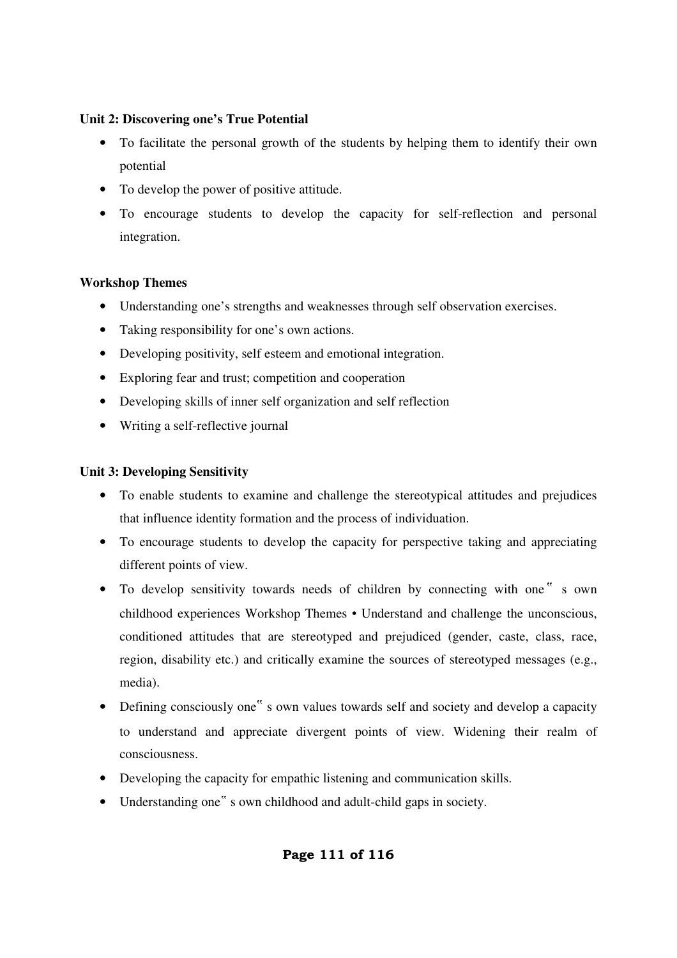## **Unit 2: Discovering one's True Potential**

- To facilitate the personal growth of the students by helping them to identify their own potential
- To develop the power of positive attitude.
- To encourage students to develop the capacity for self-reflection and personal integration.

## **Workshop Themes**

- Understanding one's strengths and weaknesses through self observation exercises.
- Taking responsibility for one's own actions.
- Developing positivity, self esteem and emotional integration.
- Exploring fear and trust; competition and cooperation
- Developing skills of inner self organization and self reflection
- Writing a self-reflective journal

## **Unit 3: Developing Sensitivity**

- To enable students to examine and challenge the stereotypical attitudes and prejudices that influence identity formation and the process of individuation.
- To encourage students to develop the capacity for perspective taking and appreciating different points of view.
- To develop sensitivity towards needs of children by connecting with one " s own childhood experiences Workshop Themes • Understand and challenge the unconscious, conditioned attitudes that are stereotyped and prejudiced (gender, caste, class, race, region, disability etc.) and critically examine the sources of stereotyped messages (e.g., media).
- Defining consciously one" s own values towards self and society and develop a capacity to understand and appreciate divergent points of view. Widening their realm of consciousness.
- Developing the capacity for empathic listening and communication skills.
- Understanding one" s own childhood and adult-child gaps in society.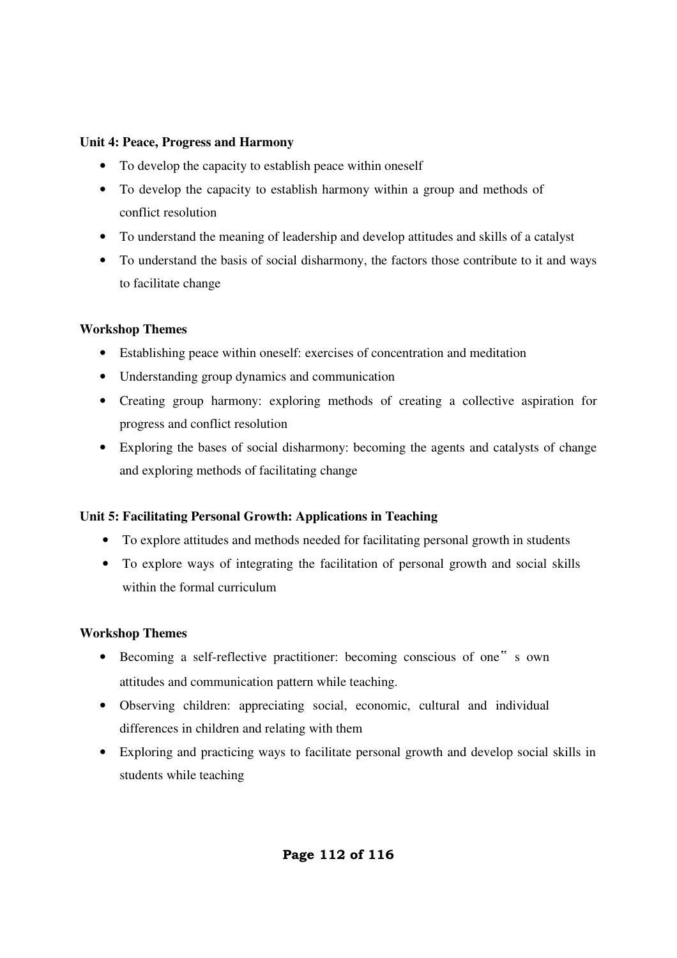## **Unit 4: Peace, Progress and Harmony**

- To develop the capacity to establish peace within oneself
- To develop the capacity to establish harmony within a group and methods of conflict resolution
- To understand the meaning of leadership and develop attitudes and skills of a catalyst
- To understand the basis of social disharmony, the factors those contribute to it and ways to facilitate change

# **Workshop Themes**

- Establishing peace within oneself: exercises of concentration and meditation
- Understanding group dynamics and communication
- Creating group harmony: exploring methods of creating a collective aspiration for progress and conflict resolution
- Exploring the bases of social disharmony: becoming the agents and catalysts of change and exploring methods of facilitating change

# **Unit 5: Facilitating Personal Growth: Applications in Teaching**

- To explore attitudes and methods needed for facilitating personal growth in students
- To explore ways of integrating the facilitation of personal growth and social skills within the formal curriculum

# **Workshop Themes**

- Becoming a self-reflective practitioner: becoming conscious of one" s own attitudes and communication pattern while teaching.
- Observing children: appreciating social, economic, cultural and individual differences in children and relating with them
- Exploring and practicing ways to facilitate personal growth and develop social skills in students while teaching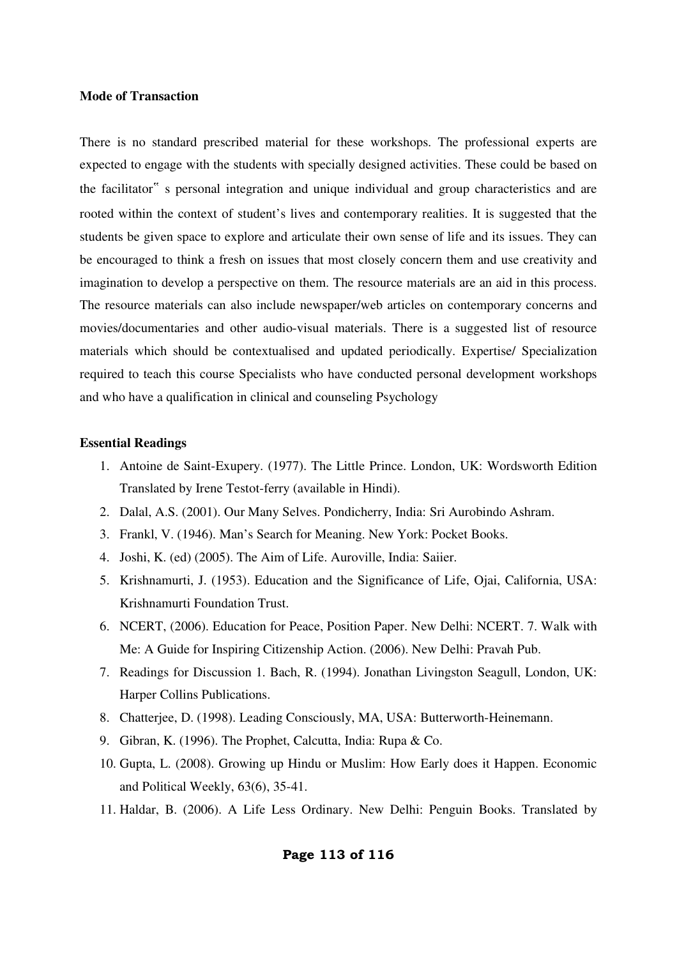#### **Mode of Transaction**

There is no standard prescribed material for these workshops. The professional experts are expected to engage with the students with specially designed activities. These could be based on the facilitator" s personal integration and unique individual and group characteristics and are rooted within the context of student's lives and contemporary realities. It is suggested that the students be given space to explore and articulate their own sense of life and its issues. They can be encouraged to think a fresh on issues that most closely concern them and use creativity and imagination to develop a perspective on them. The resource materials are an aid in this process. The resource materials can also include newspaper/web articles on contemporary concerns and movies/documentaries and other audio-visual materials. There is a suggested list of resource materials which should be contextualised and updated periodically. Expertise/ Specialization required to teach this course Specialists who have conducted personal development workshops and who have a qualification in clinical and counseling Psychology

#### **Essential Readings**

- 1. Antoine de Saint-Exupery. (1977). The Little Prince. London, UK: Wordsworth Edition Translated by Irene Testot-ferry (available in Hindi).
- 2. Dalal, A.S. (2001). Our Many Selves. Pondicherry, India: Sri Aurobindo Ashram.
- 3. Frankl, V. (1946). Man's Search for Meaning. New York: Pocket Books.
- 4. Joshi, K. (ed) (2005). The Aim of Life. Auroville, India: Saiier.
- 5. Krishnamurti, J. (1953). Education and the Significance of Life, Ojai, California, USA: Krishnamurti Foundation Trust.
- 6. NCERT, (2006). Education for Peace, Position Paper. New Delhi: NCERT. 7. Walk with Me: A Guide for Inspiring Citizenship Action. (2006). New Delhi: Pravah Pub.
- 7. Readings for Discussion 1. Bach, R. (1994). Jonathan Livingston Seagull, London, UK: Harper Collins Publications.
- 8. Chatterjee, D. (1998). Leading Consciously, MA, USA: Butterworth-Heinemann.
- 9. Gibran, K. (1996). The Prophet, Calcutta, India: Rupa & Co.
- 10. Gupta, L. (2008). Growing up Hindu or Muslim: How Early does it Happen. Economic and Political Weekly, 63(6), 35-41.
- 11. Haldar, B. (2006). A Life Less Ordinary. New Delhi: Penguin Books. Translated by

## **Page 113 of 116**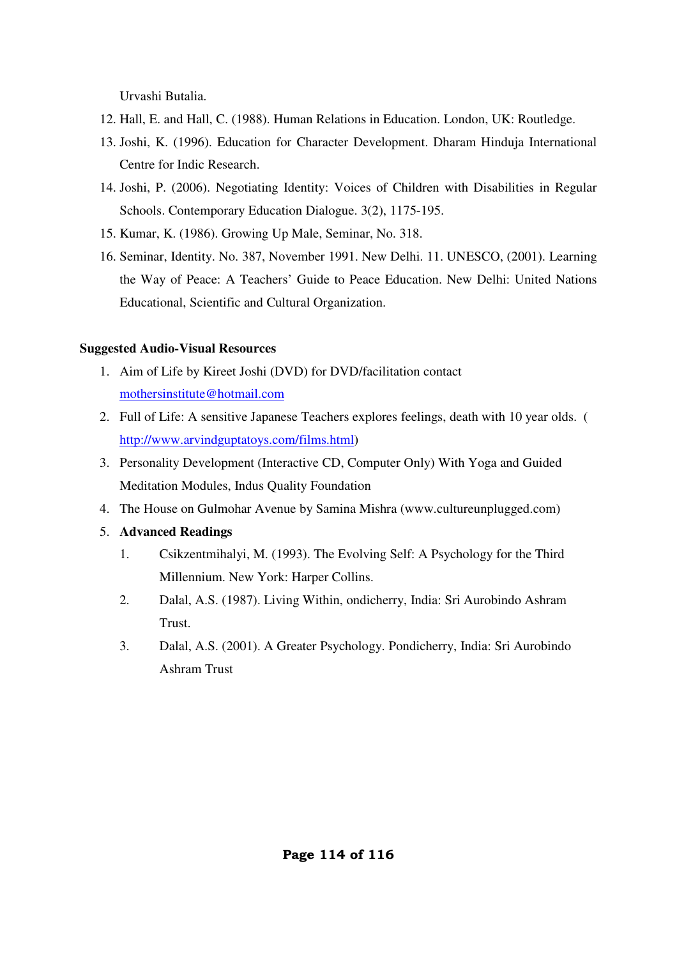Urvashi Butalia.

- 12. Hall, E. and Hall, C. (1988). Human Relations in Education. London, UK: Routledge.
- 13. Joshi, K. (1996). Education for Character Development. Dharam Hinduja International Centre for Indic Research.
- 14. Joshi, P. (2006). Negotiating Identity: Voices of Children with Disabilities in Regular Schools. Contemporary Education Dialogue. 3(2), 1175-195.
- 15. Kumar, K. (1986). Growing Up Male, Seminar, No. 318.
- 16. Seminar, Identity. No. 387, November 1991. New Delhi. 11. UNESCO, (2001). Learning the Way of Peace: A Teachers' Guide to Peace Education. New Delhi: United Nations Educational, Scientific and Cultural Organization.

## **Suggested Audio-Visual Resources**

- 1. Aim of Life by Kireet Joshi (DVD) for DVD/facilitation contact mothersinstitute@hotmail.com
- 2. Full of Life: A sensitive Japanese Teachers explores feelings, death with 10 year olds. ( http://www.arvindguptatoys.com/films.html)
- 3. Personality Development (Interactive CD, Computer Only) With Yoga and Guided Meditation Modules, Indus Quality Foundation
- 4. The House on Gulmohar Avenue by Samina Mishra (www.cultureunplugged.com)
- 5. **Advanced Readings** 
	- 1. Csikzentmihalyi, M. (1993). The Evolving Self: A Psychology for the Third Millennium. New York: Harper Collins.
	- 2. Dalal, A.S. (1987). Living Within, ondicherry, India: Sri Aurobindo Ashram Trust.
	- 3. Dalal, A.S. (2001). A Greater Psychology. Pondicherry, India: Sri Aurobindo Ashram Trust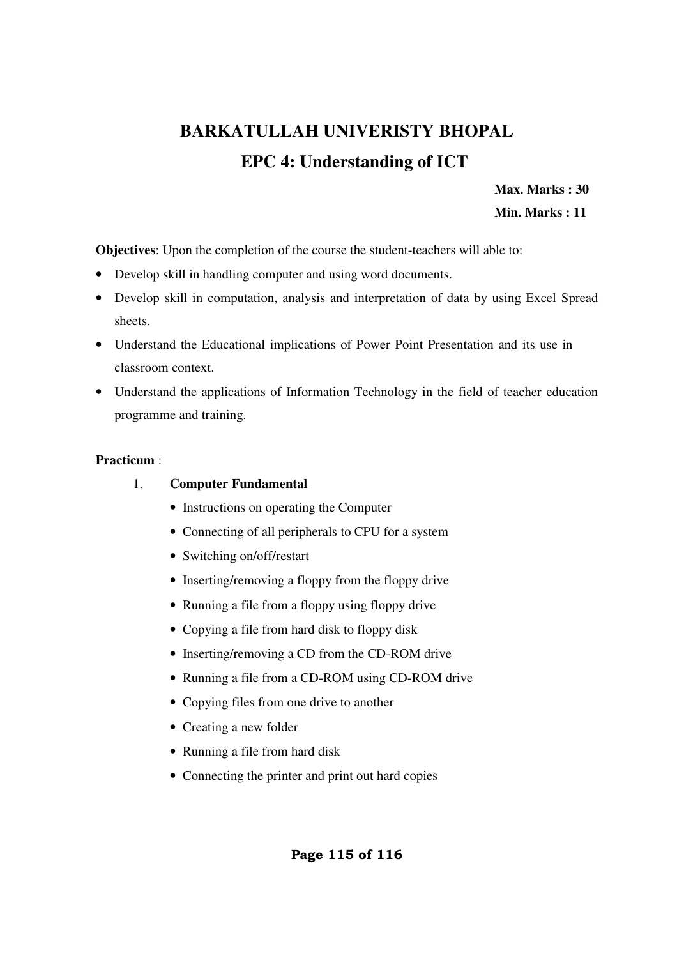# **BARKATULLAH UNIVERISTY BHOPAL EPC 4: Understanding of ICT**

**Max. Marks : 30 Min. Marks : 11** 

**Objectives**: Upon the completion of the course the student-teachers will able to:

- Develop skill in handling computer and using word documents.
- Develop skill in computation, analysis and interpretation of data by using Excel Spread sheets.
- Understand the Educational implications of Power Point Presentation and its use in classroom context.
- Understand the applications of Information Technology in the field of teacher education programme and training.

## **Practicum** :

## 1. **Computer Fundamental**

- Instructions on operating the Computer
- Connecting of all peripherals to CPU for a system
- Switching on/off/restart
- Inserting/removing a floppy from the floppy drive
- Running a file from a floppy using floppy drive
- Copying a file from hard disk to floppy disk
- Inserting/removing a CD from the CD-ROM drive
- Running a file from a CD-ROM using CD-ROM drive
- Copying files from one drive to another
- Creating a new folder
- Running a file from hard disk
- Connecting the printer and print out hard copies